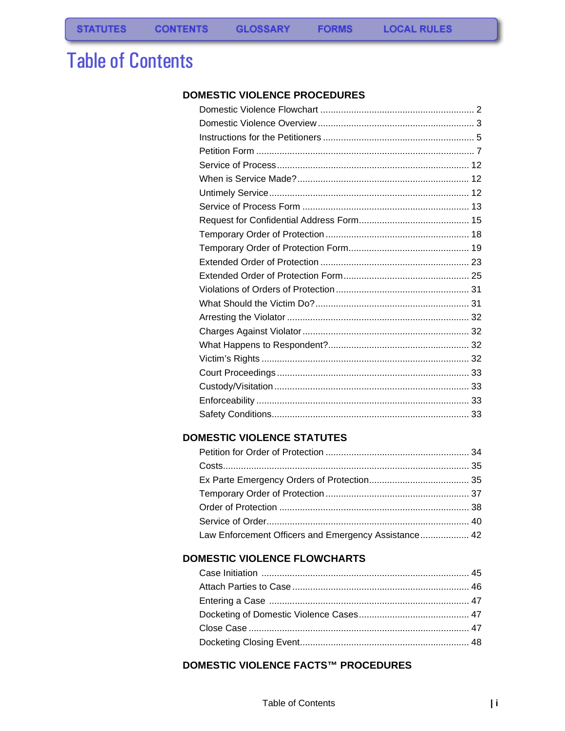# **Table of Contents**

### DOMESTIC VIOLENCE PROCEDURES

**FORMS** 

## **DOMESTIC VIOLENCE STATUTES**

| Law Enforcement Officers and Emergency Assistance 42 |  |
|------------------------------------------------------|--|

### **DOMESTIC VIOLENCE FLOWCHARTS**

# **DOMESTIC VIOLENCE FACTS™ PROCEDURES**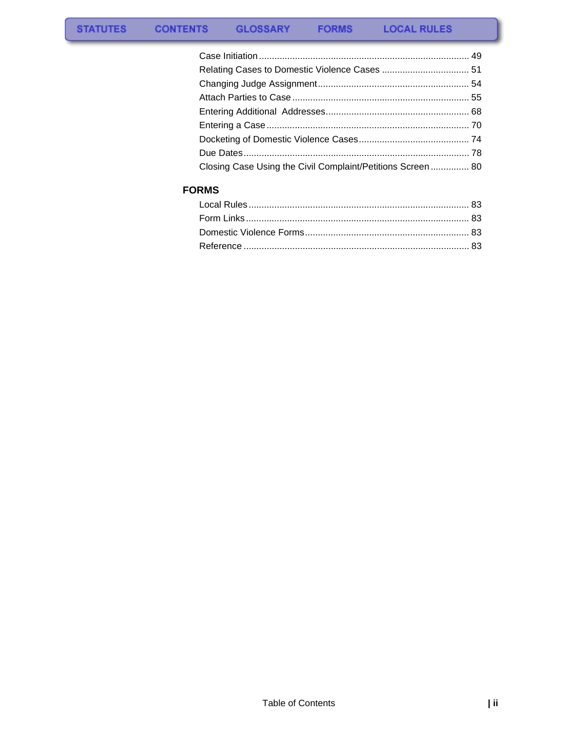| Closing Case Using the Civil Complaint/Petitions Screen 80 |  |
|------------------------------------------------------------|--|

# **FORMS**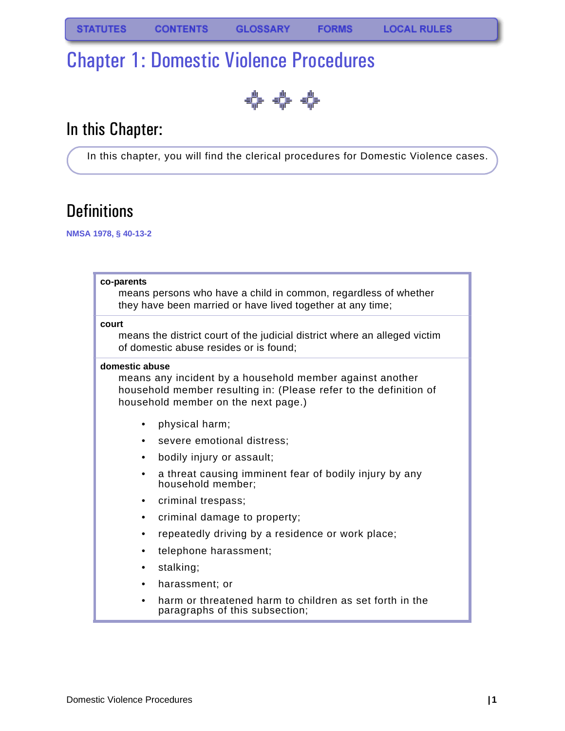# <span id="page-2-0"></span>Chapter 1: Domestic Violence Procedures

404

# In this Chapter:

In this chapter, you will find the clerical procedures for Domestic Violence cases.

# **Definitions**

**NMSA 1978, § 40-13-2**

#### **co-parents**

means persons who have a child in common, regardless of whether they have been married or have lived together at any time;

#### **court**

means the district court of the judicial district where an alleged victim of domestic abuse resides or is found;

### **domestic abuse**

means any incident by a household member against another household member resulting in: (Please refer to the definition of household member on the next page.)

- physical harm;
- severe emotional distress;
- bodily injury or assault;
- a threat causing imminent fear of bodily injury by any household member;
- criminal trespass;
- criminal damage to property;
- repeatedly driving by a residence or work place;
- telephone harassment;
- stalking;
- harassment; or
- harm or threatened harm to children as set forth in the paragraphs of this subsection;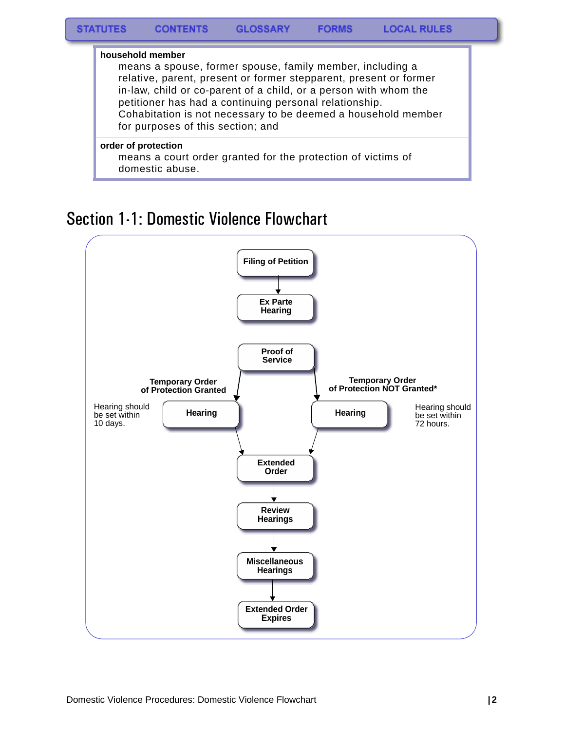

Section 1-1: Domestic Violence Flowchart

<span id="page-3-0"></span>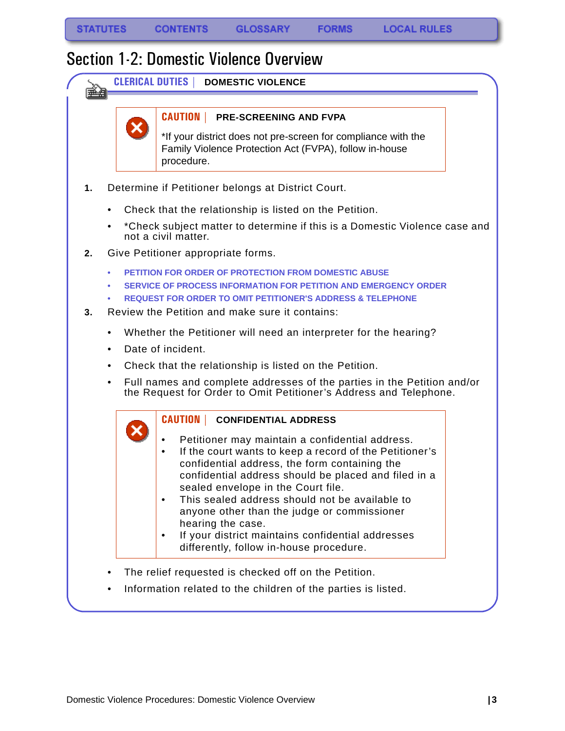<span id="page-4-0"></span>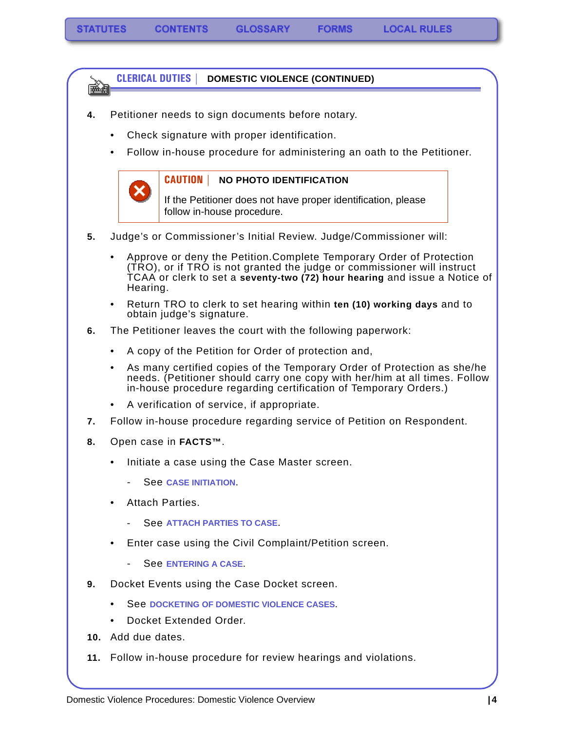### **CLERICAL DUTIES | DOMESTIC VIOLENCE (CONTINUED)**

- **4.** Petitioner needs to sign documents before notary.
	- Check signature with proper identification.
	- Follow in-house procedure for administering an oath to the Petitioner.



医动物

#### **CAUTION | NO PHOTO IDENTIFICATION**

If the Petitioner does not have proper identification, please follow in-house procedure.

- **5.** Judge's or Commissioner's Initial Review. Judge/Commissioner will:
	- Approve or deny the Petition.Complete Temporary Order of Protection (TRO), or if TRO is not granted the judge or commissioner will instruct TCAA or clerk to set a **seventy-two (72) hour hearing** and issue a Notice of Hearing.
	- Return TRO to clerk to set hearing within **ten (10) working days** and to obtain judge's signature.
- **6.** The Petitioner leaves the court with the following paperwork:
	- A copy of the Petition for Order of protection and,
	- As many certified copies of the Temporary Order of Protection as she/he needs. (Petitioner should carry one copy with her/him at all times. Follow in-house procedure regarding certification of Temporary Orders.)
	- A verification of service, if appropriate.
- **7.** Follow in-house procedure regarding service of Petition on Respondent.
- **8.** Open case in **FACTS™**.
	- Initiate a case using the Case Master screen.
		- See **[CASE INITIATION](#page-50-2)**.
	- Attach Parties.
		- See **[ATTACH PARTIES TO CASE](#page-56-1).**
	- Enter case using the Civil Complaint/Petition screen.
		- See **[ENTERING A CASE](#page-71-1)**.
- **9.** Docket Events using the Case Docket screen.
	- See **[DOCKETING OF DOMESTIC VIOLENCE CASES](#page-75-1)**.
	- Docket Extended Order.
- **10.** Add due dates.
- **11.** Follow in-house procedure for review hearings and violations.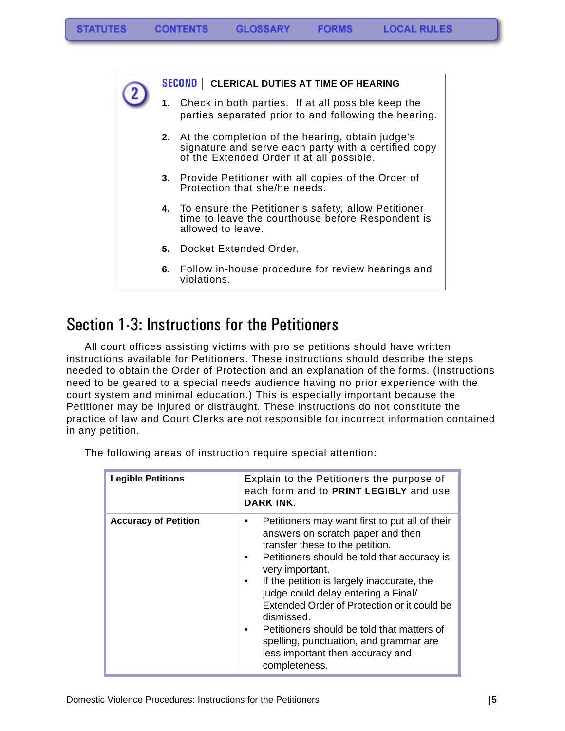**FORMS** 

### **SECOND | CLERICAL DUTIES AT TIME OF HEARING**

- **1.** Check in both parties. If at all possible keep the parties separated prior to and following the hearing.
- **2.** At the completion of the hearing, obtain judge's signature and serve each party with a certified copy of the Extended Order if at all possible.
- **3.** Provide Petitioner with all copies of the Order of Protection that she/he needs.
- **4.** To ensure the Petitioner's safety, allow Petitioner time to leave the courthouse before Respondent is allowed to leave.
- **5.** Docket Extended Order.
- **6.** Follow in-house procedure for review hearings and violations.

# <span id="page-6-0"></span>Section 1-3: Instructions for the Petitioners

All court offices assisting victims with pro se petitions should have written instructions available for Petitioners. These instructions should describe the steps needed to obtain the Order of Protection and an explanation of the forms. (Instructions need to be geared to a special needs audience having no prior experience with the court system and minimal education.) This is especially important because the Petitioner may be injured or distraught. These instructions do not constitute the practice of law and Court Clerks are not responsible for incorrect information contained in any petition.

| <b>Legible Petitions</b>    | Explain to the Petitioners the purpose of<br>each form and to PRINT LEGIBLY and use<br>DARK INK.                                                                                                                                                                                                                                                                                                                                                                                        |  |
|-----------------------------|-----------------------------------------------------------------------------------------------------------------------------------------------------------------------------------------------------------------------------------------------------------------------------------------------------------------------------------------------------------------------------------------------------------------------------------------------------------------------------------------|--|
| <b>Accuracy of Petition</b> | Petitioners may want first to put all of their<br>answers on scratch paper and then<br>transfer these to the petition.<br>Petitioners should be told that accuracy is<br>very important.<br>If the petition is largely inaccurate, the<br>judge could delay entering a Final/<br>Extended Order of Protection or it could be<br>dismissed.<br>Petitioners should be told that matters of<br>spelling, punctuation, and grammar are<br>less important then accuracy and<br>completeness. |  |

The following areas of instruction require special attention: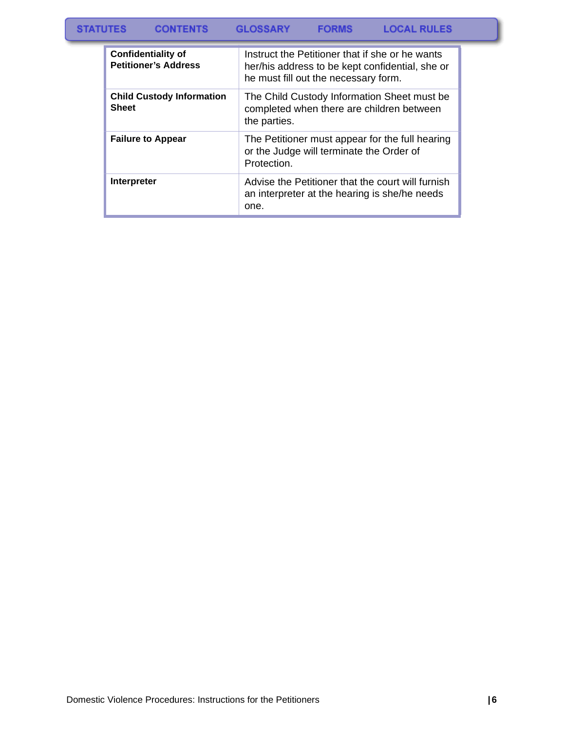#### **GLOSSARY LOCAL RULES STATUTES CONTENTS FORMS**

| <b>Confidentiality of</b><br><b>Petitioner's Address</b> | Instruct the Petitioner that if she or he wants<br>her/his address to be kept confidential, she or<br>he must fill out the necessary form. |
|----------------------------------------------------------|--------------------------------------------------------------------------------------------------------------------------------------------|
| <b>Child Custody Information</b><br><b>Sheet</b>         | The Child Custody Information Sheet must be<br>completed when there are children between<br>the parties.                                   |
| <b>Failure to Appear</b>                                 | The Petitioner must appear for the full hearing<br>or the Judge will terminate the Order of<br>Protection.                                 |
| Interpreter                                              | Advise the Petitioner that the court will furnish<br>an interpreter at the hearing is she/he needs<br>one.                                 |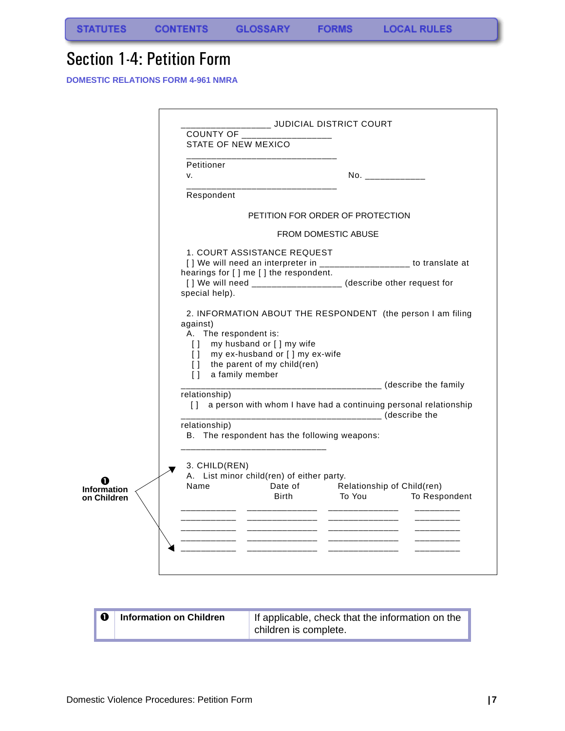**STATUTES** 

# <span id="page-8-0"></span>Section 1-4: Petition Form

**DOMESTIC RELATIONS FORM 4-961 NMRA**

|                                   | _______ JUDICIAL DISTRICT COURT                                                                                                                                                                                                            |                                                                                                                                                                                                                 |                                                                                                                      |               |  |
|-----------------------------------|--------------------------------------------------------------------------------------------------------------------------------------------------------------------------------------------------------------------------------------------|-----------------------------------------------------------------------------------------------------------------------------------------------------------------------------------------------------------------|----------------------------------------------------------------------------------------------------------------------|---------------|--|
|                                   | COUNTY OF<br>STATE OF NEW MEXICO                                                                                                                                                                                                           |                                                                                                                                                                                                                 |                                                                                                                      |               |  |
|                                   | Petitioner<br>v.                                                                                                                                                                                                                           |                                                                                                                                                                                                                 | No. ______________                                                                                                   |               |  |
|                                   | Respondent                                                                                                                                                                                                                                 |                                                                                                                                                                                                                 |                                                                                                                      |               |  |
|                                   |                                                                                                                                                                                                                                            |                                                                                                                                                                                                                 | PETITION FOR ORDER OF PROTECTION                                                                                     |               |  |
|                                   | <b>FROM DOMESTIC ABUSE</b>                                                                                                                                                                                                                 |                                                                                                                                                                                                                 |                                                                                                                      |               |  |
|                                   | special help).                                                                                                                                                                                                                             | 1. COURT ASSISTANCE REQUEST<br>[] We will need an interpreter in __________________ to translate at<br>hearings for [] me [] the respondent.<br>[] We will need ___________________ (describe other request for |                                                                                                                      |               |  |
|                                   | 2. INFORMATION ABOUT THE RESPONDENT (the person I am filing<br>against)<br>A. The respondent is:<br>my husband or [] my wife<br>$\Box$<br>[] my ex-husband or [] my ex-wife<br>[] the parent of my child(ren)<br>a family member<br>$\Box$ |                                                                                                                                                                                                                 | ________________________________ (describe the family                                                                |               |  |
|                                   | relationship)<br>$\Box$                                                                                                                                                                                                                    |                                                                                                                                                                                                                 | a person with whom I have had a continuing personal relationship<br>__________________________________ (describe the |               |  |
|                                   | relationship)<br>B. The respondent has the following weapons:                                                                                                                                                                              |                                                                                                                                                                                                                 |                                                                                                                      |               |  |
| <b>Information</b><br>on Children | 3. CHILD(REN)<br>A. List minor child(ren) of either party.<br>Name                                                                                                                                                                         | Birth                                                                                                                                                                                                           | Date of Relationship of Child(ren)<br>To You                                                                         | To Respondent |  |
|                                   |                                                                                                                                                                                                                                            |                                                                                                                                                                                                                 | _______________                                                                                                      |               |  |
|                                   |                                                                                                                                                                                                                                            | ________________<br>_______________                                                                                                                                                                             |                                                                                                                      |               |  |
|                                   |                                                                                                                                                                                                                                            |                                                                                                                                                                                                                 |                                                                                                                      |               |  |

| <b>Information on Children</b> | If applicable, check that the information on the |
|--------------------------------|--------------------------------------------------|
|                                | children is complete.                            |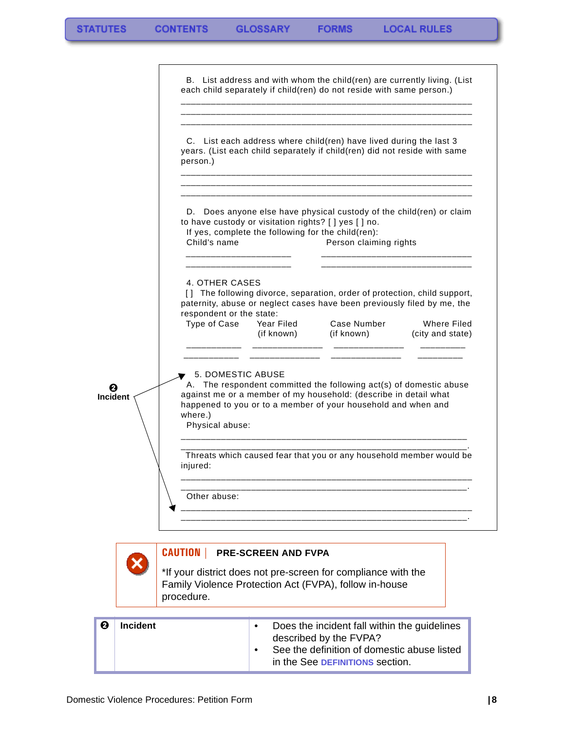|                 |                 |                                                            |                            | B. List address and with whom the child(ren) are currently living. (List<br>each child separately if child(ren) do not reside with same person.)                                                              |                                        |
|-----------------|-----------------|------------------------------------------------------------|----------------------------|---------------------------------------------------------------------------------------------------------------------------------------------------------------------------------------------------------------|----------------------------------------|
|                 |                 | person.)                                                   |                            | C. List each address where child(ren) have lived during the last 3<br>years. (List each child separately if child(ren) did not reside with same                                                               |                                        |
|                 |                 | Child's name                                               |                            | D. Does anyone else have physical custody of the child(ren) or claim<br>to have custody or visitation rights? [ ] yes [ ] no.<br>If yes, complete the following for the child(ren):<br>Person claiming rights |                                        |
|                 |                 | 4. OTHER CASES<br>respondent or the state:<br>Type of Case | Year Filed<br>(if known)   | [] The following divorce, separation, order of protection, child support,<br>paternity, abuse or neglect cases have been previously filed by me, the<br>Case Number<br>(if known)                             | <b>Where Filed</b><br>(city and state) |
| <b>Incident</b> |                 | 5. DOMESTIC ABUSE<br>where.)<br>Physical abuse:            |                            | A. The respondent committed the following act(s) of domestic abuse<br>against me or a member of my household: (describe in detail what<br>happened to you or to a member of your household and when and       |                                        |
|                 |                 | injured:                                                   |                            | Threats which caused fear that you or any household member would be                                                                                                                                           |                                        |
|                 |                 | Other abuse:                                               |                            |                                                                                                                                                                                                               |                                        |
|                 |                 | <b>CAUTION</b>  <br>procedure.                             | <b>PRE-SCREEN AND FVPA</b> | *If your district does not pre-screen for compliance with the<br>Family Violence Protection Act (FVPA), follow in-house                                                                                       |                                        |
| Ø               | <b>Incident</b> |                                                            | $\bullet$                  | Does the incident fall within the guidelines<br>described by the FVPA?<br>See the definition of domestic abuse listed<br>in the See DEFINITIONS section.                                                      |                                        |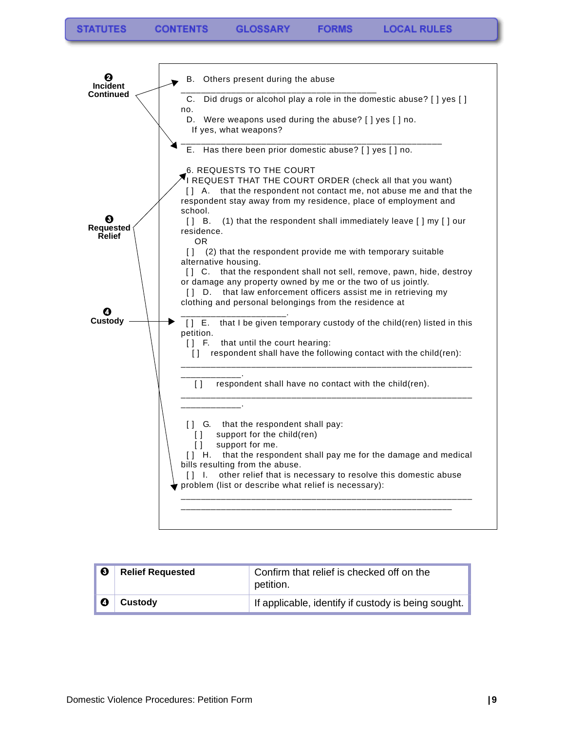**FORMS** 



| $\boldsymbol{6}$ | <b>Relief Requested</b> | Confirm that relief is checked off on the<br>petition. |
|------------------|-------------------------|--------------------------------------------------------|
| Ø                | Custody                 | If applicable, identify if custody is being sought.    |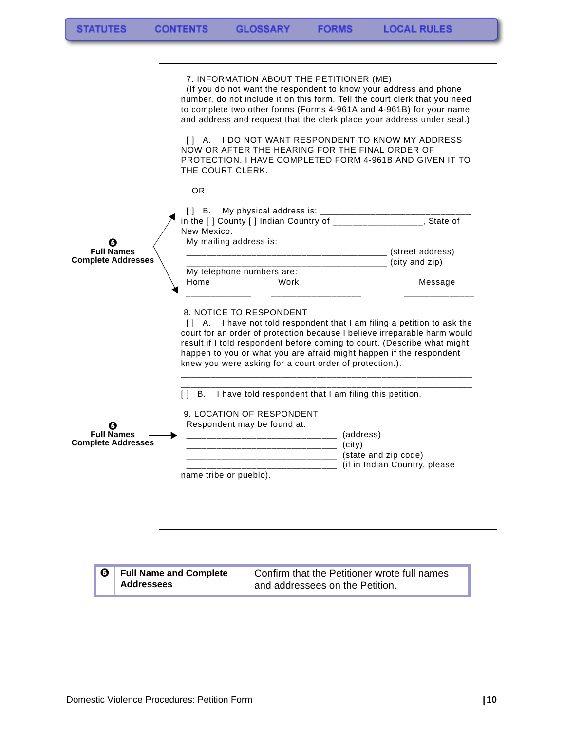|                                                | 7. INFORMATION ABOUT THE PETITIONER (ME)<br>(If you do not want the respondent to know your address and phone<br>number, do not include it on this form. Tell the court clerk that you need<br>to complete two other forms (Forms 4-961A and 4-961B) for your name<br>and address and request that the clerk place your address under seal.)<br>[] A. I DO NOT WANT RESPONDENT TO KNOW MY ADDRESS<br>NOW OR AFTER THE HEARING FOR THE FINAL ORDER OF<br>PROTECTION. I HAVE COMPLETED FORM 4-961B AND GIVEN IT TO<br>THE COURT CLERK. |         |
|------------------------------------------------|--------------------------------------------------------------------------------------------------------------------------------------------------------------------------------------------------------------------------------------------------------------------------------------------------------------------------------------------------------------------------------------------------------------------------------------------------------------------------------------------------------------------------------------|---------|
| <b>Full Names</b><br><b>Complete Addresses</b> | <b>OR</b><br>in the [ ] County [ ] Indian Country of ____________________, State of<br>New Mexico.<br>My mailing address is:                                                                                                                                                                                                                                                                                                                                                                                                         |         |
|                                                | My telephone numbers are:<br>Home<br>Work                                                                                                                                                                                                                                                                                                                                                                                                                                                                                            | Message |
|                                                | 8. NOTICE TO RESPONDENT<br>[] A. I have not told respondent that I am filing a petition to ask the<br>court for an order of protection because I believe irreparable harm would<br>result if I told respondent before coming to court. (Describe what might<br>happen to you or what you are afraid might happen if the respondent<br>knew you were asking for a court order of protection.).                                                                                                                                        |         |
|                                                | $[$ $]$ $B$ .<br>I have told respondent that I am filing this petition.                                                                                                                                                                                                                                                                                                                                                                                                                                                              |         |
| <b>Full Names</b><br><b>Complete Addresses</b> | 9. LOCATION OF RESPONDENT<br>Respondent may be found at:<br>_____________________________________(address)<br>(city)<br>__________________________________ (state and zip code)<br>_____________________________ (if in Indian Country, please<br>name tribe or pueblo).                                                                                                                                                                                                                                                             |         |
|                                                |                                                                                                                                                                                                                                                                                                                                                                                                                                                                                                                                      |         |

| $\blacksquare$ | <b>Full Name and Complete</b> | Confirm that the Petitioner wrote full names |
|----------------|-------------------------------|----------------------------------------------|
|                | Addressees                    | and addressees on the Petition.              |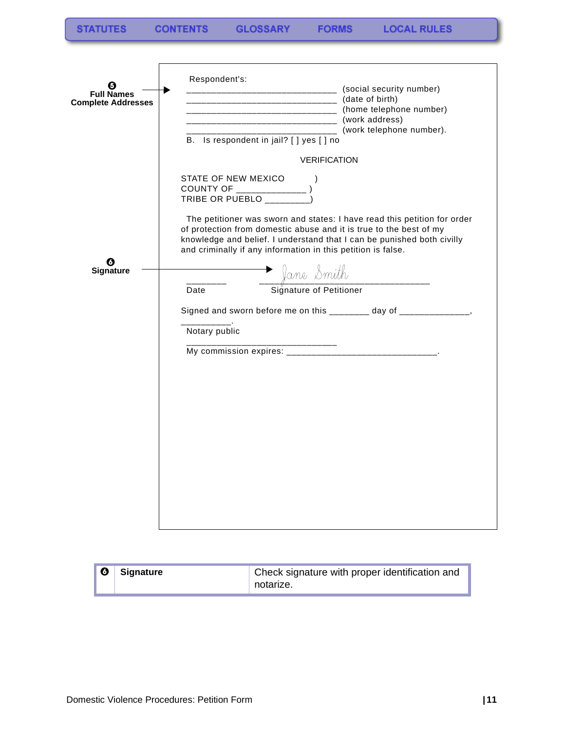| <b>Full Names</b><br><b>Complete Addresses</b> | Respondent's:<br>__________________________________ (social security number)<br>_______________________________ (home telephone number)<br>___________________________________(work address)<br>(work telephone number).<br>B. Is respondent in jail? [ ] yes [ ] no                     |
|------------------------------------------------|------------------------------------------------------------------------------------------------------------------------------------------------------------------------------------------------------------------------------------------------------------------------------------------|
|                                                | <b>VERIFICATION</b>                                                                                                                                                                                                                                                                      |
|                                                | STATE OF NEW MEXICO<br>COUNTY OF ________________)<br>TRIBE OR PUEBLO __________)                                                                                                                                                                                                        |
| <b>Signature</b>                               | The petitioner was sworn and states: I have read this petition for order<br>of protection from domestic abuse and it is true to the best of my<br>knowledge and belief. I understand that I can be punished both civilly<br>and criminally if any information in this petition is false. |
|                                                | ane Smith<br>Signature of Petitioner<br>Date                                                                                                                                                                                                                                             |
|                                                | Signed and sworn before me on this ________ day of ______________,<br>Notary public<br>_____________                                                                                                                                                                                     |
|                                                |                                                                                                                                                                                                                                                                                          |
|                                                |                                                                                                                                                                                                                                                                                          |

| $\bullet$ | Signature | Check signature with proper identification and<br>notarize. |
|-----------|-----------|-------------------------------------------------------------|
|-----------|-----------|-------------------------------------------------------------|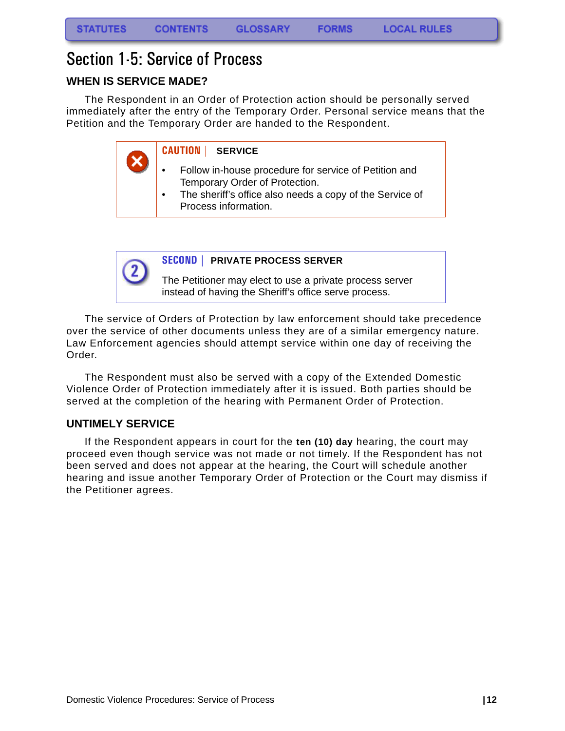# <span id="page-13-0"></span>Section 1-5: Service of Process

# <span id="page-13-1"></span>**WHEN IS SERVICE MADE?**

The Respondent in an Order of Protection action should be personally served immediately after the entry of the Temporary Order. Personal service means that the Petition and the Temporary Order are handed to the Respondent.

**CAUTION | SERVICE**

- Follow in-house procedure for service of Petition and Temporary Order of Protection.
- The sheriff's office also needs a copy of the Service of Process information.



### **SECOND | PRIVATE PROCESS SERVER**

The Petitioner may elect to use a private process server instead of having the Sheriff's office serve process.

The service of Orders of Protection by law enforcement should take precedence over the service of other documents unless they are of a similar emergency nature. Law Enforcement agencies should attempt service within one day of receiving the Order.

The Respondent must also be served with a copy of the Extended Domestic Violence Order of Protection immediately after it is issued. Both parties should be served at the completion of the hearing with Permanent Order of Protection.

### <span id="page-13-2"></span>**UNTIMELY SERVICE**

If the Respondent appears in court for the **ten (10) day** hearing, the court may proceed even though service was not made or not timely. If the Respondent has not been served and does not appear at the hearing, the Court will schedule another hearing and issue another Temporary Order of Protection or the Court may dismiss if the Petitioner agrees.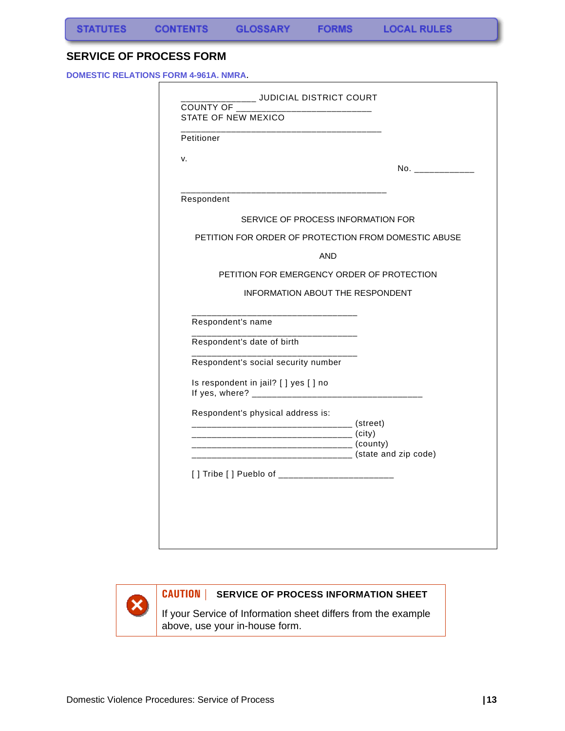### <span id="page-14-0"></span>**SERVICE OF PROCESS FORM**

**DOMESTIC RELATIONS FORM 4-961A. NMRA**.

| STATE OF NEW MEXICO                                       |                   |
|-----------------------------------------------------------|-------------------|
| Petitioner                                                |                   |
| v.                                                        | No. _____________ |
| ____________________________                              |                   |
| Respondent                                                |                   |
| SERVICE OF PROCESS INFORMATION FOR                        |                   |
| PETITION FOR ORDER OF PROTECTION FROM DOMESTIC ABUSE      |                   |
| AND                                                       |                   |
| PETITION FOR EMERGENCY ORDER OF PROTECTION                |                   |
| <b>INFORMATION ABOUT THE RESPONDENT</b>                   |                   |
|                                                           |                   |
| Respondent's name                                         |                   |
| ____________<br>Respondent's date of birth                |                   |
| Respondent's social security number                       |                   |
| Is respondent in jail? [ ] yes [ ] no                     |                   |
| Respondent's physical address is:                         |                   |
|                                                           |                   |
| ____________________________________ (state and zip code) |                   |
|                                                           |                   |
| [] Tribe [] Pueblo of ___________________________         |                   |
|                                                           |                   |



## **CAUTION | SERVICE OF PROCESS INFORMATION SHEET**

If your Service of Information sheet differs from the example above, use your in-house form.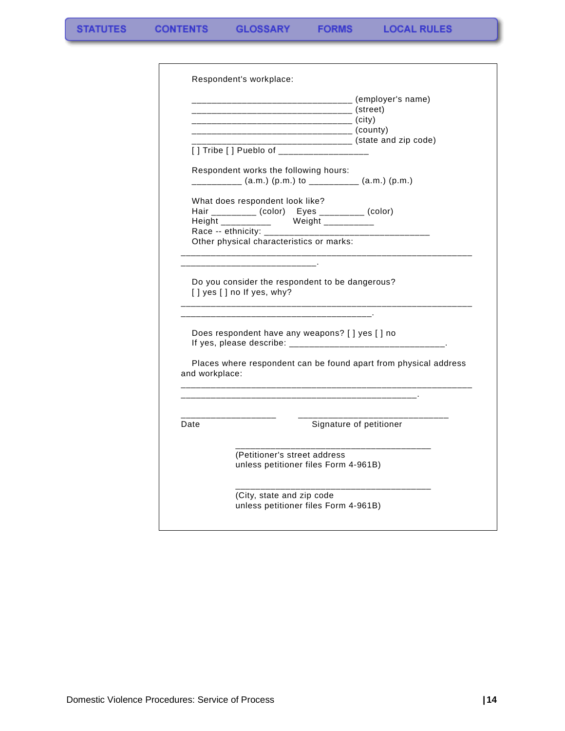$\blacksquare$ 

|                | ______________________________ (employer's name)<br>————————————————————— (county)                                           |                                                 |
|----------------|------------------------------------------------------------------------------------------------------------------------------|-------------------------------------------------|
|                | [] Tribe [] Pueblo of _____________________                                                                                  | ___________________ (state and zip code)        |
|                | Respondent works the following hours:<br>__________ (a.m.) (p.m.) to __________ (a.m.) (p.m.)                                |                                                 |
|                | What does respondent look like?<br>Hair _________ (color)    Eyes _________ (color)<br>Height ___________ Weight ___________ |                                                 |
|                | Race -- ethnicity: _________________<br>Other physical characteristics or marks:                                             |                                                 |
|                | [] yes [] no If yes, why?                                                                                                    | Do you consider the respondent to be dangerous? |
| and workplace: | Does respondent have any weapons? [ ] yes [ ] no<br>Places where respondent can be found apart from physical address         |                                                 |
|                |                                                                                                                              |                                                 |
| Date           |                                                                                                                              | Signature of petitioner                         |
|                | (Petitioner's street address<br>unless petitioner files Form 4-961B)                                                         |                                                 |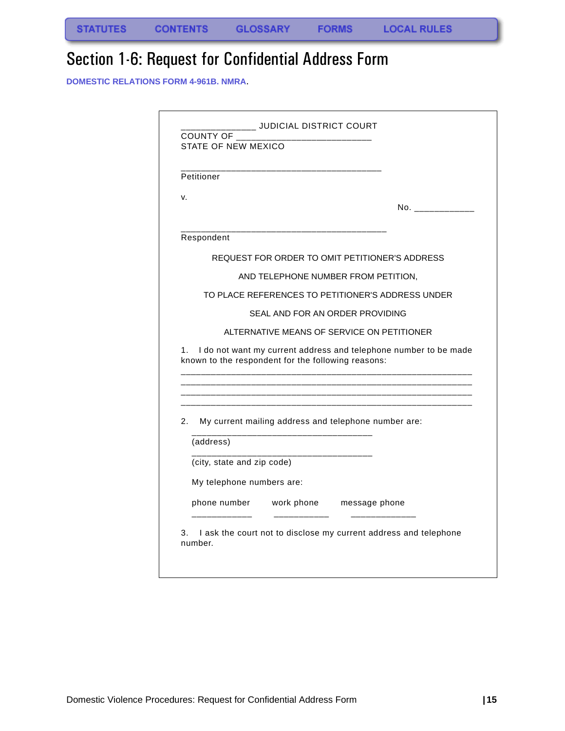# <span id="page-16-0"></span>Section 1-6: Request for Confidential Address Form

**DOMESTIC RELATIONS FORM 4-961B. NMRA**.

|    | Petitioner                                         |                                                                                                                |
|----|----------------------------------------------------|----------------------------------------------------------------------------------------------------------------|
|    |                                                    |                                                                                                                |
| v. |                                                    |                                                                                                                |
|    |                                                    |                                                                                                                |
|    | Respondent                                         |                                                                                                                |
|    |                                                    | REQUEST FOR ORDER TO OMIT PETITIONER'S ADDRESS                                                                 |
|    |                                                    | AND TELEPHONE NUMBER FROM PETITION,                                                                            |
|    |                                                    | TO PLACE REFERENCES TO PETITIONER'S ADDRESS UNDER                                                              |
|    |                                                    |                                                                                                                |
|    |                                                    | SEAL AND FOR AN ORDER PROVIDING                                                                                |
| 1. |                                                    | ALTERNATIVE MEANS OF SERVICE ON PETITIONER<br>I do not want my current address and telephone number to be made |
|    | known to the respondent for the following reasons: |                                                                                                                |
| 2. |                                                    | My current mailing address and telephone number are:                                                           |
|    | (address)                                          |                                                                                                                |
|    | (city, state and zip code)                         |                                                                                                                |
|    | My telephone numbers are:                          |                                                                                                                |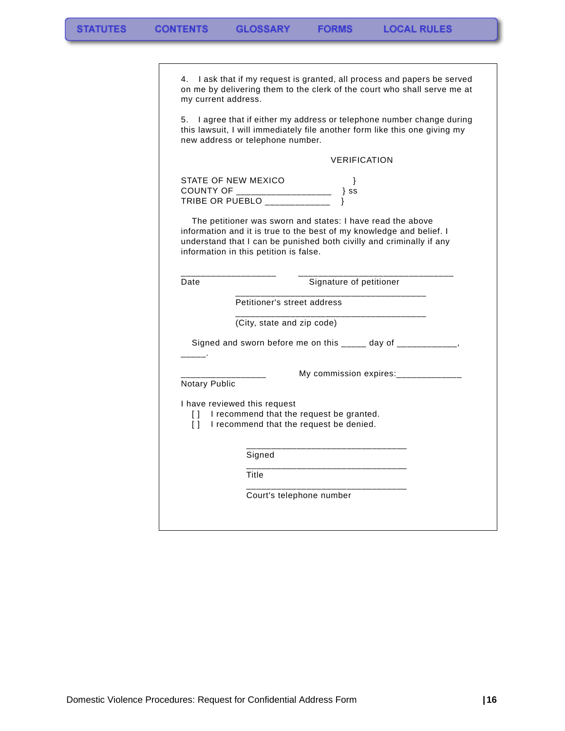| my current address.                                                                                                                                                                         | 4. I ask that if my request is granted, all process and papers be served<br>on me by delivering them to the clerk of the court who shall serve me at                                                                                                 |  |
|---------------------------------------------------------------------------------------------------------------------------------------------------------------------------------------------|------------------------------------------------------------------------------------------------------------------------------------------------------------------------------------------------------------------------------------------------------|--|
| I agree that if either my address or telephone number change during<br>5.<br>this lawsuit, I will immediately file another form like this one giving my<br>new address or telephone number. |                                                                                                                                                                                                                                                      |  |
|                                                                                                                                                                                             | <b>VERIFICATION</b>                                                                                                                                                                                                                                  |  |
|                                                                                                                                                                                             | STATE OF NEW MEXICO<br>ł<br>TRIBE OR PUEBLO _______________<br><sup>}</sup>                                                                                                                                                                          |  |
|                                                                                                                                                                                             | The petitioner was sworn and states: I have read the above<br>information and it is true to the best of my knowledge and belief. I<br>understand that I can be punished both civilly and criminally if any<br>information in this petition is false. |  |
| Date                                                                                                                                                                                        | Signature of petitioner                                                                                                                                                                                                                              |  |
|                                                                                                                                                                                             |                                                                                                                                                                                                                                                      |  |
|                                                                                                                                                                                             | Petitioner's street address                                                                                                                                                                                                                          |  |
|                                                                                                                                                                                             | (City, state and zip code)                                                                                                                                                                                                                           |  |
|                                                                                                                                                                                             | Signed and sworn before me on this _____ day of ____________,                                                                                                                                                                                        |  |
| Notary Public                                                                                                                                                                               | My commission expires:______________                                                                                                                                                                                                                 |  |
| $\Box$                                                                                                                                                                                      | I have reviewed this request<br>I recommend that the request be granted.<br>[] I recommend that the request be denied.                                                                                                                               |  |
|                                                                                                                                                                                             | Signed                                                                                                                                                                                                                                               |  |
|                                                                                                                                                                                             | Title                                                                                                                                                                                                                                                |  |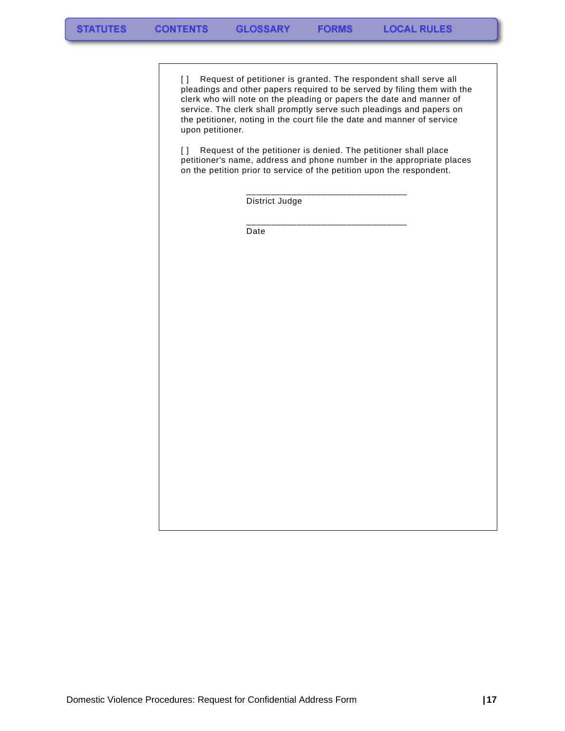[] Request of petitioner is granted. The respondent shall serve all pleadings and other papers required to be served by filing them with the clerk who will note on the pleading or papers the date and manner of service. The clerk shall promptly serve such pleadings and papers on the petitioner, noting in the court file the date and manner of service upon petitioner.

**FORMS** 

[] Request of the petitioner is denied. The petitioner shall place petitioner's name, address and phone number in the appropriate places on the petition prior to service of the petition upon the respondent.

District Judge

\_\_\_\_\_\_\_\_\_\_\_\_\_\_\_\_\_\_\_\_\_\_\_\_\_\_\_\_\_\_\_\_

 \_\_\_\_\_\_\_\_\_\_\_\_\_\_\_\_\_\_\_\_\_\_\_\_\_\_\_\_\_\_\_\_ Date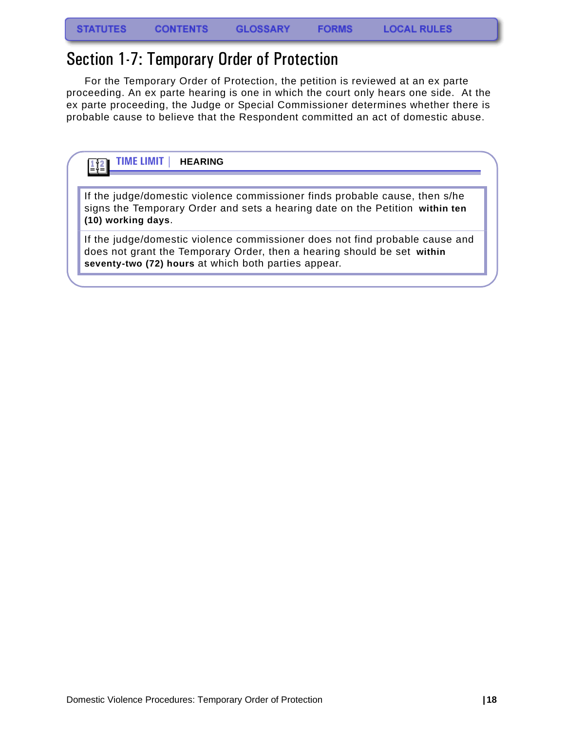# <span id="page-19-0"></span>Section 1-7: Temporary Order of Protection

For the Temporary Order of Protection, the petition is reviewed at an ex parte proceeding. An ex parte hearing is one in which the court only hears one side. At the ex parte proceeding, the Judge or Special Commissioner determines whether there is probable cause to believe that the Respondent committed an act of domestic abuse.

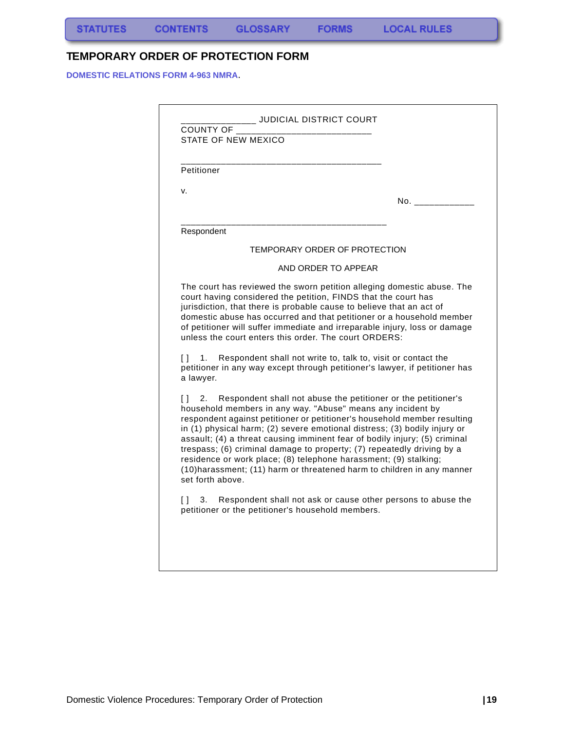S,

# <span id="page-20-0"></span>**TEMPORARY ORDER OF PROTECTION FORM**

**DOMESTIC RELATIONS FORM 4-963 NMRA**.

| Petitioner                             |                                                                                                                         |                               |                                                                                                                                                                                                                                                                                                                                                                                                                                                                                                                                                                                                                                                              |
|----------------------------------------|-------------------------------------------------------------------------------------------------------------------------|-------------------------------|--------------------------------------------------------------------------------------------------------------------------------------------------------------------------------------------------------------------------------------------------------------------------------------------------------------------------------------------------------------------------------------------------------------------------------------------------------------------------------------------------------------------------------------------------------------------------------------------------------------------------------------------------------------|
| v.                                     |                                                                                                                         |                               | No. In the North State of the North State of the North State of the North State of the North State of the North State of the North State of the North State of the North State of the North State of the North State of the No                                                                                                                                                                                                                                                                                                                                                                                                                               |
| Respondent                             |                                                                                                                         |                               |                                                                                                                                                                                                                                                                                                                                                                                                                                                                                                                                                                                                                                                              |
|                                        |                                                                                                                         | TEMPORARY ORDER OF PROTECTION |                                                                                                                                                                                                                                                                                                                                                                                                                                                                                                                                                                                                                                                              |
|                                        |                                                                                                                         | AND ORDER TO APPEAR           |                                                                                                                                                                                                                                                                                                                                                                                                                                                                                                                                                                                                                                                              |
| Π<br>1.<br>a lawyer.                   | court having considered the petition, FINDS that the court has<br>unless the court enters this order. The court ORDERS: |                               | The court has reviewed the sworn petition alleging domestic abuse. The<br>jurisdiction, that there is probable cause to believe that an act of<br>domestic abuse has occurred and that petitioner or a household member<br>of petitioner will suffer immediate and irreparable injury, loss or damage<br>Respondent shall not write to, talk to, visit or contact the<br>petitioner in any way except through petitioner's lawyer, if petitioner has                                                                                                                                                                                                         |
| Π<br>2.<br>set forth above.<br>Π<br>3. | petitioner or the petitioner's household members.                                                                       |                               | Respondent shall not abuse the petitioner or the petitioner's<br>household members in any way. "Abuse" means any incident by<br>respondent against petitioner or petitioner's household member resulting<br>in (1) physical harm; (2) severe emotional distress; (3) bodily injury or<br>assault; (4) a threat causing imminent fear of bodily injury; (5) criminal<br>trespass; (6) criminal damage to property; (7) repeatedly driving by a<br>residence or work place; (8) telephone harassment; (9) stalking;<br>(10) harassment; (11) harm or threatened harm to children in any manner<br>Respondent shall not ask or cause other persons to abuse the |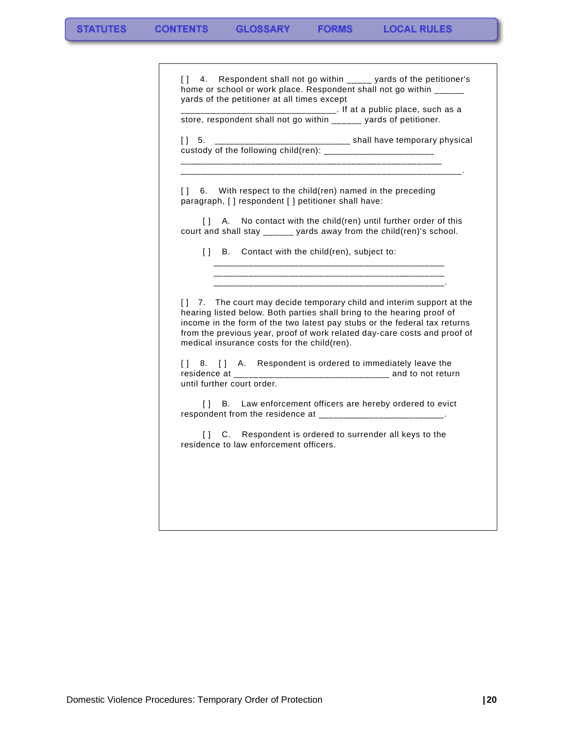| [] 4. Respondent shall not go within _____ yards of the petitioner's<br>home or school or work place. Respondent shall not go within ______<br>yards of the petitioner at all times except                                                    |                                                                                                                                                                                                                                                                                 |  |
|-----------------------------------------------------------------------------------------------------------------------------------------------------------------------------------------------------------------------------------------------|---------------------------------------------------------------------------------------------------------------------------------------------------------------------------------------------------------------------------------------------------------------------------------|--|
|                                                                                                                                                                                                                                               |                                                                                                                                                                                                                                                                                 |  |
| store, respondent shall not go within ______ yards of petitioner.<br>________________________________ shall have temporary physical<br>$\begin{bmatrix} 1 & 5 \end{bmatrix}$<br>custody of the following child(ren): ________________________ |                                                                                                                                                                                                                                                                                 |  |
|                                                                                                                                                                                                                                               |                                                                                                                                                                                                                                                                                 |  |
| $\left[ \ \right]$                                                                                                                                                                                                                            | A. No contact with the child(ren) until further order of this<br>court and shall stay ______ yards away from the child(ren)'s school.                                                                                                                                           |  |
|                                                                                                                                                                                                                                               | [] B. Contact with the child(ren), subject to:                                                                                                                                                                                                                                  |  |
|                                                                                                                                                                                                                                               | [] 7. The court may decide temporary child and interim support at the                                                                                                                                                                                                           |  |
|                                                                                                                                                                                                                                               | hearing listed below. Both parties shall bring to the hearing proof of<br>income in the form of the two latest pay stubs or the federal tax returns<br>from the previous year, proof of work related day-care costs and proof of<br>medical insurance costs for the child(ren). |  |
| until further court order.                                                                                                                                                                                                                    | [] 8. [] A. Respondent is ordered to immediately leave the                                                                                                                                                                                                                      |  |
|                                                                                                                                                                                                                                               | [] B. Law enforcement officers are hereby ordered to evict<br>respondent from the residence at _______________________________.                                                                                                                                                 |  |
|                                                                                                                                                                                                                                               |                                                                                                                                                                                                                                                                                 |  |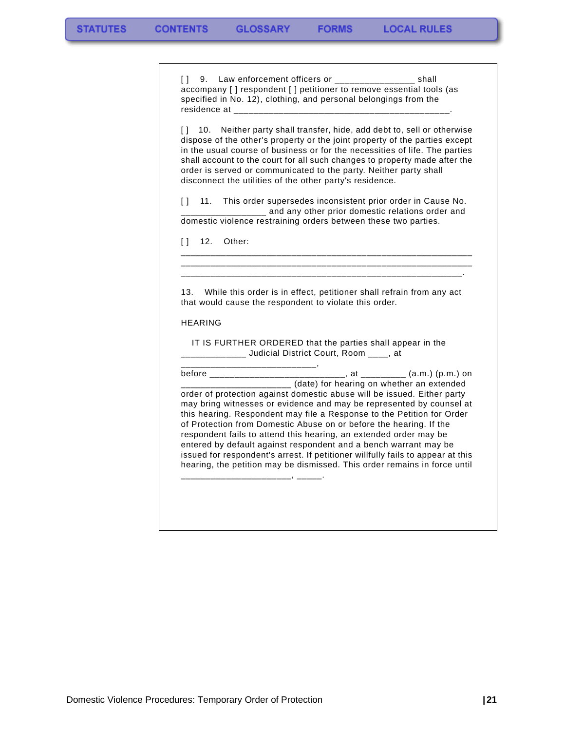[ ] 9. Law enforcement officers or \_\_\_\_\_\_\_\_\_\_\_\_\_\_\_\_\_\_ shall accompany [ ] respondent [ ] petitioner to remove essential tools (as specified in No. 12), clothing, and personal belongings from the residence at

**FORMS** 

[] 10. Neither party shall transfer, hide, add debt to, sell or otherwise dispose of the other's property or the joint property of the parties except in the usual course of business or for the necessities of life. The parties shall account to the court for all such changes to property made after the order is served or communicated to the party. Neither party shall disconnect the utilities of the other party's residence.

[ ] 11. This order supersedes inconsistent prior order in Cause No. \_\_ and any other prior domestic relations order and domestic violence restraining orders between these two parties.

\_\_\_\_\_\_\_\_\_\_\_\_\_\_\_\_\_\_\_\_\_\_\_\_\_\_\_\_\_\_\_\_\_\_\_\_\_\_\_\_\_\_\_\_\_\_\_\_\_\_\_\_\_\_\_\_\_\_ \_\_\_\_\_\_\_\_\_\_\_\_\_\_\_\_\_\_\_\_\_\_\_\_\_\_\_\_\_\_\_\_\_\_\_\_\_\_\_\_\_\_\_\_\_\_\_\_\_\_\_\_\_\_\_\_\_\_ \_\_\_\_\_\_\_\_\_\_\_\_\_\_\_\_\_\_\_\_\_\_\_\_\_\_\_\_\_\_\_\_\_\_\_\_\_\_\_\_\_\_\_\_\_\_\_\_\_\_\_\_\_\_\_\_.

[ ] 12. Other:

13. While this order is in effect, petitioner shall refrain from any act that would cause the respondent to violate this order.

HEARING

\_\_\_\_\_\_\_\_\_\_\_\_\_\_\_\_\_\_\_\_\_\_\_\_\_\_\_,

 IT IS FURTHER ORDERED that the parties shall appear in the \_\_\_\_\_\_\_\_\_\_\_\_\_ Judicial District Court, Room \_\_\_\_, at

before \_\_\_\_\_\_\_\_\_\_\_\_\_\_\_\_\_\_\_\_\_\_\_\_\_\_\_, at \_\_\_\_\_\_\_\_\_ (a.m.) (p.m.) on \_\_\_\_\_\_\_\_\_\_\_\_\_\_\_\_\_\_\_\_\_\_ (date) for hearing on whether an extended order of protection against domestic abuse will be issued. Either party may bring witnesses or evidence and may be represented by counsel at this hearing. Respondent may file a Response to the Petition for Order of Protection from Domestic Abuse on or before the hearing. If the respondent fails to attend this hearing, an extended order may be entered by default against respondent and a bench warrant may be issued for respondent's arrest. If petitioner willfully fails to appear at this hearing, the petition may be dismissed. This order remains in force until \_\_\_\_\_\_\_\_\_\_\_\_\_\_\_\_\_\_\_\_\_\_, \_\_\_\_\_.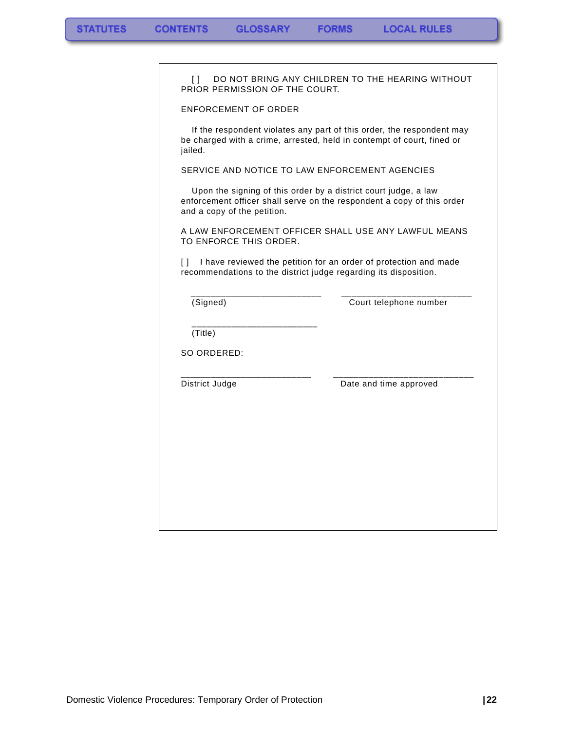É

| L.<br>PRIOR PERMISSION OF THE COURT.                                                                                                                                     | DO NOT BRING ANY CHILDREN TO THE HEARING WITHOUT                      |
|--------------------------------------------------------------------------------------------------------------------------------------------------------------------------|-----------------------------------------------------------------------|
| <b>ENFORCEMENT OF ORDER</b>                                                                                                                                              |                                                                       |
| be charged with a crime, arrested, held in contempt of court, fined or<br>jailed.                                                                                        | If the respondent violates any part of this order, the respondent may |
| SERVICE AND NOTICE TO LAW ENFORCEMENT AGENCIES                                                                                                                           |                                                                       |
| Upon the signing of this order by a district court judge, a law<br>enforcement officer shall serve on the respondent a copy of this order<br>and a copy of the petition. |                                                                       |
| A LAW ENFORCEMENT OFFICER SHALL USE ANY LAWFUL MEANS<br>TO ENFORCE THIS ORDER.                                                                                           |                                                                       |
| $\Box$<br>recommendations to the district judge regarding its disposition.                                                                                               | I have reviewed the petition for an order of protection and made      |
| (Signed)                                                                                                                                                                 | Court telephone number                                                |
| (Title)                                                                                                                                                                  |                                                                       |
| SO ORDERED:                                                                                                                                                              |                                                                       |
| District Judge                                                                                                                                                           | Date and time approved                                                |
|                                                                                                                                                                          |                                                                       |
|                                                                                                                                                                          |                                                                       |
|                                                                                                                                                                          |                                                                       |
|                                                                                                                                                                          |                                                                       |
|                                                                                                                                                                          |                                                                       |
|                                                                                                                                                                          |                                                                       |
|                                                                                                                                                                          |                                                                       |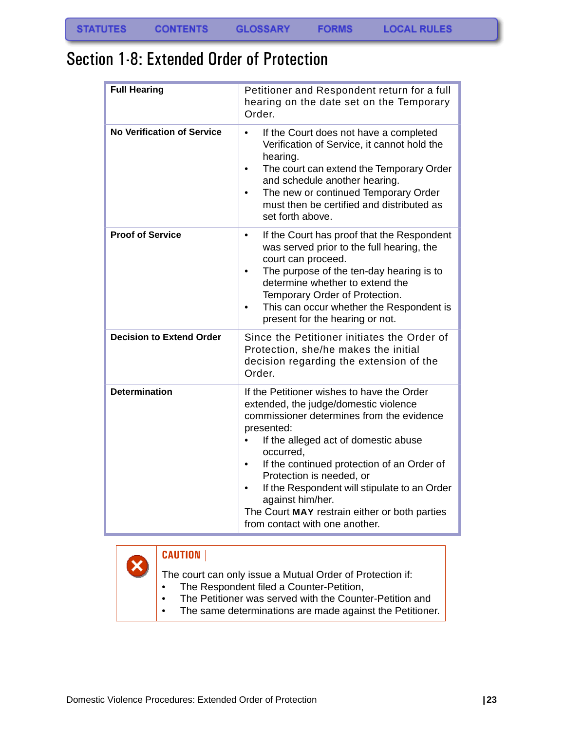# <span id="page-24-0"></span>Section 1-8: Extended Order of Protection

| <b>Full Hearing</b>               | Petitioner and Respondent return for a full<br>hearing on the date set on the Temporary<br>Order.                                                                                                                                                                                                                                                                                                                                    |
|-----------------------------------|--------------------------------------------------------------------------------------------------------------------------------------------------------------------------------------------------------------------------------------------------------------------------------------------------------------------------------------------------------------------------------------------------------------------------------------|
| <b>No Verification of Service</b> | If the Court does not have a completed<br>$\bullet$<br>Verification of Service, it cannot hold the<br>hearing.<br>The court can extend the Temporary Order<br>$\bullet$<br>and schedule another hearing.<br>The new or continued Temporary Order<br>must then be certified and distributed as<br>set forth above.                                                                                                                    |
| <b>Proof of Service</b>           | If the Court has proof that the Respondent<br>٠<br>was served prior to the full hearing, the<br>court can proceed.<br>The purpose of the ten-day hearing is to<br>determine whether to extend the<br>Temporary Order of Protection.<br>This can occur whether the Respondent is<br>present for the hearing or not.                                                                                                                   |
| <b>Decision to Extend Order</b>   | Since the Petitioner initiates the Order of<br>Protection, she/he makes the initial<br>decision regarding the extension of the<br>Order.                                                                                                                                                                                                                                                                                             |
| <b>Determination</b>              | If the Petitioner wishes to have the Order<br>extended, the judge/domestic violence<br>commissioner determines from the evidence<br>presented:<br>If the alleged act of domestic abuse<br>occurred,<br>If the continued protection of an Order of<br>Protection is needed, or<br>If the Respondent will stipulate to an Order<br>against him/her.<br>The Court MAY restrain either or both parties<br>from contact with one another. |

# **CAUTION |**

 $\bm{\times}$ 

The court can only issue a Mutual Order of Protection if:

- The Respondent filed a Counter-Petition,
- The Petitioner was served with the Counter-Petition and
- The same determinations are made against the Petitioner.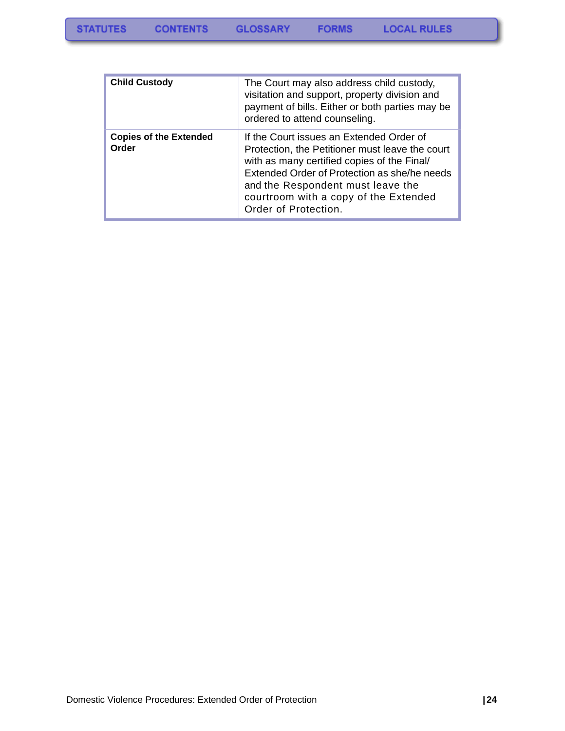| <b>Child Custody</b>                   | The Court may also address child custody,<br>visitation and support, property division and<br>payment of bills. Either or both parties may be<br>ordered to attend counseling.                                                                                                                   |
|----------------------------------------|--------------------------------------------------------------------------------------------------------------------------------------------------------------------------------------------------------------------------------------------------------------------------------------------------|
| <b>Copies of the Extended</b><br>Order | If the Court issues an Extended Order of<br>Protection, the Petitioner must leave the court<br>with as many certified copies of the Final/<br>Extended Order of Protection as she/he needs<br>and the Respondent must leave the<br>courtroom with a copy of the Extended<br>Order of Protection. |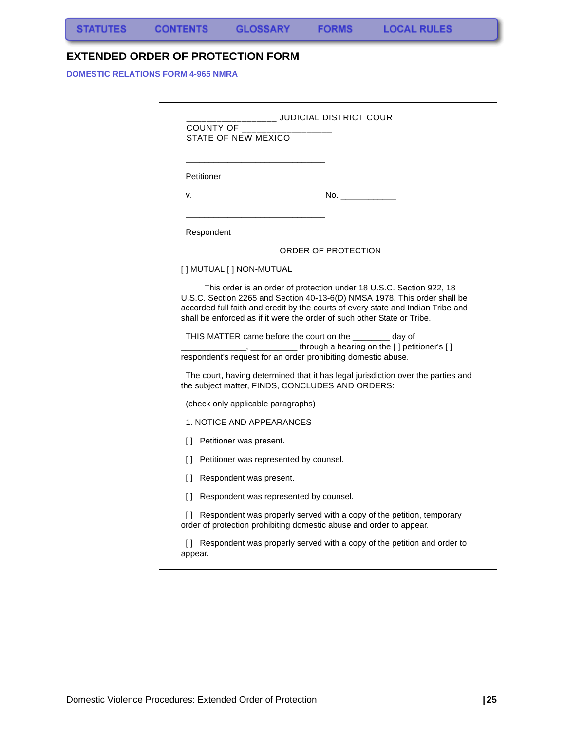### <span id="page-26-0"></span>**EXTENDED ORDER OF PROTECTION FORM**

**DOMESTIC RELATIONS FORM 4-965 NMRA**

| ______ JUDICIAL DISTRICT COURT<br>COUNTY OF<br>STATE OF NEW MEXICO |                                                                                                                                                                                                                                                                                                                                                                                                                                                                                                                                                                                                       |  |  |  |
|--------------------------------------------------------------------|-------------------------------------------------------------------------------------------------------------------------------------------------------------------------------------------------------------------------------------------------------------------------------------------------------------------------------------------------------------------------------------------------------------------------------------------------------------------------------------------------------------------------------------------------------------------------------------------------------|--|--|--|
| Petitioner                                                         |                                                                                                                                                                                                                                                                                                                                                                                                                                                                                                                                                                                                       |  |  |  |
| v.                                                                 |                                                                                                                                                                                                                                                                                                                                                                                                                                                                                                                                                                                                       |  |  |  |
| Respondent                                                         |                                                                                                                                                                                                                                                                                                                                                                                                                                                                                                                                                                                                       |  |  |  |
|                                                                    | ORDER OF PROTECTION                                                                                                                                                                                                                                                                                                                                                                                                                                                                                                                                                                                   |  |  |  |
| [ ] MUTUAL [ ] NON-MUTUAL                                          |                                                                                                                                                                                                                                                                                                                                                                                                                                                                                                                                                                                                       |  |  |  |
|                                                                    | This order is an order of protection under 18 U.S.C. Section 922, 18<br>U.S.C. Section 2265 and Section 40-13-6(D) NMSA 1978. This order shall be<br>accorded full faith and credit by the courts of every state and Indian Tribe and<br>shall be enforced as if it were the order of such other State or Tribe.<br>THIS MATTER came before the court on the ________ day of<br>______, _____________through a hearing on the [] petitioner's []<br>respondent's request for an order prohibiting domestic abuse.<br>The court, having determined that it has legal jurisdiction over the parties and |  |  |  |
|                                                                    | the subject matter, FINDS, CONCLUDES AND ORDERS:                                                                                                                                                                                                                                                                                                                                                                                                                                                                                                                                                      |  |  |  |
| (check only applicable paragraphs)                                 |                                                                                                                                                                                                                                                                                                                                                                                                                                                                                                                                                                                                       |  |  |  |
| 1. NOTICE AND APPEARANCES                                          |                                                                                                                                                                                                                                                                                                                                                                                                                                                                                                                                                                                                       |  |  |  |
| L.<br>Petitioner was present.                                      |                                                                                                                                                                                                                                                                                                                                                                                                                                                                                                                                                                                                       |  |  |  |
| Petitioner was represented by counsel.<br>Ħ                        |                                                                                                                                                                                                                                                                                                                                                                                                                                                                                                                                                                                                       |  |  |  |
| n<br>Respondent was present.                                       |                                                                                                                                                                                                                                                                                                                                                                                                                                                                                                                                                                                                       |  |  |  |
| $\Box$<br>Respondent was represented by counsel.                   |                                                                                                                                                                                                                                                                                                                                                                                                                                                                                                                                                                                                       |  |  |  |
|                                                                    | [] Respondent was properly served with a copy of the petition, temporary<br>order of protection prohibiting domestic abuse and order to appear.                                                                                                                                                                                                                                                                                                                                                                                                                                                       |  |  |  |
| appear.                                                            | [] Respondent was properly served with a copy of the petition and order to                                                                                                                                                                                                                                                                                                                                                                                                                                                                                                                            |  |  |  |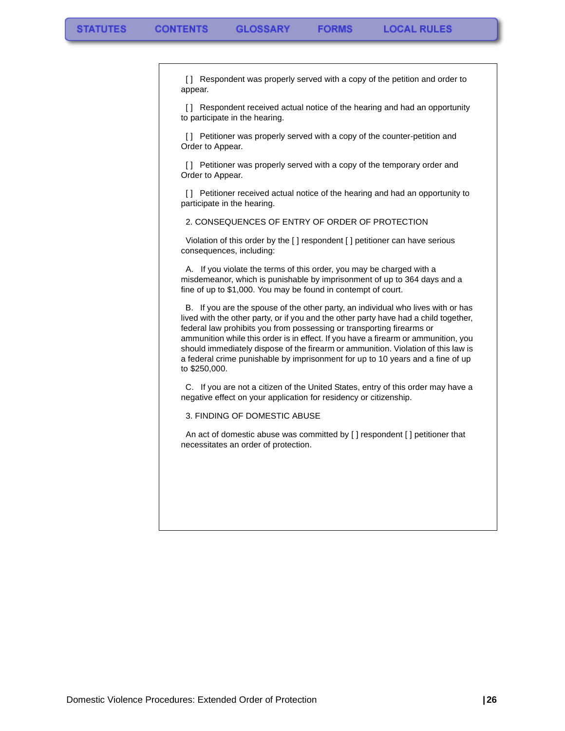[] Respondent was properly served with a copy of the petition and order to appear.

[] Respondent received actual notice of the hearing and had an opportunity to participate in the hearing.

[] Petitioner was properly served with a copy of the counter-petition and Order to Appear.

[ ] Petitioner was properly served with a copy of the temporary order and Order to Appear.

[] Petitioner received actual notice of the hearing and had an opportunity to participate in the hearing.

2. CONSEQUENCES OF ENTRY OF ORDER OF PROTECTION

 Violation of this order by the [ ] respondent [ ] petitioner can have serious consequences, including:

 A. If you violate the terms of this order, you may be charged with a misdemeanor, which is punishable by imprisonment of up to 364 days and a fine of up to \$1,000. You may be found in contempt of court.

 B. If you are the spouse of the other party, an individual who lives with or has lived with the other party, or if you and the other party have had a child together, federal law prohibits you from possessing or transporting firearms or ammunition while this order is in effect. If you have a firearm or ammunition, you should immediately dispose of the firearm or ammunition. Violation of this law is a federal crime punishable by imprisonment for up to 10 years and a fine of up to \$250,000.

 C. If you are not a citizen of the United States, entry of this order may have a negative effect on your application for residency or citizenship.

3. FINDING OF DOMESTIC ABUSE

 An act of domestic abuse was committed by [ ] respondent [ ] petitioner that necessitates an order of protection.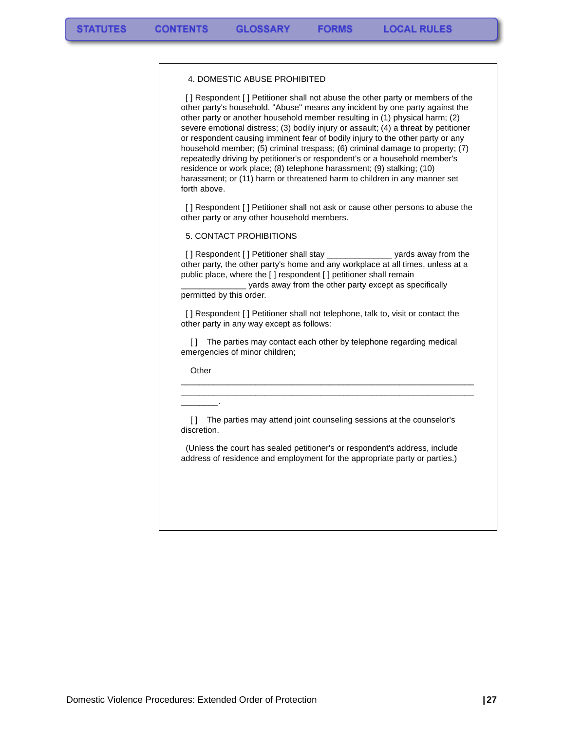#### 4. DOMESTIC ABUSE PROHIBITED

[] Respondent [] Petitioner shall not abuse the other party or members of the other party's household. "Abuse" means any incident by one party against the other party or another household member resulting in (1) physical harm; (2) severe emotional distress; (3) bodily injury or assault; (4) a threat by petitioner or respondent causing imminent fear of bodily injury to the other party or any household member; (5) criminal trespass; (6) criminal damage to property; (7) repeatedly driving by petitioner's or respondent's or a household member's residence or work place; (8) telephone harassment; (9) stalking; (10) harassment; or (11) harm or threatened harm to children in any manner set forth above.

[] Respondent [] Petitioner shall not ask or cause other persons to abuse the other party or any other household members.

#### 5. CONTACT PROHIBITIONS

[] Respondent [] Petitioner shall stay \_\_\_\_\_\_\_\_\_\_\_\_\_\_\_\_\_ yards away from the other party, the other party's home and any workplace at all times, unless at a public place, where the [ ] respondent [ ] petitioner shall remain

yards away from the other party except as specifically permitted by this order.

[] Respondent [] Petitioner shall not telephone, talk to, visit or contact the other party in any way except as follows:

[1] The parties may contact each other by telephone regarding medical emergencies of minor children;

\_\_\_\_\_\_\_\_\_\_\_\_\_\_\_\_\_\_\_\_\_\_\_\_\_\_\_\_\_\_\_\_\_\_\_\_\_\_\_\_\_\_\_\_\_\_\_\_\_\_\_\_\_\_\_\_\_\_\_\_\_\_\_ \_\_\_\_\_\_\_\_\_\_\_\_\_\_\_\_\_\_\_\_\_\_\_\_\_\_\_\_\_\_\_\_\_\_\_\_\_\_\_\_\_\_\_\_\_\_\_\_\_\_\_\_\_\_\_\_\_\_\_\_\_\_\_

**Other** 

\_\_\_\_\_\_\_\_.

[] The parties may attend joint counseling sessions at the counselor's discretion.

 (Unless the court has sealed petitioner's or respondent's address, include address of residence and employment for the appropriate party or parties.)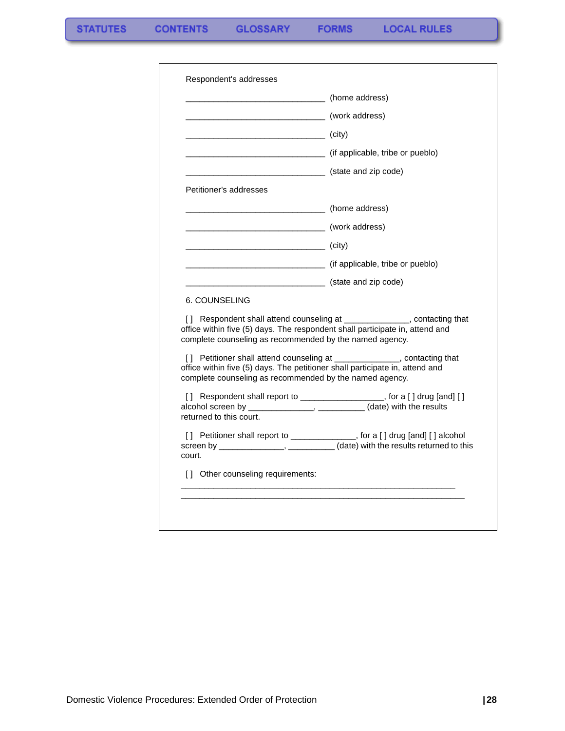|                                                         | (home address)                                                                                                                                                  |
|---------------------------------------------------------|-----------------------------------------------------------------------------------------------------------------------------------------------------------------|
| (work address)                                          |                                                                                                                                                                 |
| (city)                                                  |                                                                                                                                                                 |
|                                                         | (if applicable, tribe or pueblo)                                                                                                                                |
|                                                         | (state and zip code)                                                                                                                                            |
| Petitioner's addresses                                  |                                                                                                                                                                 |
|                                                         | ____________________ (home address)                                                                                                                             |
|                                                         |                                                                                                                                                                 |
| $\overline{\phantom{a}}$ (city)                         |                                                                                                                                                                 |
|                                                         | (if applicable, tribe or pueblo)                                                                                                                                |
| (state and zip code)                                    |                                                                                                                                                                 |
| 6. COUNSELING                                           |                                                                                                                                                                 |
| complete counseling as recommended by the named agency. | [] Respondent shall attend counseling at ______________, contacting that<br>office within five (5) days. The respondent shall participate in, attend and        |
| complete counseling as recommended by the named agency. | [] Petitioner shall attend counseling at _______________, contacting that<br>office within five (5) days. The petitioner shall participate in, attend and       |
| returned to this court.                                 | [] Respondent shall report to ___________________, for a [] drug [and] []<br>alcohol screen by _______________, __________ (date) with the results              |
| court.                                                  | [] Petitioner shall report to _____________, for a [] drug [and] [] alcohol<br>screen by ________________, ____________(date) with the results returned to this |
| [] Other counseling requirements:                       |                                                                                                                                                                 |
|                                                         |                                                                                                                                                                 |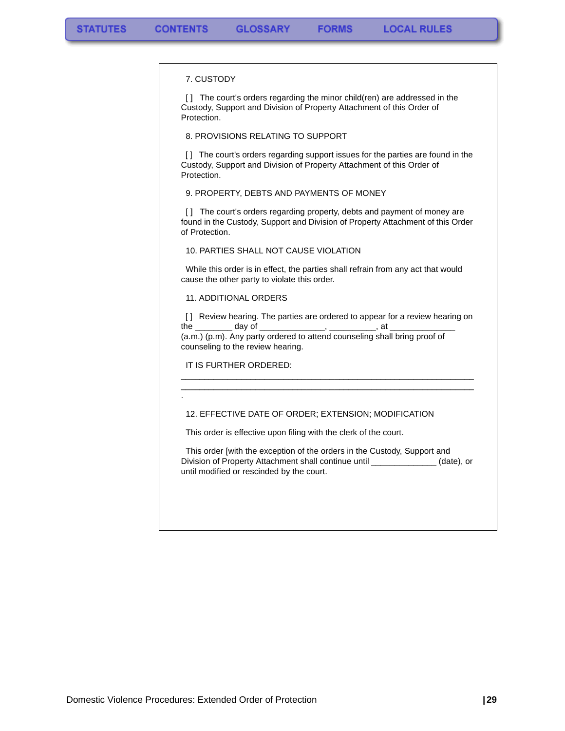#### 7. CUSTODY

[] The court's orders regarding the minor child(ren) are addressed in the Custody, Support and Division of Property Attachment of this Order of Protection.

**FORMS** 

8. PROVISIONS RELATING TO SUPPORT

[] The court's orders regarding support issues for the parties are found in the Custody, Support and Division of Property Attachment of this Order of Protection.

9. PROPERTY, DEBTS AND PAYMENTS OF MONEY

[] The court's orders regarding property, debts and payment of money are found in the Custody, Support and Division of Property Attachment of this Order of Protection.

10. PARTIES SHALL NOT CAUSE VIOLATION

 While this order is in effect, the parties shall refrain from any act that would cause the other party to violate this order.

11. ADDITIONAL ORDERS

[1] Review hearing. The parties are ordered to appear for a review hearing on the \_\_\_\_\_\_\_\_\_\_ day of \_\_\_\_\_\_\_\_\_\_\_\_\_\_\_\_, \_\_\_\_\_\_\_\_\_\_\_\_, at \_ (a.m.) (p.m). Any party ordered to attend counseling shall bring proof of counseling to the review hearing.

\_\_\_\_\_\_\_\_\_\_\_\_\_\_\_\_\_\_\_\_\_\_\_\_\_\_\_\_\_\_\_\_\_\_\_\_\_\_\_\_\_\_\_\_\_\_\_\_\_\_\_\_\_\_\_\_\_\_\_\_\_\_\_ \_\_\_\_\_\_\_\_\_\_\_\_\_\_\_\_\_\_\_\_\_\_\_\_\_\_\_\_\_\_\_\_\_\_\_\_\_\_\_\_\_\_\_\_\_\_\_\_\_\_\_\_\_\_\_\_\_\_\_\_\_\_\_

IT IS FURTHER ORDERED:

.

#### 12. EFFECTIVE DATE OF ORDER; EXTENSION; MODIFICATION

This order is effective upon filing with the clerk of the court.

 This order [with the exception of the orders in the Custody, Support and Division of Property Attachment shall continue until \_\_\_\_\_\_\_\_\_\_\_\_\_\_ (date), or until modified or rescinded by the court.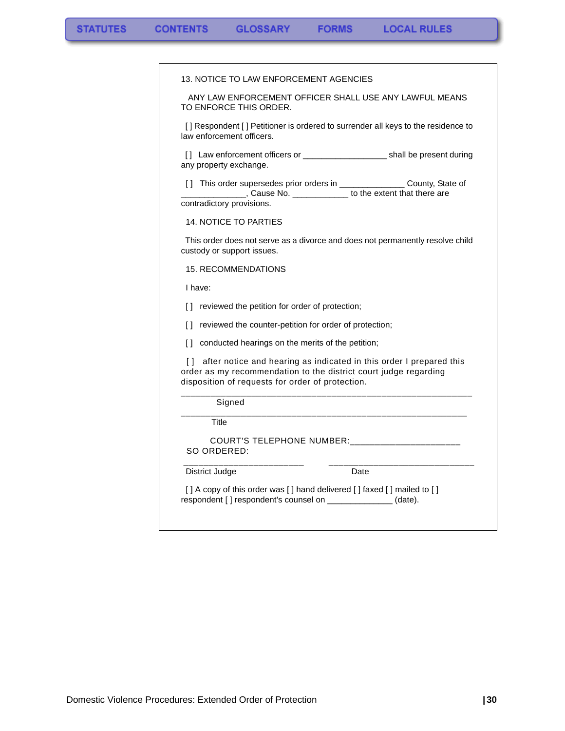$\blacksquare$ 

|                              | 13. NOTICE TO LAW ENFORCEMENT AGENCIES                    |                                                                                                                                                          |
|------------------------------|-----------------------------------------------------------|----------------------------------------------------------------------------------------------------------------------------------------------------------|
|                              |                                                           |                                                                                                                                                          |
| TO ENFORCE THIS ORDER.       |                                                           | ANY LAW ENFORCEMENT OFFICER SHALL USE ANY LAWFUL MEANS                                                                                                   |
| law enforcement officers.    |                                                           | [] Respondent [] Petitioner is ordered to surrender all keys to the residence to                                                                         |
| any property exchange.       |                                                           |                                                                                                                                                          |
| contradictory provisions.    |                                                           | [] This order supersedes prior orders in __________________ County, State of<br>Let us a cause No. 2008 Cause No. 2008 [10] to the extent that there are |
| <b>14. NOTICE TO PARTIES</b> |                                                           |                                                                                                                                                          |
| custody or support issues.   |                                                           | This order does not serve as a divorce and does not permanently resolve child                                                                            |
| <b>15. RECOMMENDATIONS</b>   |                                                           |                                                                                                                                                          |
| I have:                      |                                                           |                                                                                                                                                          |
|                              | [] reviewed the petition for order of protection;         |                                                                                                                                                          |
|                              | [] reviewed the counter-petition for order of protection; |                                                                                                                                                          |
|                              | [] conducted hearings on the merits of the petition;      |                                                                                                                                                          |
|                              | disposition of requests for order of protection.          | [] after notice and hearing as indicated in this order I prepared this<br>order as my recommendation to the district court judge regarding               |
| Signed                       |                                                           |                                                                                                                                                          |
| Title                        |                                                           |                                                                                                                                                          |
| SO ORDERED:                  |                                                           | COURT'S TELEPHONE NUMBER: _____________________                                                                                                          |
| District Judge               |                                                           | Date                                                                                                                                                     |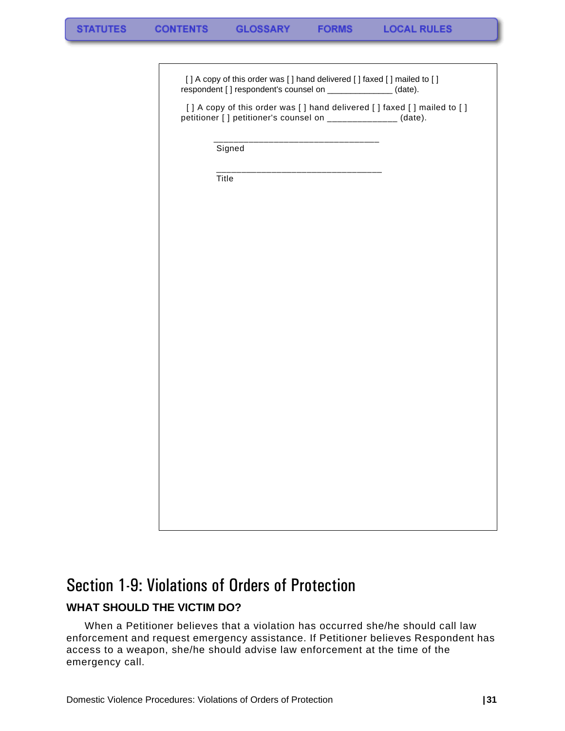[] A copy of this order was [] hand delivered [] faxed [] mailed to [] respondent [] respondent's counsel on \_\_\_\_\_\_\_\_\_\_\_\_\_\_\_ (date).

[] A copy of this order was [] hand delivered [] faxed [] mailed to [] petitioner [] petitioner's counsel on \_\_\_\_\_\_\_\_\_\_\_\_\_ (date).

 \_\_\_\_\_\_\_\_\_\_\_\_\_\_\_\_\_\_\_\_\_\_\_\_\_\_\_\_\_\_\_\_\_ Signed

 \_\_\_\_\_\_\_\_\_\_\_\_\_\_\_\_\_\_\_\_\_\_\_\_\_\_\_\_\_\_\_\_\_ Title

# <span id="page-32-0"></span>Section 1-9: Violations of Orders of Protection **WHAT SHOULD THE VICTIM DO?**

<span id="page-32-1"></span>When a Petitioner believes that a violation has occurred she/he should call law enforcement and request emergency assistance. If Petitioner believes Respondent has access to a weapon, she/he should advise law enforcement at the time of the emergency call.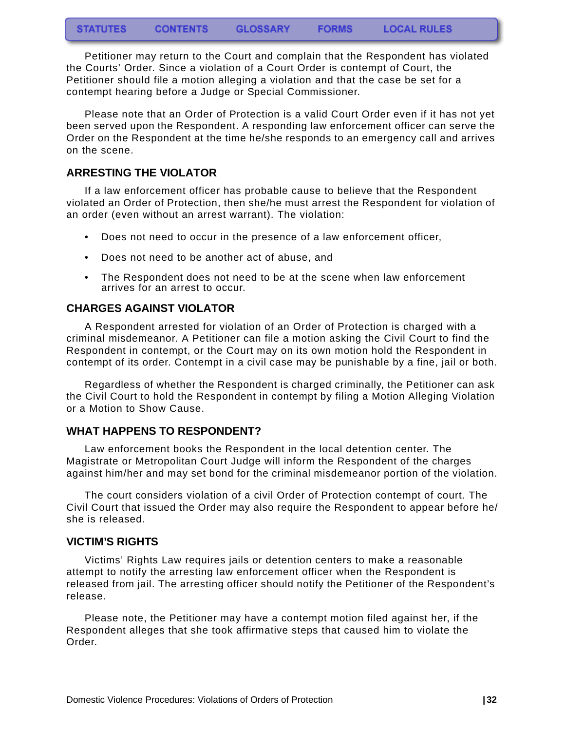Petitioner may return to the Court and complain that the Respondent has violated the Courts' Order. Since a violation of a Court Order is contempt of Court, the Petitioner should file a motion alleging a violation and that the case be set for a contempt hearing before a Judge or Special Commissioner.

Please note that an Order of Protection is a valid Court Order even if it has not yet been served upon the Respondent. A responding law enforcement officer can serve the Order on the Respondent at the time he/she responds to an emergency call and arrives on the scene.

### <span id="page-33-0"></span>**ARRESTING THE VIOLATOR**

If a law enforcement officer has probable cause to believe that the Respondent violated an Order of Protection, then she/he must arrest the Respondent for violation of an order (even without an arrest warrant). The violation:

- Does not need to occur in the presence of a law enforcement officer,
- Does not need to be another act of abuse, and
- The Respondent does not need to be at the scene when law enforcement arrives for an arrest to occur.

### <span id="page-33-1"></span>**CHARGES AGAINST VIOLATOR**

A Respondent arrested for violation of an Order of Protection is charged with a criminal misdemeanor. A Petitioner can file a motion asking the Civil Court to find the Respondent in contempt, or the Court may on its own motion hold the Respondent in contempt of its order. Contempt in a civil case may be punishable by a fine, jail or both.

Regardless of whether the Respondent is charged criminally, the Petitioner can ask the Civil Court to hold the Respondent in contempt by filing a Motion Alleging Violation or a Motion to Show Cause.

### <span id="page-33-2"></span>**WHAT HAPPENS TO RESPONDENT?**

Law enforcement books the Respondent in the local detention center. The Magistrate or Metropolitan Court Judge will inform the Respondent of the charges against him/her and may set bond for the criminal misdemeanor portion of the violation.

The court considers violation of a civil Order of Protection contempt of court. The Civil Court that issued the Order may also require the Respondent to appear before he/ she is released.

### <span id="page-33-3"></span>**VICTIM'S RIGHTS**

Victims' Rights Law requires jails or detention centers to make a reasonable attempt to notify the arresting law enforcement officer when the Respondent is released from jail. The arresting officer should notify the Petitioner of the Respondent's release.

Please note, the Petitioner may have a contempt motion filed against her, if the Respondent alleges that she took affirmative steps that caused him to violate the Order.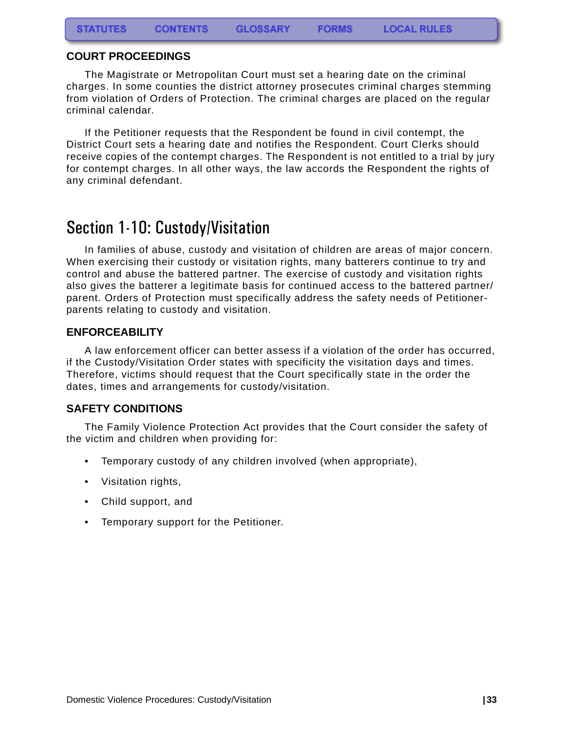### <span id="page-34-0"></span>**COURT PROCEEDINGS**

The Magistrate or Metropolitan Court must set a hearing date on the criminal charges. In some counties the district attorney prosecutes criminal charges stemming from violation of Orders of Protection. The criminal charges are placed on the regular criminal calendar.

If the Petitioner requests that the Respondent be found in civil contempt, the District Court sets a hearing date and notifies the Respondent. Court Clerks should receive copies of the contempt charges. The Respondent is not entitled to a trial by jury for contempt charges. In all other ways, the law accords the Respondent the rights of any criminal defendant.

# <span id="page-34-1"></span>Section 1-10: Custody/Visitation

In families of abuse, custody and visitation of children are areas of major concern. When exercising their custody or visitation rights, many batterers continue to try and control and abuse the battered partner. The exercise of custody and visitation rights also gives the batterer a legitimate basis for continued access to the battered partner/ parent. Orders of Protection must specifically address the safety needs of Petitionerparents relating to custody and visitation.

#### <span id="page-34-2"></span>**ENFORCEABILITY**

A law enforcement officer can better assess if a violation of the order has occurred, if the Custody/Visitation Order states with specificity the visitation days and times. Therefore, victims should request that the Court specifically state in the order the dates, times and arrangements for custody/visitation.

### <span id="page-34-3"></span>**SAFETY CONDITIONS**

The Family Violence Protection Act provides that the Court consider the safety of the victim and children when providing for:

- Temporary custody of any children involved (when appropriate),
- Visitation rights,
- Child support, and
- Temporary support for the Petitioner.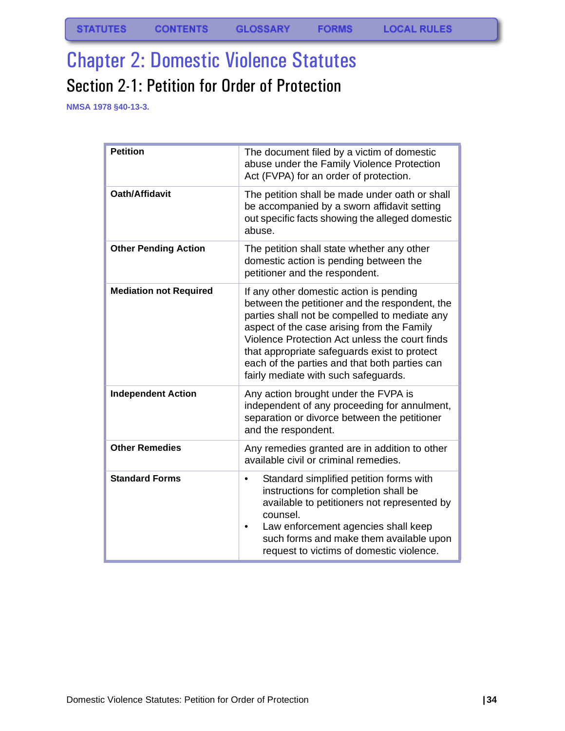# <span id="page-35-1"></span><span id="page-35-0"></span>Chapter 2: Domestic Violence Statutes Section 2-1: Petition for Order of Protection

**NMSA 1978 §40-13-3.**

| <b>Petition</b>               | The document filed by a victim of domestic<br>abuse under the Family Violence Protection<br>Act (FVPA) for an order of protection.                                                                                                                                                                                                                                                  |
|-------------------------------|-------------------------------------------------------------------------------------------------------------------------------------------------------------------------------------------------------------------------------------------------------------------------------------------------------------------------------------------------------------------------------------|
| Oath/Affidavit                | The petition shall be made under oath or shall<br>be accompanied by a sworn affidavit setting<br>out specific facts showing the alleged domestic<br>abuse.                                                                                                                                                                                                                          |
| <b>Other Pending Action</b>   | The petition shall state whether any other<br>domestic action is pending between the<br>petitioner and the respondent.                                                                                                                                                                                                                                                              |
| <b>Mediation not Required</b> | If any other domestic action is pending<br>between the petitioner and the respondent, the<br>parties shall not be compelled to mediate any<br>aspect of the case arising from the Family<br>Violence Protection Act unless the court finds<br>that appropriate safeguards exist to protect<br>each of the parties and that both parties can<br>fairly mediate with such safeguards. |
| <b>Independent Action</b>     | Any action brought under the FVPA is<br>independent of any proceeding for annulment,<br>separation or divorce between the petitioner<br>and the respondent.                                                                                                                                                                                                                         |
| <b>Other Remedies</b>         | Any remedies granted are in addition to other<br>available civil or criminal remedies.                                                                                                                                                                                                                                                                                              |
| <b>Standard Forms</b>         | Standard simplified petition forms with<br>instructions for completion shall be<br>available to petitioners not represented by<br>counsel.<br>Law enforcement agencies shall keep<br>such forms and make them available upon<br>request to victims of domestic violence.                                                                                                            |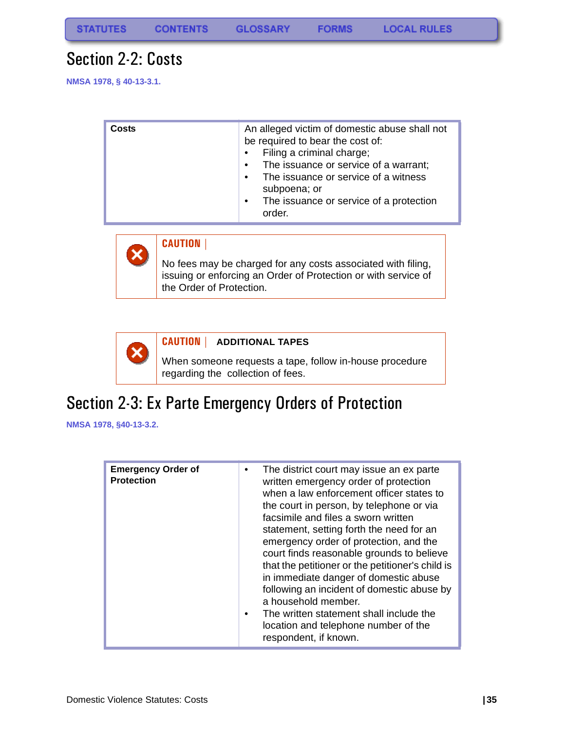## Section 2-2: Costs

**NMSA 1978, § 40-13-3.1.**



#### **CAUTION |**

No fees may be charged for any costs associated with filing, issuing or enforcing an Order of Protection or with service of the Order of Protection.



#### **CAUTION | ADDITIONAL TAPES**

When someone requests a tape, follow in-house procedure regarding the collection of fees.

## Section 2-3: Ex Parte Emergency Orders of Protection

**NMSA 1978, §40-13-3.2.**

| <b>Emergency Order of</b><br><b>Protection</b> | The district court may issue an ex parte<br>written emergency order of protection<br>when a law enforcement officer states to<br>the court in person, by telephone or via<br>facsimile and files a sworn written<br>statement, setting forth the need for an<br>emergency order of protection, and the<br>court finds reasonable grounds to believe<br>that the petitioner or the petitioner's child is<br>in immediate danger of domestic abuse<br>following an incident of domestic abuse by<br>a household member.<br>The written statement shall include the |
|------------------------------------------------|------------------------------------------------------------------------------------------------------------------------------------------------------------------------------------------------------------------------------------------------------------------------------------------------------------------------------------------------------------------------------------------------------------------------------------------------------------------------------------------------------------------------------------------------------------------|
|                                                | location and telephone number of the<br>respondent, if known.                                                                                                                                                                                                                                                                                                                                                                                                                                                                                                    |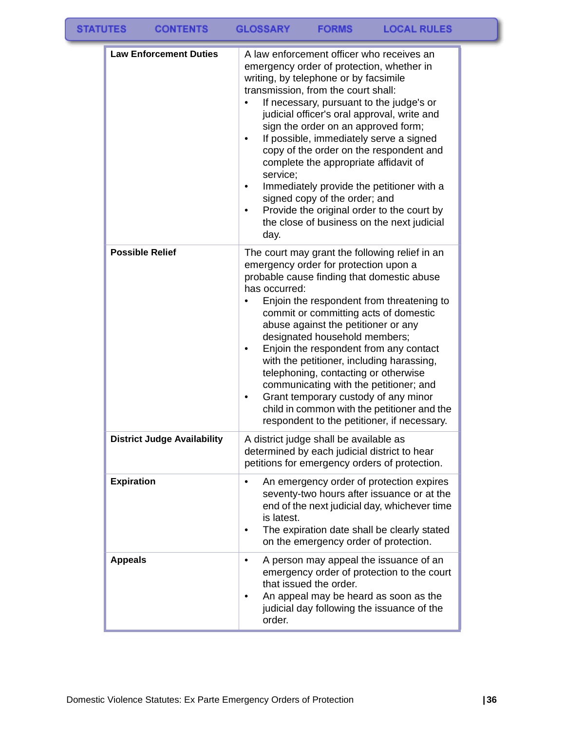| <b>Law Enforcement Duties</b>      | A law enforcement officer who receives an<br>emergency order of protection, whether in<br>writing, by telephone or by facsimile<br>transmission, from the court shall:<br>If necessary, pursuant to the judge's or<br>judicial officer's oral approval, write and<br>sign the order on an approved form;<br>If possible, immediately serve a signed<br>copy of the order on the respondent and<br>complete the appropriate affidavit of<br>service:<br>Immediately provide the petitioner with a<br>signed copy of the order; and<br>Provide the original order to the court by<br>the close of business on the next judicial<br>day.    |
|------------------------------------|------------------------------------------------------------------------------------------------------------------------------------------------------------------------------------------------------------------------------------------------------------------------------------------------------------------------------------------------------------------------------------------------------------------------------------------------------------------------------------------------------------------------------------------------------------------------------------------------------------------------------------------|
| <b>Possible Relief</b>             | The court may grant the following relief in an<br>emergency order for protection upon a<br>probable cause finding that domestic abuse<br>has occurred:<br>Enjoin the respondent from threatening to<br>commit or committing acts of domestic<br>abuse against the petitioner or any<br>designated household members;<br>Enjoin the respondent from any contact<br>٠<br>with the petitioner, including harassing,<br>telephoning, contacting or otherwise<br>communicating with the petitioner; and<br>Grant temporary custody of any minor<br>child in common with the petitioner and the<br>respondent to the petitioner, if necessary. |
| <b>District Judge Availability</b> | A district judge shall be available as<br>determined by each judicial district to hear<br>petitions for emergency orders of protection.                                                                                                                                                                                                                                                                                                                                                                                                                                                                                                  |
| <b>Expiration</b>                  | An emergency order of protection expires<br>seventy-two hours after issuance or at the<br>end of the next judicial day, whichever time<br>is latest.<br>The expiration date shall be clearly stated<br>on the emergency order of protection.                                                                                                                                                                                                                                                                                                                                                                                             |
| <b>Appeals</b>                     | A person may appeal the issuance of an<br>٠<br>emergency order of protection to the court<br>that issued the order.<br>An appeal may be heard as soon as the<br>judicial day following the issuance of the<br>order.                                                                                                                                                                                                                                                                                                                                                                                                                     |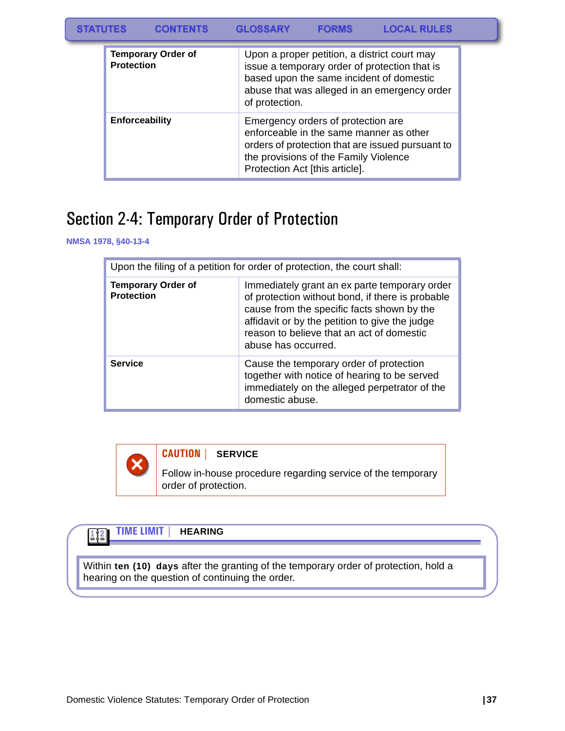**STATUTES CONTENTS GLOSSARY FORMS LOCAL RULES** 

| <b>Temporary Order of</b><br><b>Protection</b> | Upon a proper petition, a district court may<br>issue a temporary order of protection that is<br>based upon the same incident of domestic<br>abuse that was alleged in an emergency order<br>of protection.  |
|------------------------------------------------|--------------------------------------------------------------------------------------------------------------------------------------------------------------------------------------------------------------|
| <b>Enforceability</b>                          | Emergency orders of protection are<br>enforceable in the same manner as other<br>orders of protection that are issued pursuant to<br>the provisions of the Family Violence<br>Protection Act [this article]. |

## Section 2-4: Temporary Order of Protection

**NMSA 1978, §40-13-4**

| Upon the filing of a petition for order of protection, the court shall: |                                                                                                                                                                                                                                                                       |  |
|-------------------------------------------------------------------------|-----------------------------------------------------------------------------------------------------------------------------------------------------------------------------------------------------------------------------------------------------------------------|--|
| <b>Temporary Order of</b><br><b>Protection</b>                          | Immediately grant an ex parte temporary order<br>of protection without bond, if there is probable<br>cause from the specific facts shown by the<br>affidavit or by the petition to give the judge<br>reason to believe that an act of domestic<br>abuse has occurred. |  |
| <b>Service</b>                                                          | Cause the temporary order of protection<br>together with notice of hearing to be served<br>immediately on the alleged perpetrator of the<br>domestic abuse.                                                                                                           |  |



Follow in-house procedure regarding service of the temporary order of protection.

#### **TIME LIMIT | HEARING**  $\mathbb{H}^2$

Within **ten (10) days** after the granting of the temporary order of protection, hold a hearing on the question of continuing the order.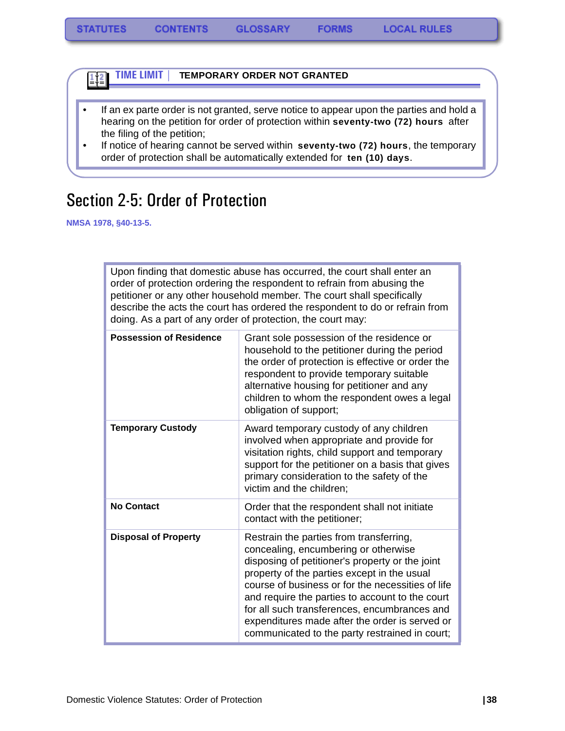

- If an ex parte order is not granted, serve notice to appear upon the parties and hold a hearing on the petition for order of protection within **seventy-two (72) hours** after the filing of the petition;
- If notice of hearing cannot be served within **seventy-two (72) hours**, the temporary order of protection shall be automatically extended for **ten (10) days**.

## Section 2-5: Order of Protection

**NMSA 1978, §40-13-5.**

Upon finding that domestic abuse has occurred, the court shall enter an order of protection ordering the respondent to refrain from abusing the petitioner or any other household member. The court shall specifically describe the acts the court has ordered the respondent to do or refrain from doing. As a part of any order of protection, the court may:

| <b>Possession of Residence</b> | Grant sole possession of the residence or<br>household to the petitioner during the period<br>the order of protection is effective or order the<br>respondent to provide temporary suitable<br>alternative housing for petitioner and any<br>children to whom the respondent owes a legal<br>obligation of support;                                                                                                                           |
|--------------------------------|-----------------------------------------------------------------------------------------------------------------------------------------------------------------------------------------------------------------------------------------------------------------------------------------------------------------------------------------------------------------------------------------------------------------------------------------------|
| <b>Temporary Custody</b>       | Award temporary custody of any children<br>involved when appropriate and provide for<br>visitation rights, child support and temporary<br>support for the petitioner on a basis that gives<br>primary consideration to the safety of the<br>victim and the children;                                                                                                                                                                          |
| <b>No Contact</b>              | Order that the respondent shall not initiate<br>contact with the petitioner;                                                                                                                                                                                                                                                                                                                                                                  |
| <b>Disposal of Property</b>    | Restrain the parties from transferring,<br>concealing, encumbering or otherwise<br>disposing of petitioner's property or the joint<br>property of the parties except in the usual<br>course of business or for the necessities of life<br>and require the parties to account to the court<br>for all such transferences, encumbrances and<br>expenditures made after the order is served or<br>communicated to the party restrained in court; |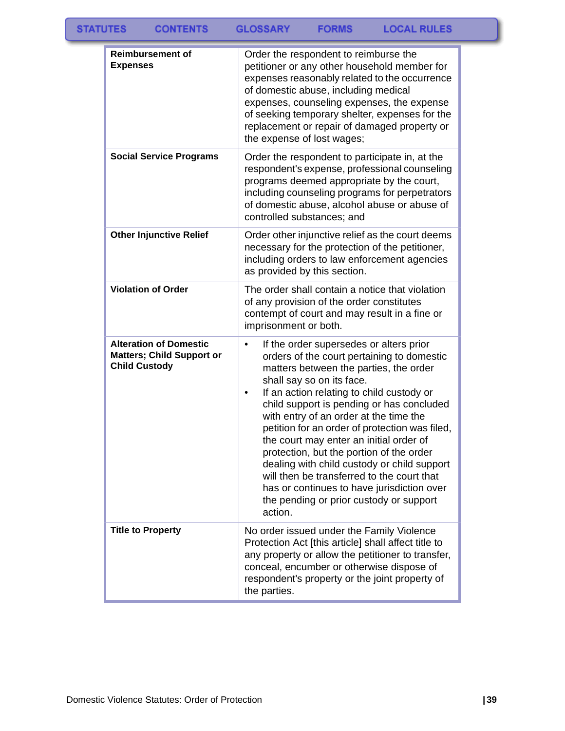| <b>Reimbursement of</b><br><b>Expenses</b>                                                | Order the respondent to reimburse the<br>petitioner or any other household member for<br>expenses reasonably related to the occurrence<br>of domestic abuse, including medical<br>expenses, counseling expenses, the expense<br>of seeking temporary shelter, expenses for the<br>replacement or repair of damaged property or<br>the expense of lost wages;                                                                                                                                                                                                                                                                                    |
|-------------------------------------------------------------------------------------------|-------------------------------------------------------------------------------------------------------------------------------------------------------------------------------------------------------------------------------------------------------------------------------------------------------------------------------------------------------------------------------------------------------------------------------------------------------------------------------------------------------------------------------------------------------------------------------------------------------------------------------------------------|
| <b>Social Service Programs</b>                                                            | Order the respondent to participate in, at the<br>respondent's expense, professional counseling<br>programs deemed appropriate by the court,<br>including counseling programs for perpetrators<br>of domestic abuse, alcohol abuse or abuse of<br>controlled substances; and                                                                                                                                                                                                                                                                                                                                                                    |
| <b>Other Injunctive Relief</b>                                                            | Order other injunctive relief as the court deems<br>necessary for the protection of the petitioner,<br>including orders to law enforcement agencies<br>as provided by this section.                                                                                                                                                                                                                                                                                                                                                                                                                                                             |
| <b>Violation of Order</b>                                                                 | The order shall contain a notice that violation<br>of any provision of the order constitutes<br>contempt of court and may result in a fine or<br>imprisonment or both.                                                                                                                                                                                                                                                                                                                                                                                                                                                                          |
| <b>Alteration of Domestic</b><br><b>Matters; Child Support or</b><br><b>Child Custody</b> | If the order supersedes or alters prior<br>orders of the court pertaining to domestic<br>matters between the parties, the order<br>shall say so on its face.<br>If an action relating to child custody or<br>٠<br>child support is pending or has concluded<br>with entry of an order at the time the<br>petition for an order of protection was filed,<br>the court may enter an initial order of<br>protection, but the portion of the order<br>dealing with child custody or child support<br>will then be transferred to the court that<br>has or continues to have jurisdiction over<br>the pending or prior custody or support<br>action. |
| <b>Title to Property</b>                                                                  | No order issued under the Family Violence<br>Protection Act [this article] shall affect title to<br>any property or allow the petitioner to transfer,<br>conceal, encumber or otherwise dispose of<br>respondent's property or the joint property of<br>the parties.                                                                                                                                                                                                                                                                                                                                                                            |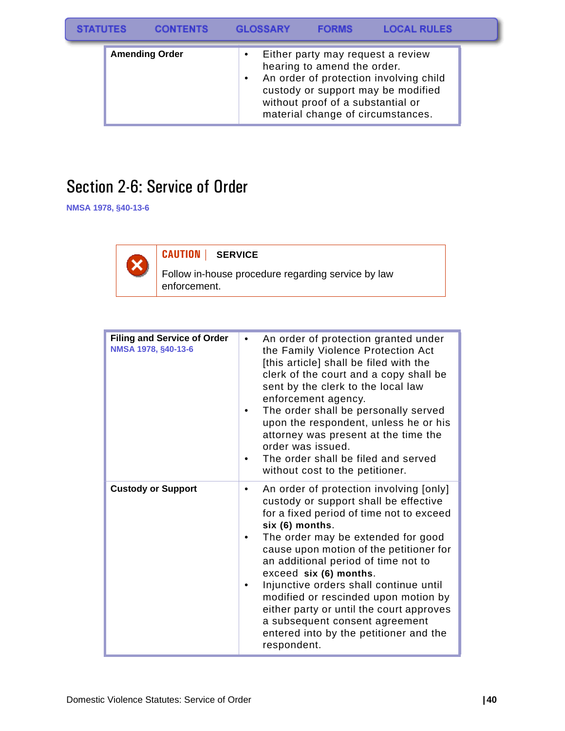| <b>STATUTES</b> |                       | <b>CONTENTS</b> | <b>GLOSSARY</b> |  | <b>FORMS</b>                                                     | <b>LOCAL RULES</b>                                                                                                                                     |  |
|-----------------|-----------------------|-----------------|-----------------|--|------------------------------------------------------------------|--------------------------------------------------------------------------------------------------------------------------------------------------------|--|
|                 | <b>Amending Order</b> |                 |                 |  | hearing to amend the order.<br>without proof of a substantial or | Either party may request a review<br>An order of protection involving child<br>custody or support may be modified<br>material change of circumstances. |  |

## Section 2-6: Service of Order

**NMSA 1978, §40-13-6**



#### **CAUTION | SERVICE**

Follow in-house procedure regarding service by law enforcement.

| <b>Filing and Service of Order</b><br>NMSA 1978, §40-13-6 | An order of protection granted under<br>٠<br>the Family Violence Protection Act<br>[this article] shall be filed with the<br>clerk of the court and a copy shall be<br>sent by the clerk to the local law<br>enforcement agency.<br>The order shall be personally served<br>upon the respondent, unless he or his<br>attorney was present at the time the<br>order was issued.<br>The order shall be filed and served<br>without cost to the petitioner.                                                                        |
|-----------------------------------------------------------|---------------------------------------------------------------------------------------------------------------------------------------------------------------------------------------------------------------------------------------------------------------------------------------------------------------------------------------------------------------------------------------------------------------------------------------------------------------------------------------------------------------------------------|
| <b>Custody or Support</b>                                 | An order of protection involving [only]<br>٠<br>custody or support shall be effective<br>for a fixed period of time not to exceed<br>six (6) months.<br>The order may be extended for good<br>cause upon motion of the petitioner for<br>an additional period of time not to<br>exceed six (6) months.<br>Injunctive orders shall continue until<br>modified or rescinded upon motion by<br>either party or until the court approves<br>a subsequent consent agreement<br>entered into by the petitioner and the<br>respondent. |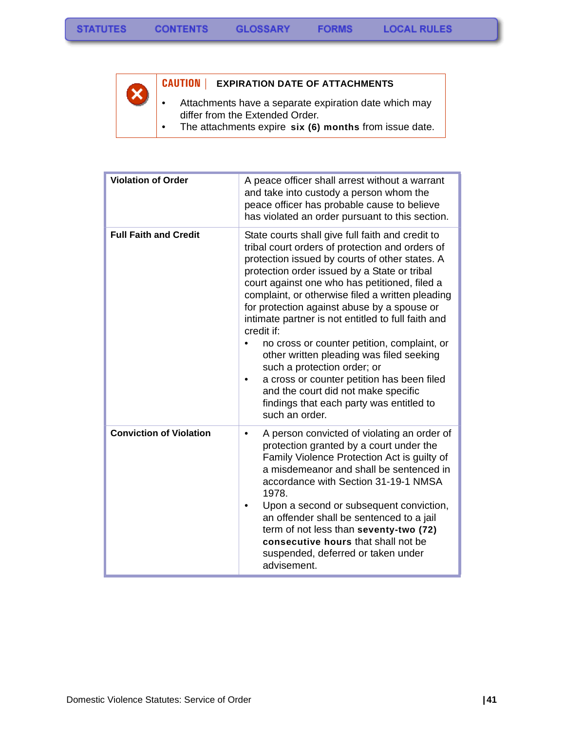$\overline{\mathsf{x}}$ 



#### **CAUTION | EXPIRATION DATE OF ATTACHMENTS**

• Attachments have a separate expiration date which may differ from the Extended Order.

**FORMS** 

• The attachments expire **six (6) months** from issue date.

| <b>Violation of Order</b>      | A peace officer shall arrest without a warrant<br>and take into custody a person whom the<br>peace officer has probable cause to believe<br>has violated an order pursuant to this section.                                                                                                                                                                                                                                                                                                                                                                                                                                                                                                                |
|--------------------------------|------------------------------------------------------------------------------------------------------------------------------------------------------------------------------------------------------------------------------------------------------------------------------------------------------------------------------------------------------------------------------------------------------------------------------------------------------------------------------------------------------------------------------------------------------------------------------------------------------------------------------------------------------------------------------------------------------------|
| <b>Full Faith and Credit</b>   | State courts shall give full faith and credit to<br>tribal court orders of protection and orders of<br>protection issued by courts of other states. A<br>protection order issued by a State or tribal<br>court against one who has petitioned, filed a<br>complaint, or otherwise filed a written pleading<br>for protection against abuse by a spouse or<br>intimate partner is not entitled to full faith and<br>credit if:<br>no cross or counter petition, complaint, or<br>other written pleading was filed seeking<br>such a protection order; or<br>a cross or counter petition has been filed<br>and the court did not make specific<br>findings that each party was entitled to<br>such an order. |
| <b>Conviction of Violation</b> | A person convicted of violating an order of<br>٠<br>protection granted by a court under the<br>Family Violence Protection Act is guilty of<br>a misdemeanor and shall be sentenced in<br>accordance with Section 31-19-1 NMSA<br>1978.<br>Upon a second or subsequent conviction,<br>an offender shall be sentenced to a jail<br>term of not less than seventy-two (72)<br>consecutive hours that shall not be<br>suspended, deferred or taken under<br>advisement.                                                                                                                                                                                                                                        |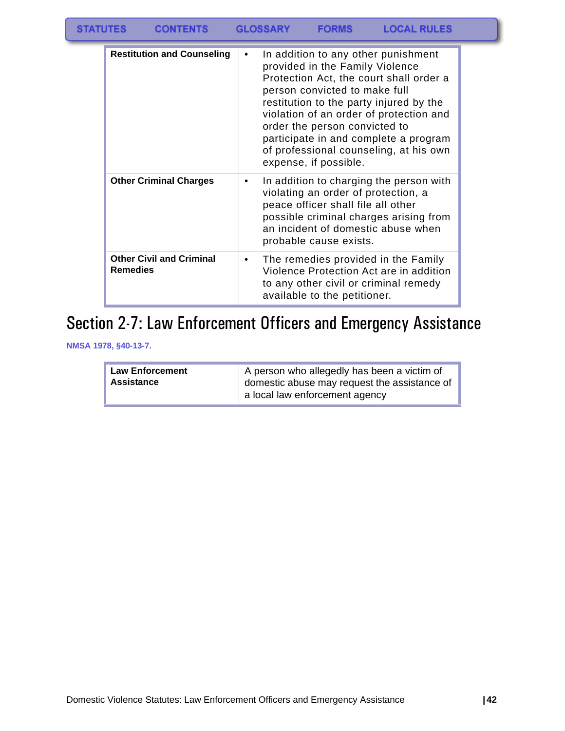| <b>STATUTES</b> | <b>CONTENTS</b>                                    |           | <b>GLOSSARY</b> | <b>FORMS</b>                                                                                                               | <b>LOCAL RULES</b>                                                                                                                                                                                                                                      |  |
|-----------------|----------------------------------------------------|-----------|-----------------|----------------------------------------------------------------------------------------------------------------------------|---------------------------------------------------------------------------------------------------------------------------------------------------------------------------------------------------------------------------------------------------------|--|
|                 | <b>Restitution and Counseling</b>                  | $\bullet$ |                 | provided in the Family Violence<br>person convicted to make full<br>order the person convicted to<br>expense, if possible. | In addition to any other punishment<br>Protection Act, the court shall order a<br>restitution to the party injured by the<br>violation of an order of protection and<br>participate in and complete a program<br>of professional counseling, at his own |  |
|                 | <b>Other Criminal Charges</b>                      | ٠         |                 | peace officer shall file all other<br>probable cause exists.                                                               | In addition to charging the person with<br>violating an order of protection, a<br>possible criminal charges arising from<br>an incident of domestic abuse when                                                                                          |  |
|                 | <b>Other Civil and Criminal</b><br><b>Remedies</b> | ٠         |                 |                                                                                                                            | The remedies provided in the Family<br>Violence Protection Act are in addition<br>to any other civil or criminal remedy                                                                                                                                 |  |

# Section 2-7: Law Enforcement Officers and Emergency Assistance

available to the petitioner.

**NMSA 1978, §40-13-7.**

| <b>Law Enforcement</b><br>Assistance | A person who allegedly has been a victim of<br>domestic abuse may request the assistance of<br>a local law enforcement agency |
|--------------------------------------|-------------------------------------------------------------------------------------------------------------------------------|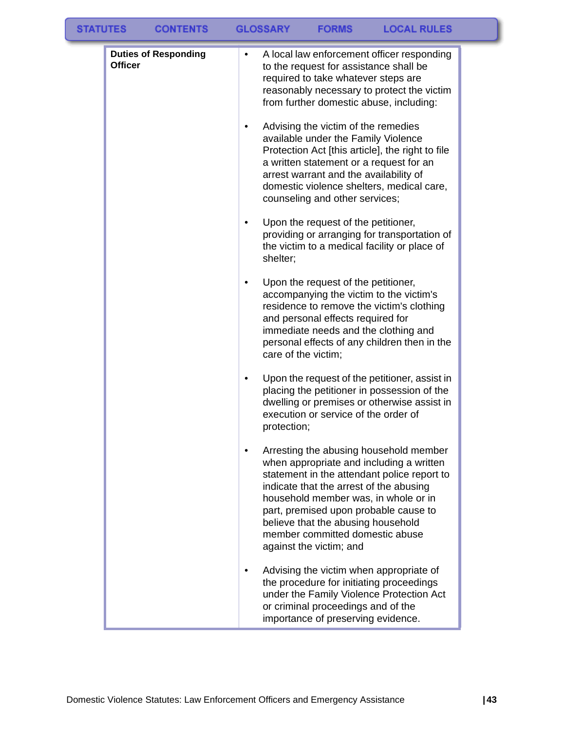| <b>STATUTES</b> |                | <b>CONTENTS</b>             |   | <b>GLOSSARY</b>     | <b>FORMS</b>                                                                                                                                | <b>LOCAL RULES</b>                                                                                                                                                                                                 |  |
|-----------------|----------------|-----------------------------|---|---------------------|---------------------------------------------------------------------------------------------------------------------------------------------|--------------------------------------------------------------------------------------------------------------------------------------------------------------------------------------------------------------------|--|
|                 | <b>Officer</b> | <b>Duties of Responding</b> | ٠ |                     | to the request for assistance shall be<br>required to take whatever steps are<br>Advising the victim of the remedies                        | A local law enforcement officer responding<br>reasonably necessary to protect the victim<br>from further domestic abuse, including:                                                                                |  |
|                 |                |                             |   |                     | available under the Family Violence<br>arrest warrant and the availability of<br>counseling and other services;                             | Protection Act [this article], the right to file<br>a written statement or a request for an<br>domestic violence shelters, medical care,                                                                           |  |
|                 |                |                             |   | shelter;            | Upon the request of the petitioner,                                                                                                         | providing or arranging for transportation of<br>the victim to a medical facility or place of                                                                                                                       |  |
|                 |                |                             |   | care of the victim; | Upon the request of the petitioner,<br>and personal effects required for                                                                    | accompanying the victim to the victim's<br>residence to remove the victim's clothing<br>immediate needs and the clothing and<br>personal effects of any children then in the                                       |  |
|                 |                |                             | ٠ | protection;         | execution or service of the order of                                                                                                        | Upon the request of the petitioner, assist in<br>placing the petitioner in possession of the<br>dwelling or premises or otherwise assist in                                                                        |  |
|                 |                |                             |   |                     | indicate that the arrest of the abusing<br>believe that the abusing household<br>member committed domestic abuse<br>against the victim; and | Arresting the abusing household member<br>when appropriate and including a written<br>statement in the attendant police report to<br>household member was, in whole or in<br>part, premised upon probable cause to |  |
|                 |                |                             |   |                     | or criminal proceedings and of the<br>importance of preserving evidence.                                                                    | Advising the victim when appropriate of<br>the procedure for initiating proceedings<br>under the Family Violence Protection Act                                                                                    |  |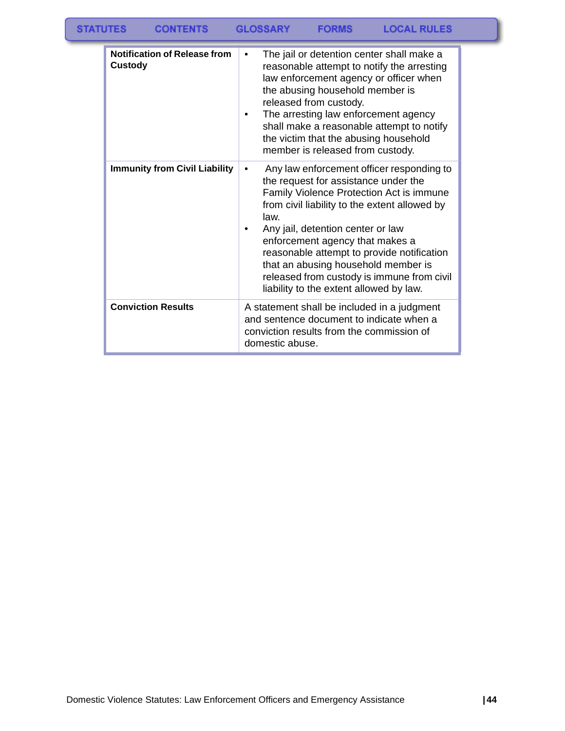| <b>Notification of Release from</b><br>Custody | The jail or detention center shall make a<br>reasonable attempt to notify the arresting<br>law enforcement agency or officer when<br>the abusing household member is<br>released from custody.<br>The arresting law enforcement agency<br>shall make a reasonable attempt to notify<br>the victim that the abusing household<br>member is released from custody.                                                                             |
|------------------------------------------------|----------------------------------------------------------------------------------------------------------------------------------------------------------------------------------------------------------------------------------------------------------------------------------------------------------------------------------------------------------------------------------------------------------------------------------------------|
| <b>Immunity from Civil Liability</b>           | Any law enforcement officer responding to<br>the request for assistance under the<br>Family Violence Protection Act is immune<br>from civil liability to the extent allowed by<br>law.<br>Any jail, detention center or law<br>enforcement agency that makes a<br>reasonable attempt to provide notification<br>that an abusing household member is<br>released from custody is immune from civil<br>liability to the extent allowed by law. |
| <b>Conviction Results</b>                      | A statement shall be included in a judgment<br>and sentence document to indicate when a<br>conviction results from the commission of<br>domestic abuse.                                                                                                                                                                                                                                                                                      |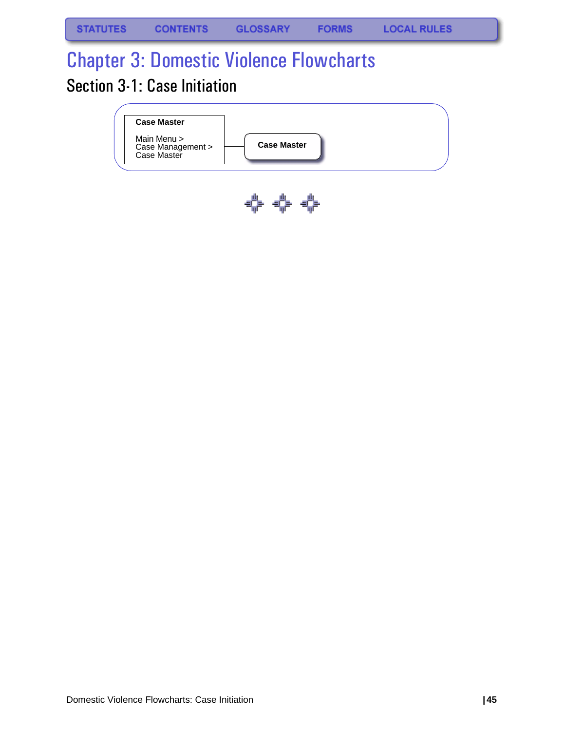# Chapter 3: Domestic Violence Flowcharts Section 3-1: Case Initiation



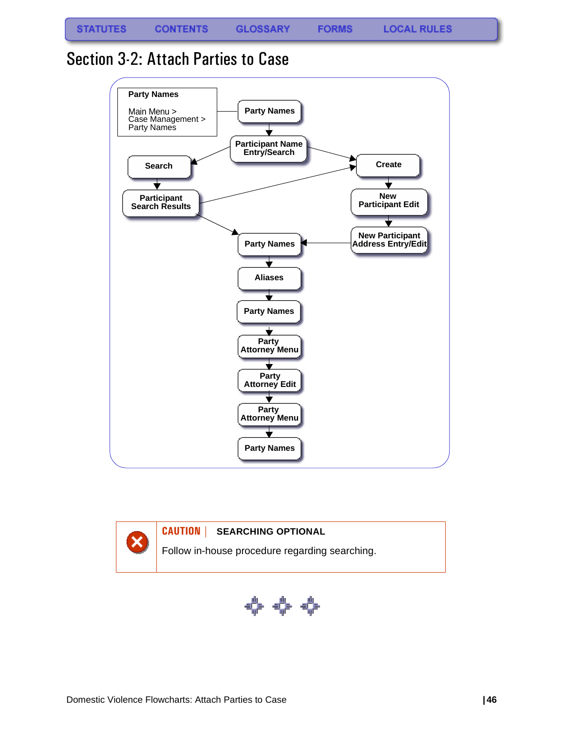**FORMS** 

#### Section 3-2: Attach Parties to Case





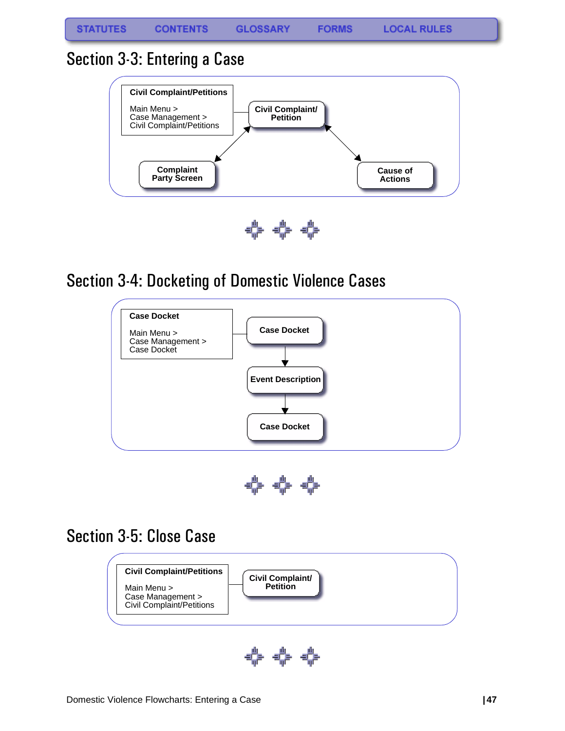### Section 3-3: Entering a Case



⇔ ⇔ ⇔

## Section 3-4: Docketing of Domestic Violence Cases





## Section 3-5: Close Case



⇔⇔⊹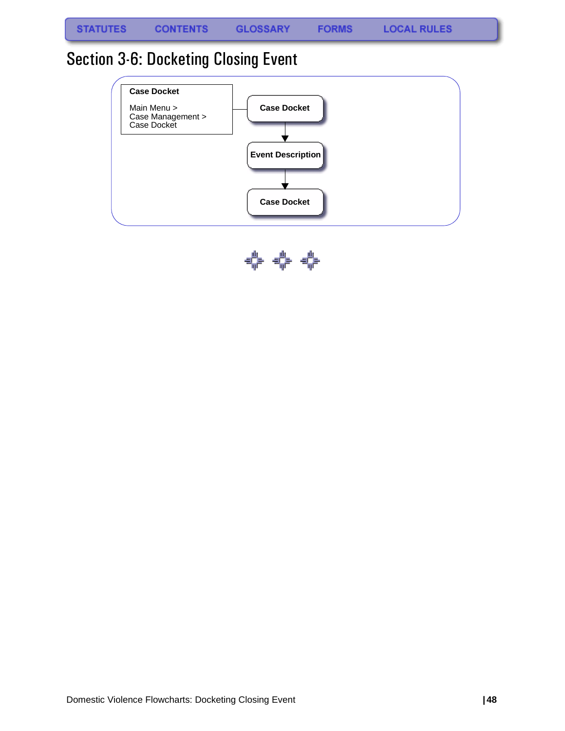**FORMS** 

## Section 3-6: Docketing Closing Event



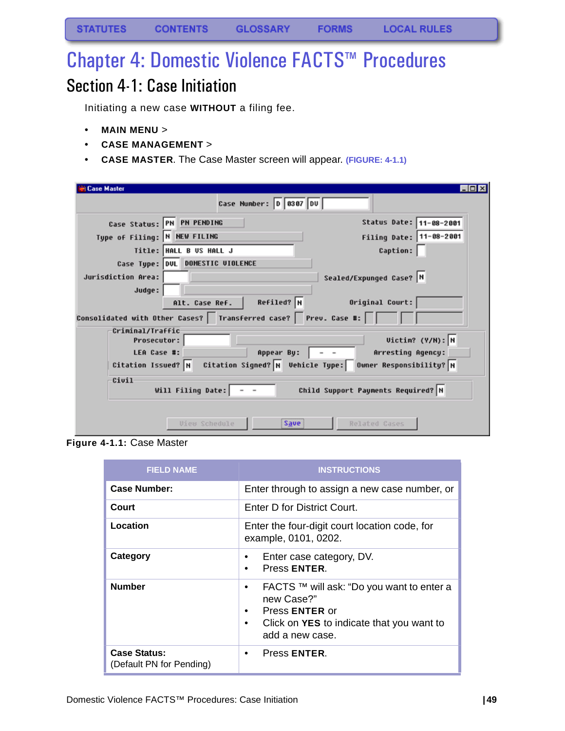# Chapter 4: Domestic Violence FACTS™ Procedures

## Section 4-1: Case Initiation

Initiating a new case **WITHOUT** a filing fee.

- **MAIN MENU** >
- **CASE MANAGEMENT** >
- **CASE MASTER**. The Case Master screen will appear. **(FIGURE: 4-1.1)**

| <b>Case Master</b>                     | Case Number: 0 0307 DU                                                                               | LOK                                                      |
|----------------------------------------|------------------------------------------------------------------------------------------------------|----------------------------------------------------------|
| Case Status: PN PN PENDING             |                                                                                                      | Status Date: 11-08-2001                                  |
| Type of Filing: N NEW FILING           |                                                                                                      | Filing Date: 11-08-2001                                  |
|                                        | Title: HALL B US HALL J                                                                              | Caption:                                                 |
| Jurisdiction Area:<br>Judge:           | Case Type: DUL DOMESTIC VIOLENCE                                                                     | Sealed/Expunged Case? N                                  |
|                                        | $Refiled?$ N<br>Alt. Case Ref.<br>Consolidated with Other Cases?   Transferred case?   Prev. Case #: | Original Court:                                          |
| Criminal/Traffic<br><b>Prosecutor:</b> |                                                                                                      | Uictim? (Y/H): N                                         |
| LEA Case #:                            | Appear By:                                                                                           | Arresting Agency:                                        |
| Citation Issued? N                     |                                                                                                      | Citation Signed? N Vehicle Type: Owner Responsibility? N |
| Civil                                  | Will Filing Date:                                                                                    | Child Support Payments Required? N                       |
|                                        | Save<br><b><i>Uieu Schedule</i></b>                                                                  | Related Cases                                            |

**Figure 4-1.1:** Case Master

| <b>FIELD NAME</b>                               | <b>INSTRUCTIONS</b>                                                                                                                                                                            |
|-------------------------------------------------|------------------------------------------------------------------------------------------------------------------------------------------------------------------------------------------------|
| <b>Case Number:</b>                             | Enter through to assign a new case number, or                                                                                                                                                  |
| Court                                           | Enter D for District Court.                                                                                                                                                                    |
| Location                                        | Enter the four-digit court location code, for<br>example, 0101, 0202.                                                                                                                          |
| Category                                        | Enter case category, DV.<br>Press ENTER.<br>$\bullet$                                                                                                                                          |
| <b>Number</b>                                   | FACTS ™ will ask: "Do you want to enter a<br>$\bullet$<br>new Case?"<br>Press <b>ENTER</b> or<br>$\bullet$<br>Click on <b>YES</b> to indicate that you want to<br>$\bullet$<br>add a new case. |
| <b>Case Status:</b><br>(Default PN for Pending) | Press ENTER.<br>$\bullet$                                                                                                                                                                      |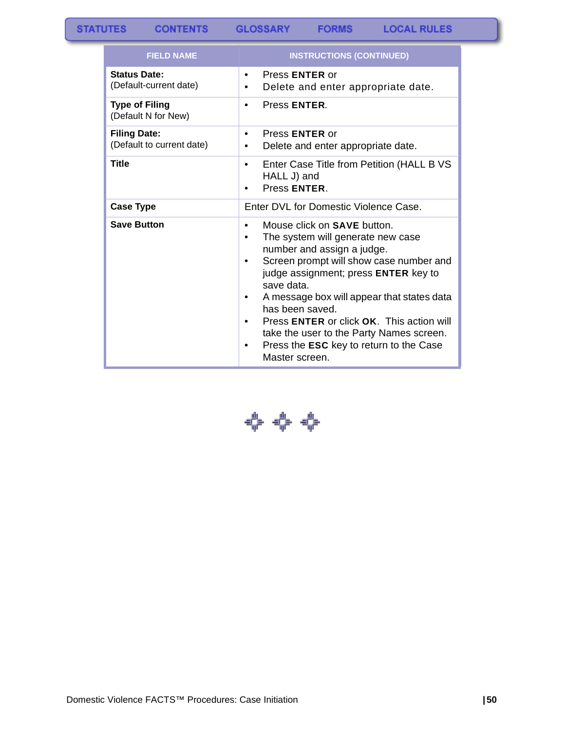**CONTENTS** 

**GLOSSARY FORMS** 

| <b>FIELD NAME</b>                                | <b>INSTRUCTIONS (CONTINUED)</b>                                                                                                                                                                                                                                                                                                                                                                                                                        |
|--------------------------------------------------|--------------------------------------------------------------------------------------------------------------------------------------------------------------------------------------------------------------------------------------------------------------------------------------------------------------------------------------------------------------------------------------------------------------------------------------------------------|
| <b>Status Date:</b><br>(Default-current date)    | Press <b>ENTER</b> or<br>$\bullet$<br>Delete and enter appropriate date.<br>٠                                                                                                                                                                                                                                                                                                                                                                          |
| <b>Type of Filing</b><br>(Default N for New)     | Press ENTER.<br>$\bullet$                                                                                                                                                                                                                                                                                                                                                                                                                              |
| <b>Filing Date:</b><br>(Default to current date) | Press <b>ENTER</b> or<br>$\bullet$<br>Delete and enter appropriate date.                                                                                                                                                                                                                                                                                                                                                                               |
| <b>Title</b>                                     | Enter Case Title from Petition (HALL B VS<br>$\bullet$<br>HALL J) and<br>Press ENTER.                                                                                                                                                                                                                                                                                                                                                                  |
| <b>Case Type</b>                                 | Enter DVL for Domestic Violence Case.                                                                                                                                                                                                                                                                                                                                                                                                                  |
| <b>Save Button</b>                               | Mouse click on <b>SAVE</b> button.<br>$\bullet$<br>The system will generate new case<br>number and assign a judge.<br>Screen prompt will show case number and<br>٠<br>judge assignment; press ENTER key to<br>save data.<br>A message box will appear that states data<br>has been saved.<br>Press ENTER or click OK. This action will<br>take the user to the Party Names screen.<br>Press the <b>ESC</b> key to return to the Case<br>Master screen. |

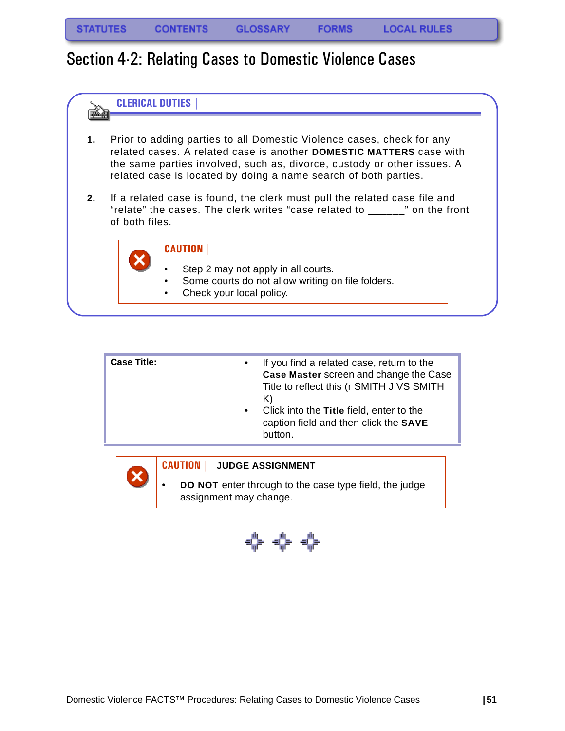### Section 4-2: Relating Cases to Domestic Violence Cases



| <b>Case Title:</b> | $\bullet$<br>$\bullet$ | If you find a related case, return to the<br>Case Master screen and change the Case<br>Title to reflect this (r SMITH J VS SMITH<br>K)<br>Click into the Title field, enter to the<br>caption field and then click the SAVE<br>button. |
|--------------------|------------------------|----------------------------------------------------------------------------------------------------------------------------------------------------------------------------------------------------------------------------------------|
|--------------------|------------------------|----------------------------------------------------------------------------------------------------------------------------------------------------------------------------------------------------------------------------------------|



#### **CAUTION | JUDGE ASSIGNMENT**

• **DO NOT** enter through to the case type field, the judge assignment may change.

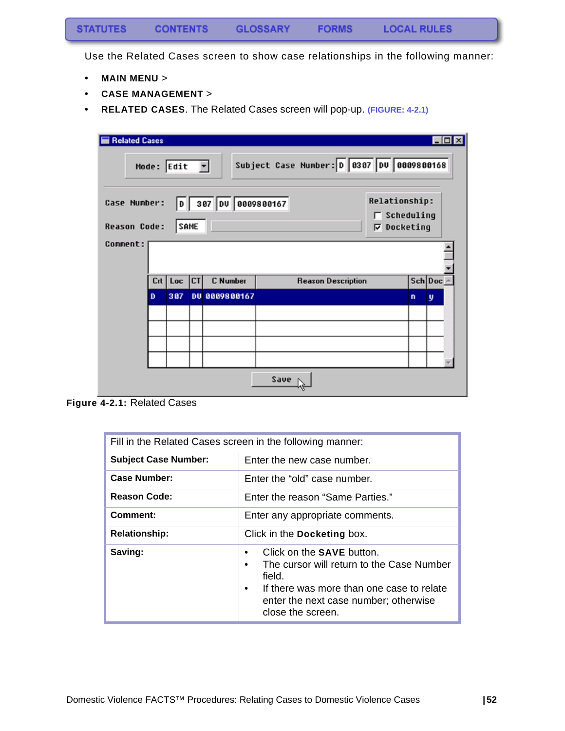Use the Related Cases screen to show case relationships in the following manner:

- **MAIN MENU** >
- **CASE MANAGEMENT** >
- **RELATED CASES**. The Related Cases screen will pop-up. **[\(FIGURE: 4-2.1\)](#page-53-0)**

| <b>Related Cases</b>                |     |                                   |           |                     |                                           |                                                       |   |         |  |
|-------------------------------------|-----|-----------------------------------|-----------|---------------------|-------------------------------------------|-------------------------------------------------------|---|---------|--|
|                                     |     | Mode: $Edit$ $\blacktriangledown$ |           |                     | Subject Case Number: D 0307 DV 0009800168 |                                                       |   |         |  |
| Case Number:<br><b>Reason Code:</b> |     | <b>SAME</b>                       |           | D 387 DU 8899888167 |                                           | <b>Relationship:</b><br>Scheduling<br>Docketing<br>ঢ় |   |         |  |
| Comment:                            |     |                                   |           |                     |                                           |                                                       |   |         |  |
|                                     | Crt | Loc                               | <b>CT</b> | C Number            | <b>Reason Description</b>                 |                                                       |   | Sch Doc |  |
|                                     | D   | 307                               |           | DU 0009800167       |                                           |                                                       | n | y       |  |
|                                     |     |                                   |           |                     |                                           |                                                       |   |         |  |
|                                     |     |                                   |           |                     | Save                                      |                                                       |   |         |  |

<span id="page-53-0"></span>**Figure 4-2.1:** Related Cases

| Fill in the Related Cases screen in the following manner: |                                                                                                                                                                                                               |  |  |
|-----------------------------------------------------------|---------------------------------------------------------------------------------------------------------------------------------------------------------------------------------------------------------------|--|--|
| <b>Subject Case Number:</b>                               | Enter the new case number.                                                                                                                                                                                    |  |  |
| Case Number:                                              | Enter the "old" case number.                                                                                                                                                                                  |  |  |
| <b>Reason Code:</b>                                       | Enter the reason "Same Parties."                                                                                                                                                                              |  |  |
| Comment:                                                  | Enter any appropriate comments.                                                                                                                                                                               |  |  |
| <b>Relationship:</b>                                      | Click in the Docketing box.                                                                                                                                                                                   |  |  |
| Saving:                                                   | Click on the SAVE button.<br>The cursor will return to the Case Number<br>٠<br>field.<br>If there was more than one case to relate<br>$\bullet$<br>enter the next case number; otherwise<br>close the screen. |  |  |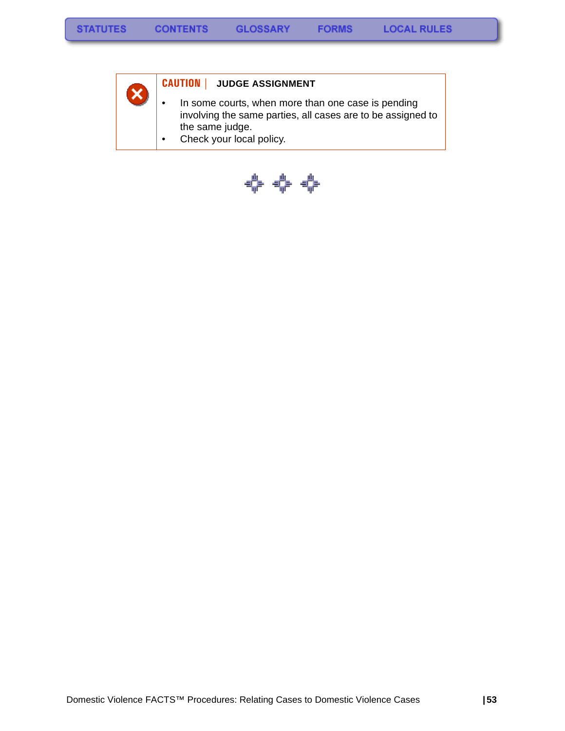

#### **CAUTION | JUDGE ASSIGNMENT**

• In some courts, when more than one case is pending involving the same parties, all cases are to be assigned to the same judge.

**FORMS** 

• Check your local policy.

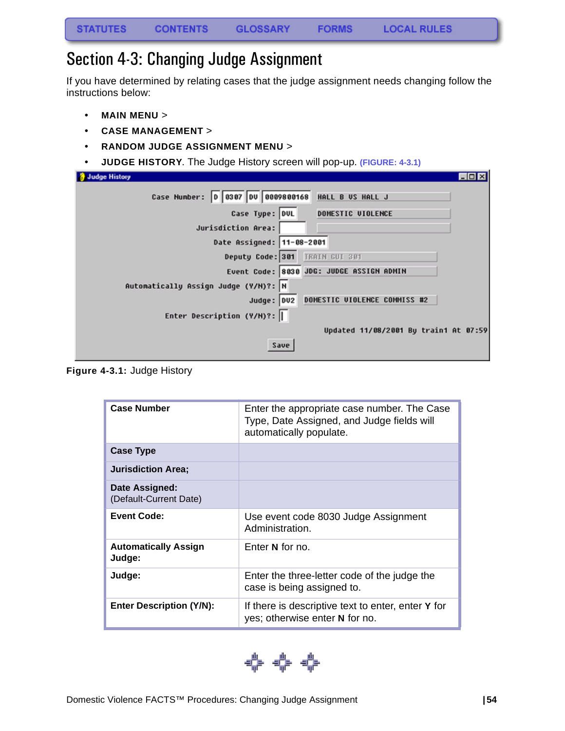## Section 4-3: Changing Judge Assignment

If you have determined by relating cases that the judge assignment needs changing follow the instructions below:

- **MAIN MENU** >
- **CASE MANAGEMENT** >
- **RANDOM JUDGE ASSIGNMENT MENU** >
- **JUDGE HISTORY**. The Judge History screen will pop-up. **[\(FIGURE: 4-3.1\)](#page-55-0)**

| <b>Judge History</b>                                     | <b>FOX</b> |
|----------------------------------------------------------|------------|
| D 0307 DU 0009800168<br>HALL B US HALL J<br>Case Number: |            |
| Case Type: DUL<br>DOMESTIC UIOLENCE                      |            |
| Jurisdiction Area:                                       |            |
| Date Assigned: 11-08-2001                                |            |
| Deputy Code: 301 TRAIN GUI 381                           |            |
| Event Code: 8030 JDG: JUDGE ASSIGN ADMIN                 |            |
| Automatically Assign Judge (Y/H)?: N                     |            |
| DOMESTIC UIOLENCE COMMISS #2<br>Judge: DU2               |            |
| Enter Description (Y/N)?:                                |            |
| Updated 11/08/2001 By train1 At 07:59                    |            |
| Save                                                     |            |

<span id="page-55-0"></span>**Figure 4-3.1:** Judge History

| <b>Case Number</b>                       | Enter the appropriate case number. The Case<br>Type, Date Assigned, and Judge fields will<br>automatically populate. |
|------------------------------------------|----------------------------------------------------------------------------------------------------------------------|
| <b>Case Type</b>                         |                                                                                                                      |
| <b>Jurisdiction Area:</b>                |                                                                                                                      |
| Date Assigned:<br>(Default-Current Date) |                                                                                                                      |
| <b>Event Code:</b>                       | Use event code 8030 Judge Assignment<br>Administration.                                                              |
| <b>Automatically Assign</b><br>Judge:    | Enter N for no.                                                                                                      |
| Judge:                                   | Enter the three-letter code of the judge the<br>case is being assigned to.                                           |
| <b>Enter Description (Y/N):</b>          | If there is descriptive text to enter, enter Y for<br>yes; otherwise enter N for no.                                 |

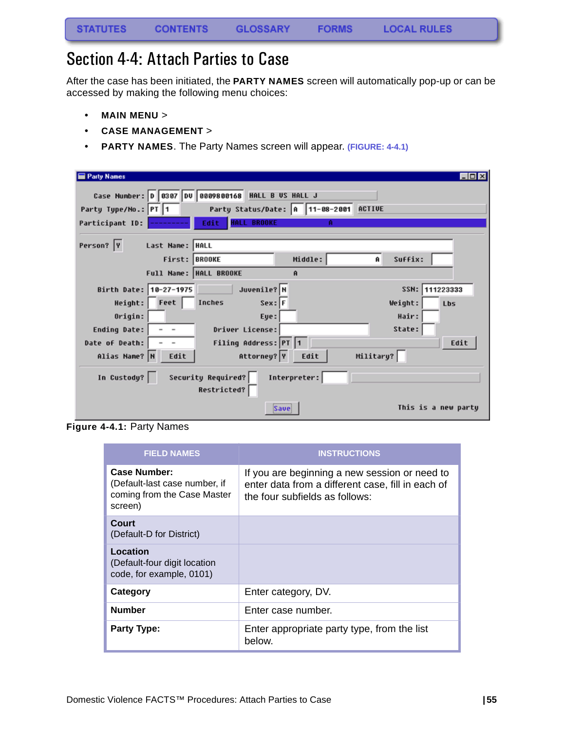## Section 4-4: Attach Parties to Case

After the case has been initiated, the **PARTY NAMES** screen will automatically pop-up or can be accessed by making the following menu choices:

- **MAIN MENU** >
- **CASE MANAGEMENT** >
- **PARTY NAMES**. The Party Names screen will appear. **(FIGURE: 4-4.1)**

| <b>Party Names</b>                                 |                                        |              |           | LIOD                |
|----------------------------------------------------|----------------------------------------|--------------|-----------|---------------------|
| Case Number: 0 0307 00 0809800168 HALL B US HALL J |                                        |              |           |                     |
| Party Type/No.: PT 1                               | Party Status/Date: A 11-08-2001 ACTIVE |              |           |                     |
| Participant ID:                                    | <b>HALL BROOKE</b><br>Edit             | A            |           |                     |
|                                                    |                                        |              |           |                     |
| Person? Y<br>Last Name:  HALL                      |                                        |              |           |                     |
|                                                    | First: BROOKE                          | Middle:      | Ĥ         | Suffix:             |
|                                                    | Full Name: HALL BROOKE                 | Ĥ            |           |                     |
| Birth Date: 10-27-1975                             | Juvenile? N                            |              |           | SSN:<br>111223333   |
| Height: Feet                                       | $Sex:$ F<br>Inches                     |              |           | Weight:<br>Lbs      |
| Origin:                                            | Eye:                                   |              |           | Hair:               |
| Ending Date:<br>$\overline{\phantom{a}}$           | Driver License:                        |              |           | State:              |
| Date of Death:                                     | Filing Address: PT 1                   |              |           | Edit                |
| Alias Name? N<br>Edit                              | Attorney? Y                            | Edit         | Military? |                     |
| In Custody?                                        | Security Required?<br>Restricted?      | Interpreter: |           |                     |
|                                                    | Save                                   |              |           | This is a new partu |

**Figure 4-4.1:** Party Names

| <b>FIELD NAMES</b>                                                                      | <b>INSTRUCTIONS</b>                                                                                                                  |
|-----------------------------------------------------------------------------------------|--------------------------------------------------------------------------------------------------------------------------------------|
| Case Number:<br>(Default-last case number, if<br>coming from the Case Master<br>screen) | If you are beginning a new session or need to<br>enter data from a different case, fill in each of<br>the four subfields as follows: |
| Court<br>(Default-D for District)                                                       |                                                                                                                                      |
| Location<br>(Default-four digit location<br>code, for example, 0101)                    |                                                                                                                                      |
| Category                                                                                | Enter category, DV.                                                                                                                  |
| <b>Number</b>                                                                           | Enter case number.                                                                                                                   |
| <b>Party Type:</b>                                                                      | Enter appropriate party type, from the list<br>below.                                                                                |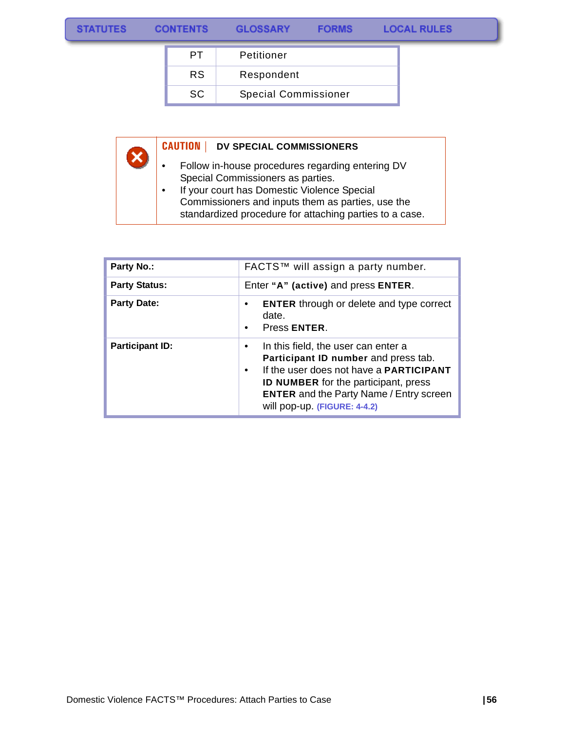$\overline{\mathsf{x}}$ 

|     | Petitioner                  |
|-----|-----------------------------|
| RS. | Respondent                  |
| SC. | <b>Special Commissioner</b> |

#### **CAUTION | DV SPECIAL COMMISSIONERS**

- Follow in-house procedures regarding entering DV Special Commissioners as parties.
- If your court has Domestic Violence Special Commissioners and inputs them as parties, use the standardized procedure for attaching parties to a case.

| <b>Party No.:</b>      | FACTS™ will assign a party number.                                                                                                                                                                                                                                                       |
|------------------------|------------------------------------------------------------------------------------------------------------------------------------------------------------------------------------------------------------------------------------------------------------------------------------------|
| <b>Party Status:</b>   | Enter "A" (active) and press ENTER.                                                                                                                                                                                                                                                      |
| <b>Party Date:</b>     | <b>ENTER</b> through or delete and type correct<br>٠<br>date.<br>Press ENTER.<br>$\bullet$                                                                                                                                                                                               |
| <b>Participant ID:</b> | In this field, the user can enter a<br>$\bullet$<br>Participant ID number and press tab.<br>If the user does not have a <b>PARTICIPANT</b><br>$\bullet$<br><b>ID NUMBER</b> for the participant, press<br><b>ENTER</b> and the Party Name / Entry screen<br>will pop-up. (FIGURE: 4-4.2) |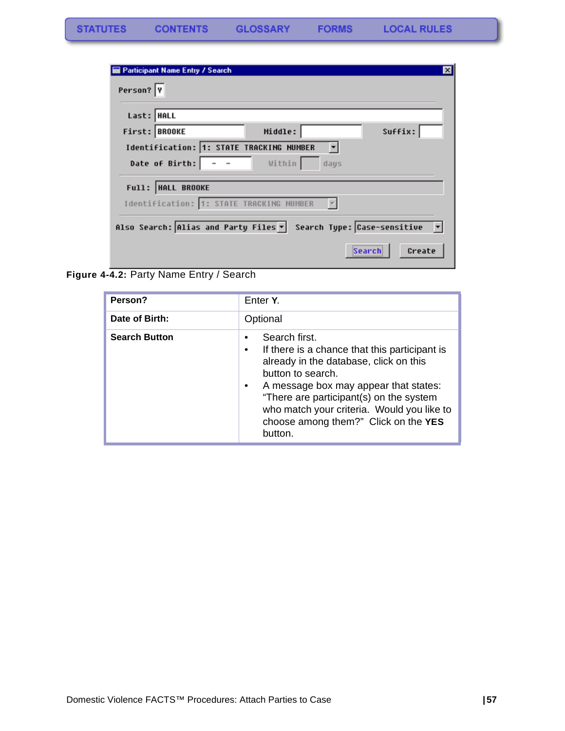|             | <b>Participant Name Entry / Search</b>                                                         | $\vert \mathbf{x} \vert$ |
|-------------|------------------------------------------------------------------------------------------------|--------------------------|
| Person? Y   |                                                                                                |                          |
| Last:  HALL |                                                                                                |                          |
|             | Suffix:<br>First: BROOKE<br>Middle:                                                            |                          |
|             | Identification: 1: STATE TRACKING NUMBER<br>Date of Birth: $\vert - - \vert$<br>Within<br>days |                          |
|             | Full:  HALL BROOKE                                                                             |                          |
|             | Identification: 1: STATE TRACKING NUMBER                                                       |                          |
|             | Search Type: Case-sensitive v<br>Also Search: Alias and Party Files v                          |                          |
|             | Create<br>Search                                                                               |                          |

<span id="page-58-0"></span>**Figure 4-4.2:** Party Name Entry / Search

| Person?              | Enter Y.                                                                                                                                                                                                                                                                                                                                          |  |
|----------------------|---------------------------------------------------------------------------------------------------------------------------------------------------------------------------------------------------------------------------------------------------------------------------------------------------------------------------------------------------|--|
| Date of Birth:       | Optional                                                                                                                                                                                                                                                                                                                                          |  |
| <b>Search Button</b> | Search first.<br>٠<br>If there is a chance that this participant is<br>$\bullet$<br>already in the database, click on this<br>button to search.<br>A message box may appear that states:<br>$\bullet$<br>"There are participant(s) on the system<br>who match your criteria. Would you like to<br>choose among them?" Click on the YES<br>button. |  |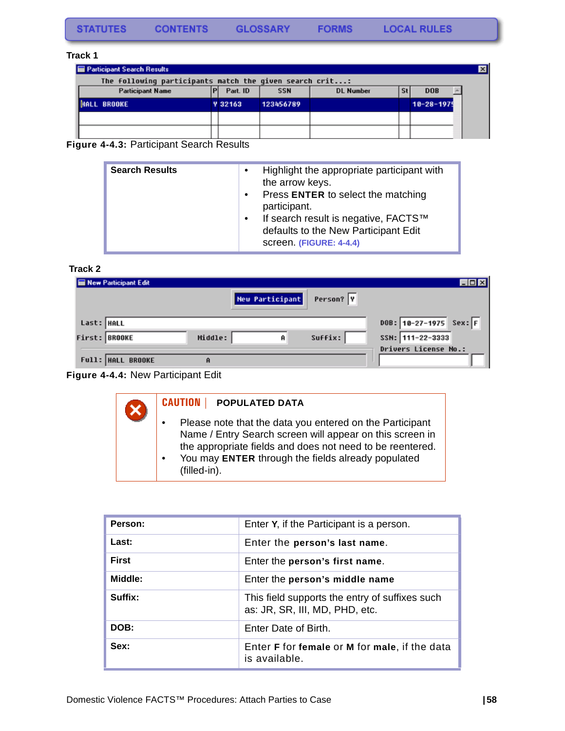#### **Track 1**

| <b>Participant Search Results</b>                       |                |            |                  |            |                  | $\overline{\mathbf{x}}$ |
|---------------------------------------------------------|----------------|------------|------------------|------------|------------------|-------------------------|
| The following participants match the given search crit: |                |            |                  |            |                  |                         |
| <b>Participant Name</b>                                 | Part. ID       | <b>SSN</b> | <b>DL Number</b> | <b>Sti</b> | <b>DOB</b>       |                         |
| <b>ALL BROOKE</b>                                       | <b>Y 32163</b> | 123456789  |                  |            | $18 - 28 - 1979$ |                         |
|                                                         |                |            |                  |            |                  |                         |
|                                                         |                |            |                  |            |                  |                         |

**Figure 4-4.3:** Participant Search Results

| <b>Search Results</b><br>$\bullet$<br>$\bullet$<br>$\bullet$ | Highlight the appropriate participant with<br>the arrow keys.<br>Press ENTER to select the matching<br>participant.<br>If search result is negative, FACTS™<br>defaults to the New Participant Edit<br>screen. (FIGURE: 4-4.4) |
|--------------------------------------------------------------|--------------------------------------------------------------------------------------------------------------------------------------------------------------------------------------------------------------------------------|
|--------------------------------------------------------------|--------------------------------------------------------------------------------------------------------------------------------------------------------------------------------------------------------------------------------|

#### **Track 2**

| New Participant Edit     |         |                 |           | $  \sim$                                 |
|--------------------------|---------|-----------------|-----------|------------------------------------------|
|                          |         | New Participant | Person? Y |                                          |
|                          |         |                 |           |                                          |
| Last: HALL               |         |                 |           | $DOB: 10-27-1975$ Sex: F                 |
| First: BROOKE            | Middle: | A               | Suffix:   | SSN: 111-22-3333<br>Drivers License No.: |
| <b>Full: HALL BROOKE</b> | A       |                 |           |                                          |
|                          |         |                 |           |                                          |



| $\boldsymbol{\mathsf{X}}$ | <b>CAUTION  </b><br><b>POPULATED DATA</b>                                                                                                                                                                                                               |
|---------------------------|---------------------------------------------------------------------------------------------------------------------------------------------------------------------------------------------------------------------------------------------------------|
|                           | Please note that the data you entered on the Participant<br>Name / Entry Search screen will appear on this screen in<br>the appropriate fields and does not need to be reentered.<br>You may ENTER through the fields already populated<br>(filled-in). |

| Person:      | Enter Y, if the Participant is a person.                                         |
|--------------|----------------------------------------------------------------------------------|
| Last:        | Enter the person's last name.                                                    |
| <b>First</b> | Enter the person's first name.                                                   |
| Middle:      | Enter the person's middle name                                                   |
| Suffix:      | This field supports the entry of suffixes such<br>as: JR, SR, III, MD, PHD, etc. |
| DOB:         | Enter Date of Birth.                                                             |
| Sex:         | Enter F for female or M for male, if the data<br>is available.                   |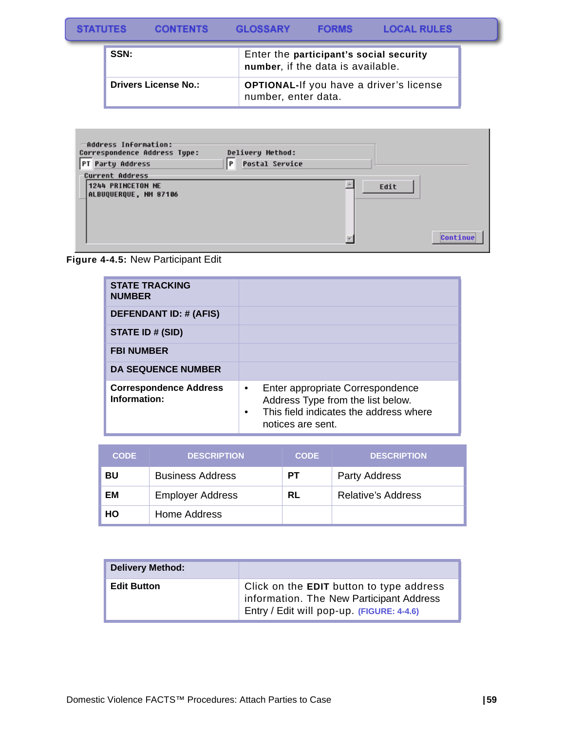#### **STATUTES** CONTENTS GLOSSARY **FORMS LOCAL RULES**

| SSN:                        | Enter the participant's social security<br>number, if the data is available. |
|-----------------------------|------------------------------------------------------------------------------|
| <b>Drivers License No.:</b> | <b>OPTIONAL-If you have a driver's license</b><br>number, enter data.        |

| -Address Information:<br>Correspondence Address Type:<br>PT Party Address | Delivery Method:<br>P<br><b>Postal Service</b> |      |          |
|---------------------------------------------------------------------------|------------------------------------------------|------|----------|
| <b>Current Address</b><br>1244 PRINCETON NE<br>ALBUQUERQUE, NM 87106      |                                                | Edit | Continue |

**Figure 4-4.5:** New Participant Edit

| <b>STATE TRACKING</b><br><b>NUMBER</b>        |                                                                                                                                                                |
|-----------------------------------------------|----------------------------------------------------------------------------------------------------------------------------------------------------------------|
| <b>DEFENDANT ID: # (AFIS)</b>                 |                                                                                                                                                                |
| STATE ID # (SID)                              |                                                                                                                                                                |
| <b>FBI NUMBER</b>                             |                                                                                                                                                                |
| <b>DA SEQUENCE NUMBER</b>                     |                                                                                                                                                                |
| <b>Correspondence Address</b><br>Information: | Enter appropriate Correspondence<br>$\bullet$<br>Address Type from the list below.<br>This field indicates the address where<br>$\bullet$<br>notices are sent. |

| <b>CODE</b> | <b>DESCRIPTION</b>      | <b>CODE</b> | <b>DESCRIPTION</b>        |
|-------------|-------------------------|-------------|---------------------------|
| BU          | <b>Business Address</b> | PТ          | <b>Party Address</b>      |
| EМ          | <b>Employer Address</b> | RL          | <b>Relative's Address</b> |
| HO          | Home Address            |             |                           |

| <b>Delivery Method:</b> |                                                                                                                                   |
|-------------------------|-----------------------------------------------------------------------------------------------------------------------------------|
| <b>Edit Button</b>      | Click on the EDIT button to type address<br>information. The New Participant Address<br>Entry / Edit will pop-up. (FIGURE: 4-4.6) |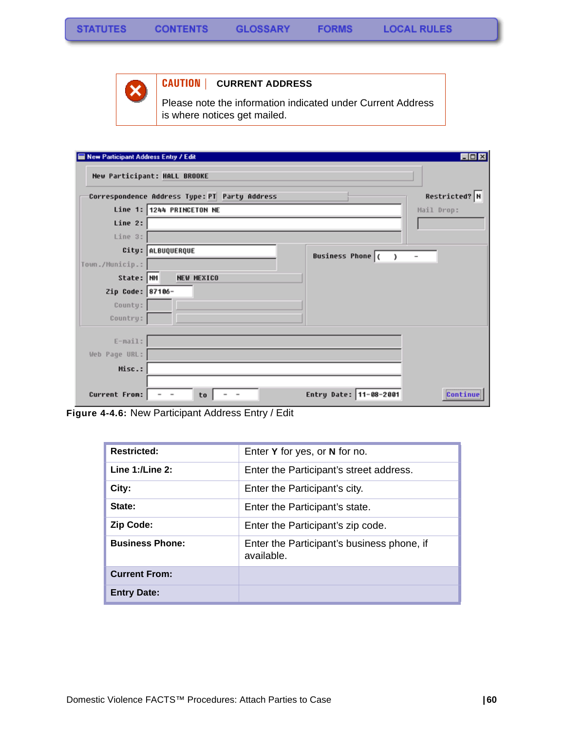

#### **CAUTION | CURRENT ADDRESS**

Please note the information indicated under Current Address is where notices get mailed.

| New Participant Address Entry / Edit |                                                                                      | $\Box$ D $\times$        |
|--------------------------------------|--------------------------------------------------------------------------------------|--------------------------|
|                                      | New Participant: HALL BROOKE                                                         |                          |
|                                      | Correspondence Address Type: PT Party Address                                        | Restricted? N            |
|                                      | Line 1: 1244 PRINCETON NE                                                            | Mail Drop:               |
| Line 2:                              |                                                                                      |                          |
| Line 3:                              |                                                                                      |                          |
|                                      | City: ALBUQUERQUE<br><b>Business Phone</b> (<br>,                                    | $\overline{\phantom{0}}$ |
| Town./Municip.:                      |                                                                                      |                          |
| State: NM                            | <b>NEW MEXICO</b>                                                                    |                          |
| Zip Code: 87106-                     |                                                                                      |                          |
| County:                              |                                                                                      |                          |
| Country:                             |                                                                                      |                          |
|                                      |                                                                                      |                          |
| $E-mail:$                            |                                                                                      |                          |
| Web Page URL:                        |                                                                                      |                          |
| Misc.:                               |                                                                                      |                          |
|                                      |                                                                                      |                          |
| Current From:                        | Entry Date: 11-08-2001<br>to<br>$\overline{\phantom{a}}$<br>$\overline{\phantom{a}}$ | Continue                 |

**Figure 4-4.6:** New Participant Address Entry / Edit

| <b>Restricted:</b>     | Enter Y for yes, or N for no.                            |
|------------------------|----------------------------------------------------------|
| Line $1:$ /Line $2:$   | Enter the Participant's street address.                  |
| City:                  | Enter the Participant's city.                            |
| State:                 | Enter the Participant's state.                           |
| <b>Zip Code:</b>       | Enter the Participant's zip code.                        |
| <b>Business Phone:</b> | Enter the Participant's business phone, if<br>available. |
| <b>Current From:</b>   |                                                          |
| <b>Entry Date:</b>     |                                                          |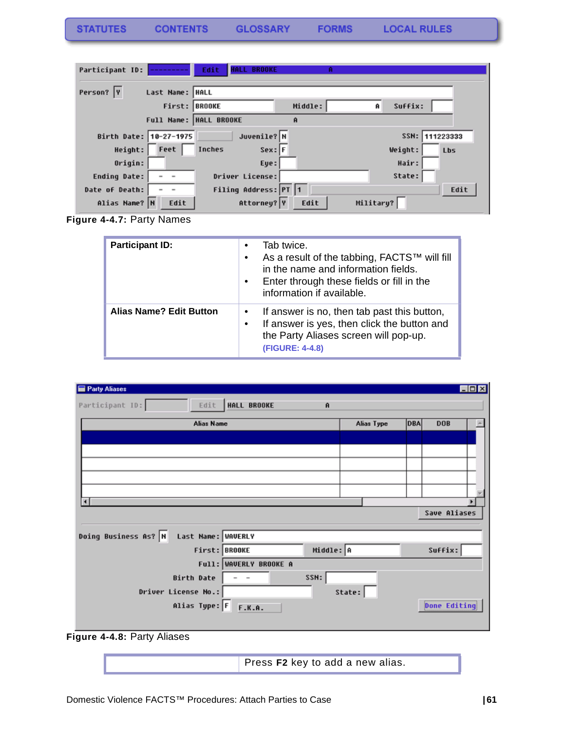| STATUTES<br><b>GLOSSARY</b><br><b>CONTENTS</b> | <b>FORMS</b> |
|------------------------------------------------|--------------|
|------------------------------------------------|--------------|

| Participant ID:     |                        | <b>BROOKE</b><br>Edit<br><b>HALL</b> |         |              |          |
|---------------------|------------------------|--------------------------------------|---------|--------------|----------|
| Person?  Y          | Last Name:   HALL      |                                      |         |              |          |
|                     | First:                 | <b>BROOKE</b>                        | Middle: | Suffix:<br>Ĥ |          |
|                     | Full Name:             | <b>HALL BROOKE</b>                   | Ĥ       |              |          |
|                     | Birth Date: 10-27-1975 | Juvenile? N                          |         | SSN:         | 11223333 |
| Height:             | Feet                   | Inches<br>$Sex:$ F                   |         | Weight:      | Lbs      |
| Origin:             |                        | Eye:                                 |         | Hair:        |          |
| <b>Ending Date:</b> |                        | Driver License:                      |         | State:       |          |
| Date of Death:      |                        | Filing Address: PT 1                 |         |              | Edit     |
| Alias Name? N       | Edit                   | Attorney? Y                          | Edit    | Military?    |          |

**LOCAL RULES** 

**Figure 4-4.7:** Party Names

| <b>Participant ID:</b>         | Tab twice.<br>As a result of the tabbing, FACTS™ will fill<br>$\bullet$<br>in the name and information fields.<br>Enter through these fields or fill in the<br>$\bullet$<br>information if available. |
|--------------------------------|-------------------------------------------------------------------------------------------------------------------------------------------------------------------------------------------------------|
| <b>Alias Name? Edit Button</b> | If answer is no, then tab past this button,<br>If answer is yes, then click the button and<br>the Party Aliases screen will pop-up.<br>(FIGURE: 4-4.8)                                                |

| <b>Party Aliases</b>                       |                        |            | EDX                      |
|--------------------------------------------|------------------------|------------|--------------------------|
| Participant ID:<br>Edit                    | HALL BROOKE<br>Ĥ       |            |                          |
| Alias Name                                 |                        | Alias Type | <b>DBA</b><br><b>DOB</b> |
|                                            |                        |            |                          |
|                                            |                        |            |                          |
|                                            |                        |            |                          |
|                                            |                        |            |                          |
| $\vert \cdot \vert$                        |                        |            |                          |
|                                            |                        |            | Save Aliases             |
|                                            |                        |            |                          |
| Doing Business As? N<br>Last Name: WAVERLY |                        |            |                          |
| First: BROOKE                              | Middle: A              |            | Suffix:                  |
|                                            | Full: WAVERLY BROOKE A |            |                          |
| <b>Birth Date</b>                          | SSN:                   |            |                          |
| Driver License No.:                        |                        | State:     |                          |
| Alias Type: $F$                            | F.K.A.                 |            | <b>Done Editing</b>      |
|                                            |                        |            |                          |

**Figure 4-4.8:** Party Aliases

Press **F2** key to add a new alias.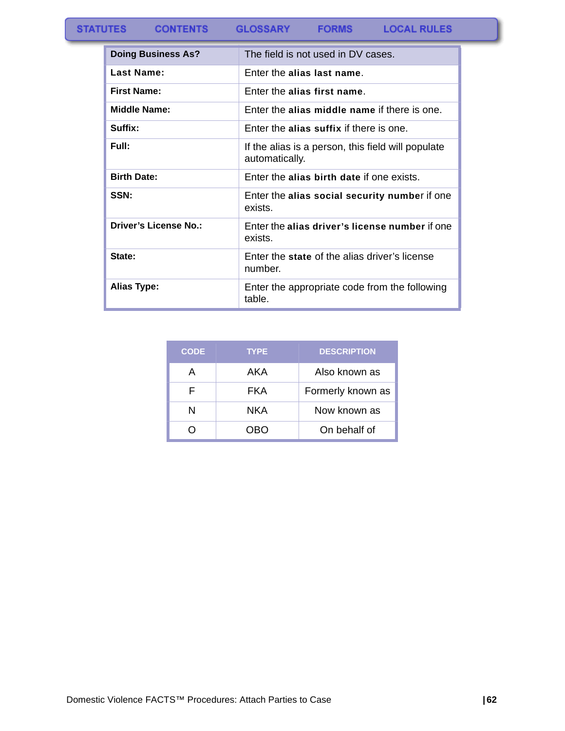#### **STATUTES CONTENTS GLOSSARY FORMS LOCAL RULES**

| <b>Doing Business As?</b>    | The field is not used in DV cases.                                   |
|------------------------------|----------------------------------------------------------------------|
| Last Name:                   | Enter the alias last name.                                           |
| First Name:                  | Foter the alias first name.                                          |
| <b>Middle Name:</b>          | Enter the alias middle name if there is one.                         |
| Suffix:                      | Enter the alias suffix if there is one.                              |
| Full:                        | If the alias is a person, this field will populate<br>automatically. |
| <b>Birth Date:</b>           | Enter the alias birth date if one exists.                            |
| SSN:                         | Enter the alias social security number if one<br>exists.             |
| <b>Driver's License No.:</b> | Enter the alias driver's license number if one<br>exists.            |
| State:                       | Enter the state of the alias driver's license<br>number.             |
| Alias Type:                  | Enter the appropriate code from the following<br>table.              |

| <b>CODE</b> | <b>TYPE</b> | <b>DESCRIPTION</b> |
|-------------|-------------|--------------------|
| А           | AKA         | Also known as      |
| F           | FKA         | Formerly known as  |
| N           | NKA         | Now known as       |
|             | 7RN         | On behalf of       |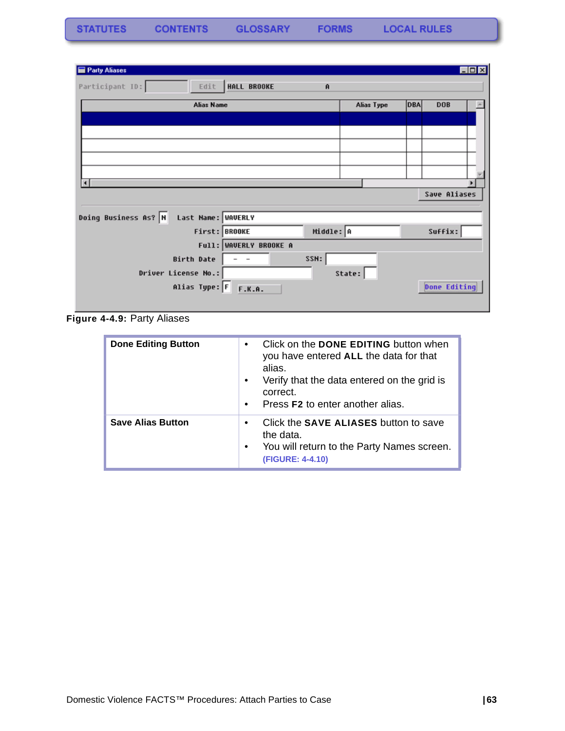| Party Aliases                              |                        |                    |            |            |                     | $\Box$ o $\times$ |
|--------------------------------------------|------------------------|--------------------|------------|------------|---------------------|-------------------|
| Participant ID:<br>Edit                    | HALL BROOKE            | $\mathbf{\hat{H}}$ |            |            |                     |                   |
| <b>Alias Name</b>                          |                        |                    | Alias Type | <b>DBA</b> | <b>DOB</b>          |                   |
|                                            |                        |                    |            |            |                     |                   |
|                                            |                        |                    |            |            |                     |                   |
|                                            |                        |                    |            |            |                     |                   |
|                                            |                        |                    |            |            |                     |                   |
|                                            |                        |                    |            |            |                     |                   |
| О                                          |                        |                    |            |            |                     |                   |
|                                            |                        |                    |            |            | Save Aliases        |                   |
| Doing Business As? N<br>Last Name: WAVERLY |                        |                    |            |            |                     |                   |
| First: BROOKE                              |                        | Middle: A          |            |            | Suffix:             |                   |
|                                            | Full: WAVERLY BROOKE A |                    |            |            |                     |                   |
| Birth Date                                 |                        | SSN:               |            |            |                     |                   |
| Driver License No.:                        |                        |                    | State:     |            |                     |                   |
| Alias Type: F F.K.A.                       |                        |                    |            |            | <b>Done Editing</b> |                   |
|                                            |                        |                    |            |            |                     |                   |

**Figure 4-4.9:** Party Aliases

| <b>Done Editing Button</b> | Click on the DONE EDITING button when<br>$\bullet$<br>you have entered ALL the data for that<br>alias.<br>Verify that the data entered on the grid is<br>$\bullet$<br>correct.<br>Press <b>F2</b> to enter another alias.<br>$\bullet$ |
|----------------------------|----------------------------------------------------------------------------------------------------------------------------------------------------------------------------------------------------------------------------------------|
| <b>Save Alias Button</b>   | Click the SAVE ALIASES button to save<br>$\bullet$<br>the data.<br>You will return to the Party Names screen.<br>$\bullet$<br>(FIGURE: 4-4.10)                                                                                         |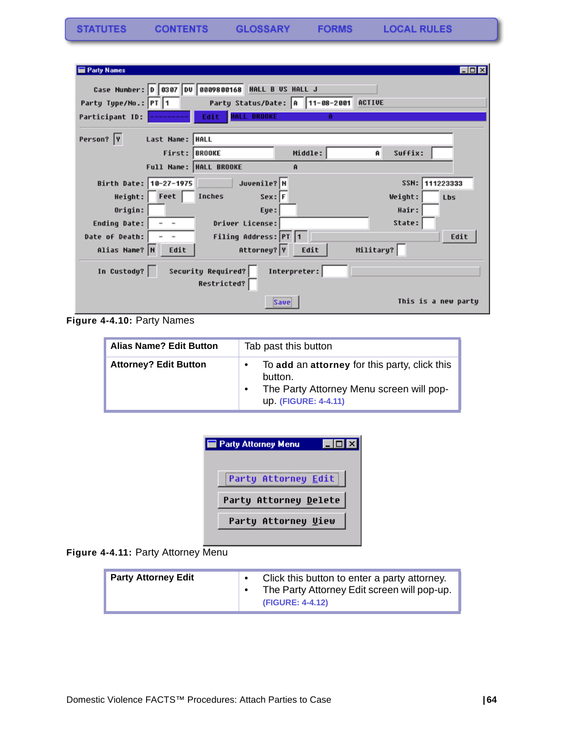| <b>Party Names</b>     |                                                    |              |              | $\Box$ ol×          |
|------------------------|----------------------------------------------------|--------------|--------------|---------------------|
|                        | Case Number: 0 0307 00 0809800168 HALL B US HALL J |              |              |                     |
| Party Type/No.: PT 1   | Party Status/Date: A 11-08-2001 ACTIVE             |              |              |                     |
| Participant ID:        | Edit.<br><b>HALL BROOKE</b>                        | А            |              |                     |
| Person? Y              | Last Name:  HALL                                   |              |              |                     |
|                        | First: BROOKE                                      | Middle:      | Suffix:<br>Ĥ |                     |
|                        | Full Name: HALL BROOKE                             | $\mathbf{a}$ |              |                     |
| Birth Date: 10-27-1975 | Juvenile? N                                        |              | SSN:         | 111223333           |
| $Height:$ $Fect$       | $Sex:$ F<br>Inches                                 |              | Weight:      | <b>Lbs</b>          |
| Origin:                | Eye:                                               |              | Hair:        |                     |
| Ending Date:           | Driver License:                                    |              | State:       |                     |
| Date of Death:         | Filing Address: PT 1                               |              |              | Edit                |
| Alias Name? N          | Attorney? Y<br>Edit                                | Edit         | Military?    |                     |
| In Custody?            | Security Required?<br>Restricted?                  | Interpreter: |              |                     |
|                        | Save                                               |              |              | This is a new party |

**Figure 4-4.10:** Party Names

| <b>Alias Name? Edit Button</b> | Tab past this button                                                                                                                      |  |
|--------------------------------|-------------------------------------------------------------------------------------------------------------------------------------------|--|
| <b>Attorney? Edit Button</b>   | To add an attorney for this party, click this<br>$\bullet$<br>button.<br>The Party Attorney Menu screen will pop-<br>up. (FIGURE: 4-4.11) |  |

| <b>Party Attorney Menu</b> |  |
|----------------------------|--|
| Party Attorney Edit        |  |
| Party Attorney Delete      |  |
| Party Attorney Uiew        |  |
|                            |  |

**Figure 4-4.11:** Party Attorney Menu

| <b>Party Attorney Edit</b> |  | Click this button to enter a party attorney.<br>The Party Attorney Edit screen will pop-up.<br>(FIGURE: 4-4.12) |
|----------------------------|--|-----------------------------------------------------------------------------------------------------------------|
|----------------------------|--|-----------------------------------------------------------------------------------------------------------------|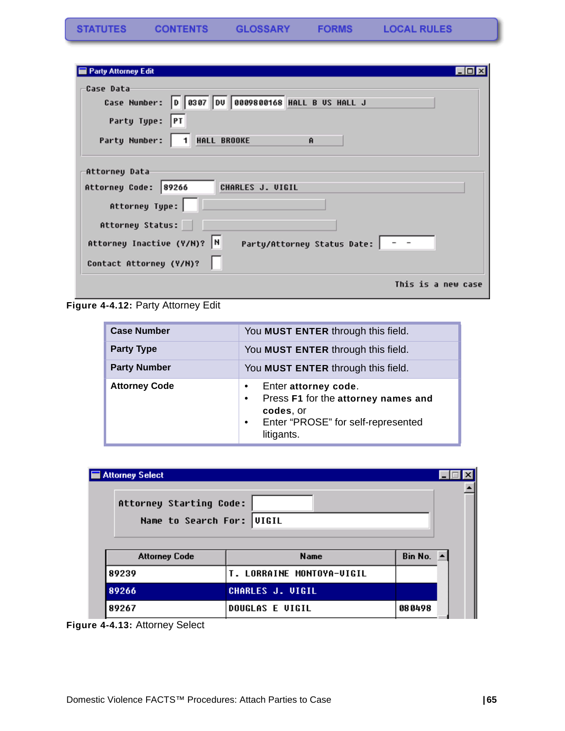| <b>Party Attorney Edit</b>                                                                                                                                         |  |
|--------------------------------------------------------------------------------------------------------------------------------------------------------------------|--|
| Case Data<br>Case Number: 0 0307 00 0009800168 HALL B US HALL J<br>Party Type: PT                                                                                  |  |
| Party Number:   1 HALL BROOKE<br>$\mathbf{\hat{H}}$                                                                                                                |  |
| Attorney Data<br>Attorney Code: 89266<br>CHARLES J. VIGIL<br>Attorney Type:<br>Attorney Status:<br>Attorney Inactive (Y/N)? N<br>Party/Attorney Status Date:   - - |  |
| Contact Attorney (Y/N)?                                                                                                                                            |  |
| This is a new case                                                                                                                                                 |  |

Figure 4-4.12: Party Attorney Edit

| <b>Case Number</b>   | You MUST ENTER through this field.                                                                                                                          |  |
|----------------------|-------------------------------------------------------------------------------------------------------------------------------------------------------------|--|
| <b>Party Type</b>    | You MUST ENTER through this field.                                                                                                                          |  |
| <b>Party Number</b>  | You MUST ENTER through this field.                                                                                                                          |  |
| <b>Attorney Code</b> | Enter attorney code.<br>٠<br>Press F1 for the attorney names and<br>$\bullet$<br>codes, or<br>Enter "PROSE" for self-represented<br>$\bullet$<br>litigants. |  |

| Attorney Select                                      |                           |                       |  |
|------------------------------------------------------|---------------------------|-----------------------|--|
| Attorney Starting Code:<br>Name to Search For: UIGIL |                           |                       |  |
| <b>Attorney Code</b>                                 | <b>Name</b>               | Bin No. $\rightarrow$ |  |
| 89239                                                | T. LORRAINE MONTOYA-VIGIL |                       |  |
| 89266                                                | <b>CHARLES J. VIGIL</b>   |                       |  |
| 89267                                                | <b>DOUGLAS E VIGIL</b>    | 080498                |  |

**Figure 4-4.13:** Attorney Select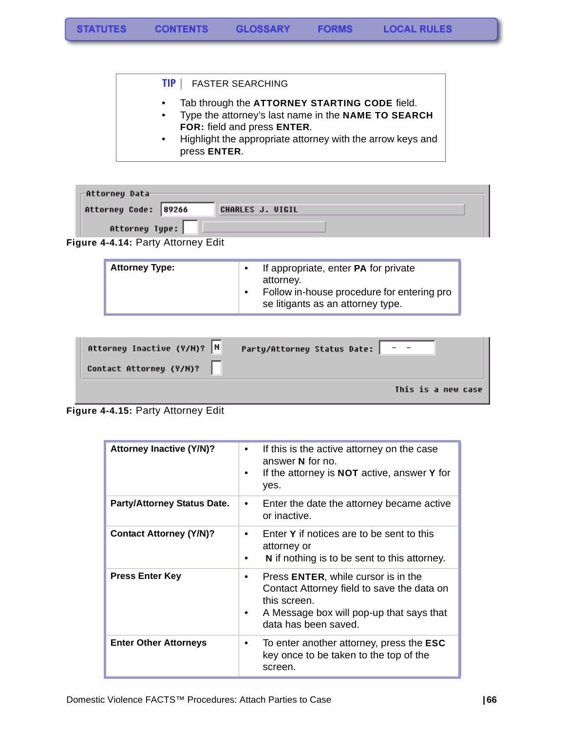#### **TIP |** FASTER SEARCHING

- Tab through the **ATTORNEY STARTING CODE** field.
- Type the attorney's last name in the **NAME TO SEARCH FOR:** field and press **ENTER**.
- Highlight the appropriate attorney with the arrow keys and press **ENTER**.

| -Attorney Data                     |                         |
|------------------------------------|-------------------------|
| Attorney Code: 89266               | <b>CHARLES J. VIGIL</b> |
| Attorney Type:                     |                         |
| Figure 4-4.14: Party Attorney Edit |                         |

| <b>Attorney Type:</b> | If appropriate, enter <b>PA</b> for private<br>attorney.                        |
|-----------------------|---------------------------------------------------------------------------------|
|                       | Follow in-house procedure for entering pro<br>se litigants as an attorney type. |

| Attorney Inactive (Y/N)?  N | Party/Attorney Status Date: |
|-----------------------------|-----------------------------|
| Contact Attorney (Y/M)?     |                             |
|                             | This is a new case          |

**Figure 4-4.15:** Party Attorney Edit

| <b>Attorney Inactive (Y/N)?</b>    | If this is the active attorney on the case<br>$\bullet$<br>answer N for no.<br>If the attorney is <b>NOT</b> active, answer Y for<br>٠<br>yes.                                          |
|------------------------------------|-----------------------------------------------------------------------------------------------------------------------------------------------------------------------------------------|
| <b>Party/Attorney Status Date.</b> | Enter the date the attorney became active<br>$\bullet$<br>or inactive.                                                                                                                  |
| <b>Contact Attorney (Y/N)?</b>     | Enter Y if notices are to be sent to this<br>$\bullet$<br>attorney or<br><b>N</b> if nothing is to be sent to this attorney.                                                            |
| <b>Press Enter Key</b>             | Press ENTER, while cursor is in the<br>$\bullet$<br>Contact Attorney field to save the data on<br>this screen.<br>A Message box will pop-up that says that<br>٠<br>data has been saved. |
| <b>Enter Other Attorneys</b>       | To enter another attorney, press the ESC<br>٠<br>key once to be taken to the top of the<br>screen.                                                                                      |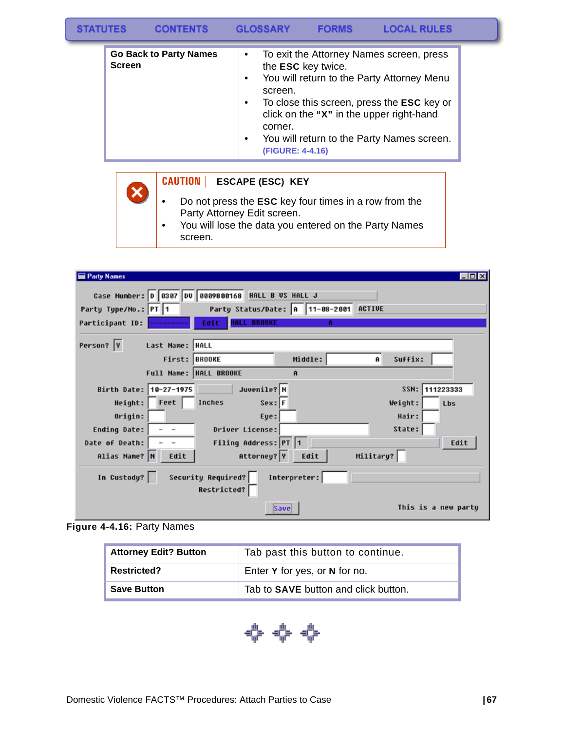| <b>STATUTES</b> | <b>CONTENTS</b> | <b>GLOSSARY</b> | <b>FORMS</b> | <b>LOCAL RULES</b> |
|-----------------|-----------------|-----------------|--------------|--------------------|
|-----------------|-----------------|-----------------|--------------|--------------------|

| <b>Go Back to Party Names</b><br><b>Screen</b> | To exit the Attorney Names screen, press<br>$\bullet$<br>the ESC key twice.<br>You will return to the Party Attorney Menu<br>$\bullet$<br>screen.<br>To close this screen, press the ESC key or<br>$\bullet$<br>click on the "X" in the upper right-hand<br>corner.<br>You will return to the Party Names screen.<br>$\bullet$<br>(FIGURE: 4-4.16) |
|------------------------------------------------|----------------------------------------------------------------------------------------------------------------------------------------------------------------------------------------------------------------------------------------------------------------------------------------------------------------------------------------------------|
|------------------------------------------------|----------------------------------------------------------------------------------------------------------------------------------------------------------------------------------------------------------------------------------------------------------------------------------------------------------------------------------------------------|

#### **CAUTION | ESCAPE (ESC) KEY**

- Do not press the **ESC** key four times in a row from the Party Attorney Edit screen.
- You will lose the data you entered on the Party Names screen.

| <b>Party Names</b>                |                            |                                        |           | $\Box$ o $\times$     |
|-----------------------------------|----------------------------|----------------------------------------|-----------|-----------------------|
| Case Number: 0 0307 00 0809800168 |                            | HALL B US HALL J                       |           |                       |
| Party Type/No.: PT 1              |                            | Party Status/Date: A 11-08-2001 ACTIVE |           |                       |
| Participant ID:                   | Edit<br><b>HALL BROOKE</b> | А                                      |           |                       |
|                                   |                            |                                        |           |                       |
| Person? Y<br>Last Name:  HALL     |                            |                                        |           |                       |
|                                   | First: BROOKE              | Middle:                                | Ĥ         | Suffix:               |
|                                   | Full Name:  HALL BROOKE    | Ĥ                                      |           |                       |
| Birth Date: 10-27-1975            | Juvenile? N                |                                        |           | SSN:<br>111223333     |
| Height: Feet                      | $Sex:$ F<br>Inches         |                                        |           | Weight:<br><b>Lbs</b> |
| Origin:                           | Eye:                       |                                        |           | Hair:                 |
| Ending Date:<br>$ -$              | Driver License:            |                                        |           | State:                |
| Date of Death:                    | Filing Address: PT 1       |                                        |           | Edit                  |
| Alias Name? N<br>Edit             | Attorney? Y                | Edit                                   | Military? |                       |
| In Custody?                       | Security Required?         | Interpreter:                           |           |                       |
|                                   | Restricted?                |                                        |           |                       |
|                                   |                            | Save                                   |           | This is a new party   |

**Figure 4-4.16:** Party Names

 $\overline{\textbf{x}}$ 

| <b>Attorney Edit? Button</b> | Tab past this button to continue.           |
|------------------------------|---------------------------------------------|
| <b>Restricted?</b>           | Enter Y for yes, or N for no.               |
| <b>Save Button</b>           | Tab to <b>SAVE</b> button and click button. |

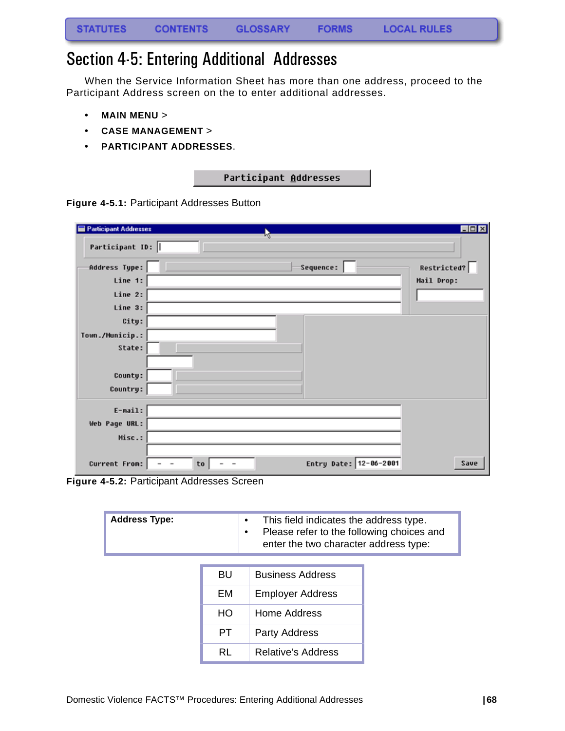## Section 4-5: Entering Additional Addresses

When the Service Information Sheet has more than one address, proceed to the Participant Address screen on the to enter additional addresses.

- **MAIN MENU** >
- **CASE MANAGEMENT** >
- **PARTICIPANT ADDRESSES**.

| Participant Addresses |
|-----------------------|
|-----------------------|

**Figure 4-5.1:** Participant Addresses Button

| <b>Participant Addresses</b> | М                                                                          | $\Box$ o $\times$ |
|------------------------------|----------------------------------------------------------------------------|-------------------|
| Participant ID:              |                                                                            |                   |
| Address Type:                | Sequence:                                                                  | Restricted?       |
| Line 1:                      |                                                                            | Mail Drop:        |
| Line 2:                      |                                                                            |                   |
| Line 3:                      |                                                                            |                   |
| City:                        |                                                                            |                   |
| Town./Municip.:              |                                                                            |                   |
| State:                       |                                                                            |                   |
|                              |                                                                            |                   |
| County:                      |                                                                            |                   |
| Country:                     |                                                                            |                   |
| $E$ -mail:                   |                                                                            |                   |
| Web Page URL:                |                                                                            |                   |
| Misc.:                       |                                                                            |                   |
|                              |                                                                            |                   |
| Current From:                | Entry Date: 12-06-2001<br>to<br>$\overline{\phantom{a}}$<br>$\blacksquare$ | Save              |

**Figure 4-5.2:** Participant Addresses Screen

| <b>Address Type:</b> |           | This field indicates the address type.<br>٠<br>Please refer to the following choices and<br>٠<br>enter the two character address type: |  |
|----------------------|-----------|----------------------------------------------------------------------------------------------------------------------------------------|--|
|                      |           |                                                                                                                                        |  |
|                      | <b>BU</b> | <b>Business Address</b>                                                                                                                |  |
|                      | EM        | <b>Employer Address</b>                                                                                                                |  |
|                      | HO.       | Home Address                                                                                                                           |  |
|                      | PT.       | Party Address                                                                                                                          |  |
|                      | <b>RL</b> | <b>Relative's Address</b>                                                                                                              |  |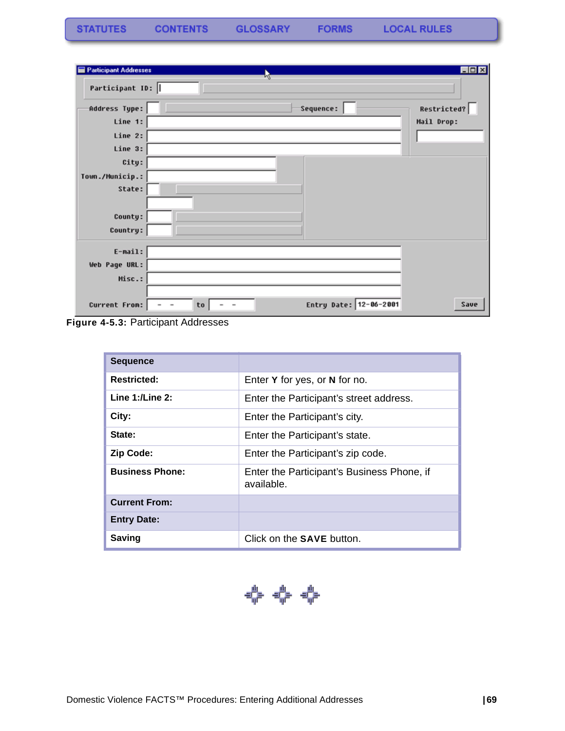| <b>Participant Addresses</b> | h,                                                       | <b>EDK</b>  |
|------------------------------|----------------------------------------------------------|-------------|
| Participant ID:              |                                                          |             |
| Address Type:                | Sequence:                                                | Restricted? |
| Line 1:                      |                                                          | Mail Drop:  |
| Line 2:                      |                                                          |             |
| Line 3:                      |                                                          |             |
| City:                        |                                                          |             |
| Town./Municip.:              |                                                          |             |
| State:                       |                                                          |             |
|                              |                                                          |             |
| County:                      |                                                          |             |
| Country:                     |                                                          |             |
| $E$ -mail:                   |                                                          |             |
| Web Page URL:                |                                                          |             |
| Misc.:                       |                                                          |             |
|                              |                                                          |             |
| Current From:                | Entry Date: 12-06-2001<br>to<br>$\overline{\phantom{a}}$ | Save        |

**Figure 4-5.3:** Participant Addresses

| <b>Sequence</b>        |                                                          |  |
|------------------------|----------------------------------------------------------|--|
| <b>Restricted:</b>     | Enter Y for yes, or N for no.                            |  |
| Line $1:$ /Line $2:$   | Enter the Participant's street address.                  |  |
| City:                  | Enter the Participant's city.                            |  |
| State:                 | Enter the Participant's state.                           |  |
| <b>Zip Code:</b>       | Enter the Participant's zip code.                        |  |
| <b>Business Phone:</b> | Enter the Participant's Business Phone, if<br>available. |  |
| <b>Current From:</b>   |                                                          |  |
| <b>Entry Date:</b>     |                                                          |  |
| <b>Saving</b>          | Click on the <b>SAVE</b> button.                         |  |

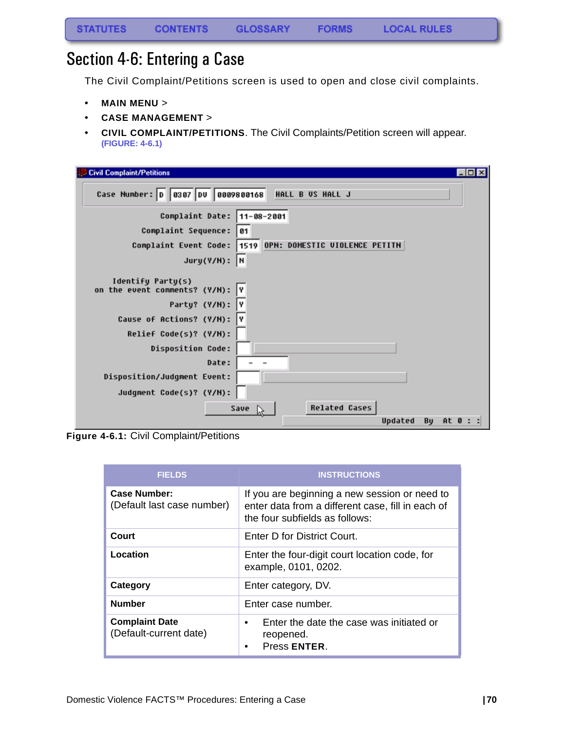## Section 4-6: Entering a Case

The Civil Complaint/Petitions screen is used to open and close civil complaints.

- **MAIN MENU** >
- **CASE MANAGEMENT** >
- **CIVIL COMPLAINT/PETITIONS**. The Civil Complaints/Petition screen will appear. **[\(FIGURE: 4-6.1\)](#page-71-0)**

| <b>Civil Complaint/Petitions</b><br>$ \Box$                                                                                                                                                       |
|---------------------------------------------------------------------------------------------------------------------------------------------------------------------------------------------------|
| Case Number: 0 0307 00 0009800168<br>HALL B US HALL J                                                                                                                                             |
| Complaint Date: 11-08-2001                                                                                                                                                                        |
| Complaint Sequence:   01                                                                                                                                                                          |
| Complaint Event Code:   1519 OPN: DOMESTIC UIOLENCE PETITN                                                                                                                                        |
| $Jury(Y/N):$ N                                                                                                                                                                                    |
| Identify Party(s)<br>on the event comments? (Y/N):<br>Party? (Y/N): Y<br>Cause of Actions? (Y/N): Y<br>Relief Code(s)? (Y/M):<br><b>Disposition Code:</b><br>Date:<br>Disposition/Judgment Event: |
| Judgment Code(s)? (Y/N):                                                                                                                                                                          |
| <b>Related Cases</b><br>Save<br>Updated<br>By $At 0 : :$                                                                                                                                          |

<span id="page-71-0"></span>**Figure 4-6.1:** Civil Complaint/Petitions

| <b>FIELDS</b>                                     | <b>INSTRUCTIONS</b>                                                                                                                  |
|---------------------------------------------------|--------------------------------------------------------------------------------------------------------------------------------------|
| <b>Case Number:</b><br>(Default last case number) | If you are beginning a new session or need to<br>enter data from a different case, fill in each of<br>the four subfields as follows: |
| Court                                             | Enter D for District Court.                                                                                                          |
| Location                                          | Enter the four-digit court location code, for<br>example, 0101, 0202.                                                                |
| Category                                          | Enter category, DV.                                                                                                                  |
| <b>Number</b>                                     | Enter case number.                                                                                                                   |
| <b>Complaint Date</b><br>(Default-current date)   | Enter the date the case was initiated or<br>٠<br>reopened.<br>Press ENTER.<br>$\bullet$                                              |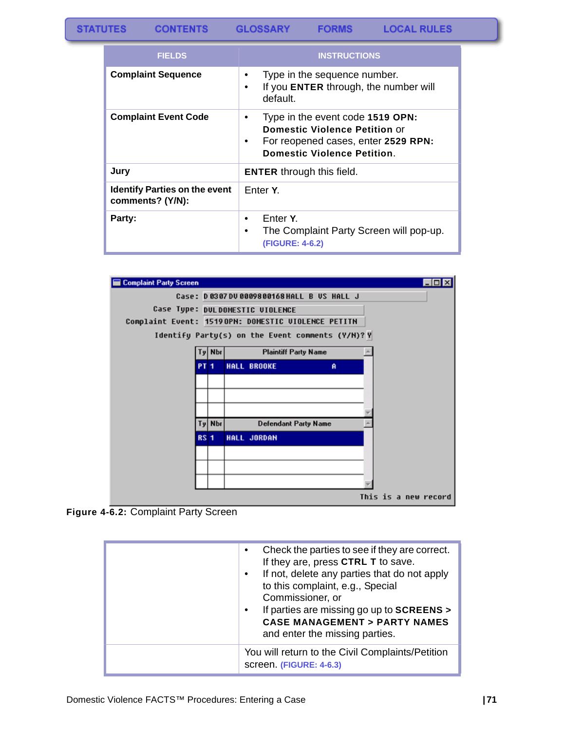**CONTENTS GLOSSARY** 

**FORMS** 

| <b>FIELDS</b>                                            | <b>INSTRUCTIONS</b>                                                                                                                                                     |
|----------------------------------------------------------|-------------------------------------------------------------------------------------------------------------------------------------------------------------------------|
| <b>Complaint Sequence</b>                                | Type in the sequence number.<br>$\bullet$<br>If you ENTER through, the number will<br>$\bullet$<br>default.                                                             |
| <b>Complaint Event Code</b>                              | Type in the event code 1519 OPN:<br>$\bullet$<br><b>Domestic Violence Petition or</b><br>For reopened cases, enter 2529 RPN:<br>٠<br><b>Domestic Violence Petition.</b> |
| Jury                                                     | <b>ENTER</b> through this field.                                                                                                                                        |
| <b>Identify Parties on the event</b><br>comments? (Y/N): | Enter Y.                                                                                                                                                                |
| Party:                                                   | Enter Y.<br>٠<br>The Complaint Party Screen will pop-up.<br>$\bullet$<br>(FIGURE: 4-6.2)                                                                                |



<span id="page-72-0"></span>**Figure 4-6.2:** Complaint Party Screen

| Check the parties to see if they are correct.<br>If they are, press CTRL T to save.<br>If not, delete any parties that do not apply<br>$\bullet$<br>to this complaint, e.g., Special<br>Commissioner, or<br>If parties are missing go up to SCREENS ><br>$\bullet$<br><b>CASE MANAGEMENT &gt; PARTY NAMES</b> |
|---------------------------------------------------------------------------------------------------------------------------------------------------------------------------------------------------------------------------------------------------------------------------------------------------------------|
| and enter the missing parties.                                                                                                                                                                                                                                                                                |
| You will return to the Civil Complaints/Petition<br>screen. (FIGURE: 4-6.3)                                                                                                                                                                                                                                   |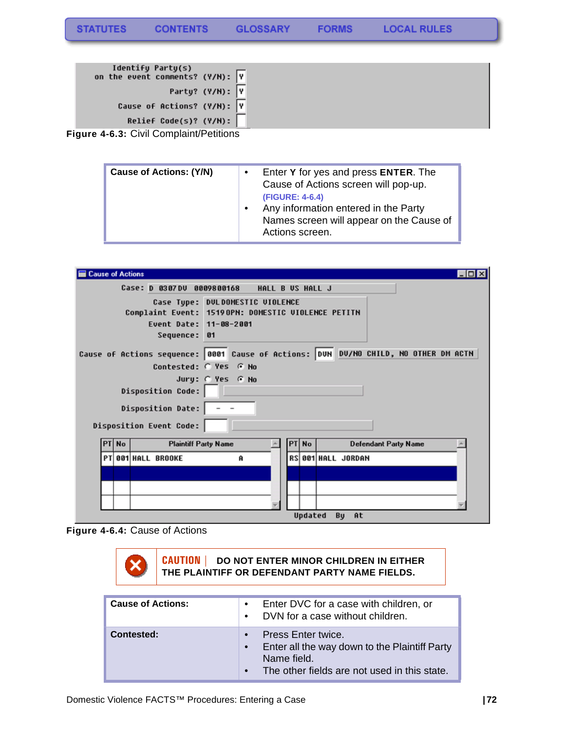| Party? (Y/N): Y<br>Cause of Actions? (Y/N): Y |
|-----------------------------------------------|
|                                               |
|                                               |
| Relief Code(s)? $(Y/N):$                      |

<span id="page-73-0"></span>**Figure 4-6.3:** Civil Complaint/Petitions

| <b>Cause of Actions: (Y/N)</b> | Enter Y for yes and press ENTER. The<br>Cause of Actions screen will pop-up.<br><b>(FIGURE: 4-6.4)</b><br>Any information entered in the Party<br>$\bullet$<br>Names screen will appear on the Cause of<br>Actions screen. |
|--------------------------------|----------------------------------------------------------------------------------------------------------------------------------------------------------------------------------------------------------------------------|
|--------------------------------|----------------------------------------------------------------------------------------------------------------------------------------------------------------------------------------------------------------------------|

| <b>Cause of Actions</b>                                                                                                            |  |       |                             |                       |                  |                             | $ \Box$ $\times$                                                                    |
|------------------------------------------------------------------------------------------------------------------------------------|--|-------|-----------------------------|-----------------------|------------------|-----------------------------|-------------------------------------------------------------------------------------|
|                                                                                                                                    |  |       | Case: D 0307DU 0009800168   |                       | HALL B US HALL J |                             |                                                                                     |
| Case Type: DULDOMESTIC UIOLENCE<br>Complaint Event: 15190PN: DOMESTIC VIOLENCE PETITN<br>Event Date: 11-08-2001<br>Sequence:<br>61 |  |       |                             |                       |                  |                             |                                                                                     |
|                                                                                                                                    |  |       |                             |                       |                  |                             | Cause of Actions sequence: 0001 Cause of Actions: DUN DU/NO CHILD, NO OTHER DM ACTN |
|                                                                                                                                    |  |       |                             | Contested: C Yes G No |                  |                             |                                                                                     |
|                                                                                                                                    |  |       |                             | Jury: C Yes G No      |                  |                             |                                                                                     |
|                                                                                                                                    |  |       | Disposition Code:           |                       |                  |                             |                                                                                     |
|                                                                                                                                    |  |       | <b>Disposition Date:</b>    |                       |                  |                             |                                                                                     |
|                                                                                                                                    |  |       | Disposition Event Code:     |                       |                  |                             |                                                                                     |
|                                                                                                                                    |  | PT No | <b>Plaintiff Party Name</b> |                       | PT No            | <b>Defendant Party Name</b> |                                                                                     |
|                                                                                                                                    |  |       | PT 001 HALL BROOKE          | Ĥ                     |                  | RS 001 HALL JORDAN          |                                                                                     |
|                                                                                                                                    |  |       |                             |                       |                  |                             |                                                                                     |
|                                                                                                                                    |  |       |                             |                       |                  |                             |                                                                                     |
|                                                                                                                                    |  |       |                             |                       |                  |                             |                                                                                     |
|                                                                                                                                    |  |       |                             |                       |                  | Updated<br>Bu<br><b>At</b>  |                                                                                     |

<span id="page-73-1"></span>**Figure 4-6.4:** Cause of Actions

|  | <b>CAUTION</b>   DO NOT ENTER MINOR CHILDREN IN EITHER<br>THE PLAINTIFF OR DEFENDANT PARTY NAME FIELDS. |
|--|---------------------------------------------------------------------------------------------------------|
|  |                                                                                                         |

| <b>Cause of Actions:</b> | Enter DVC for a case with children, or<br>$\bullet$<br>DVN for a case without children.<br>$\bullet$                               |
|--------------------------|------------------------------------------------------------------------------------------------------------------------------------|
| Contested:               | Press Enter twice.<br>Enter all the way down to the Plaintiff Party<br>Name field.<br>The other fields are not used in this state. |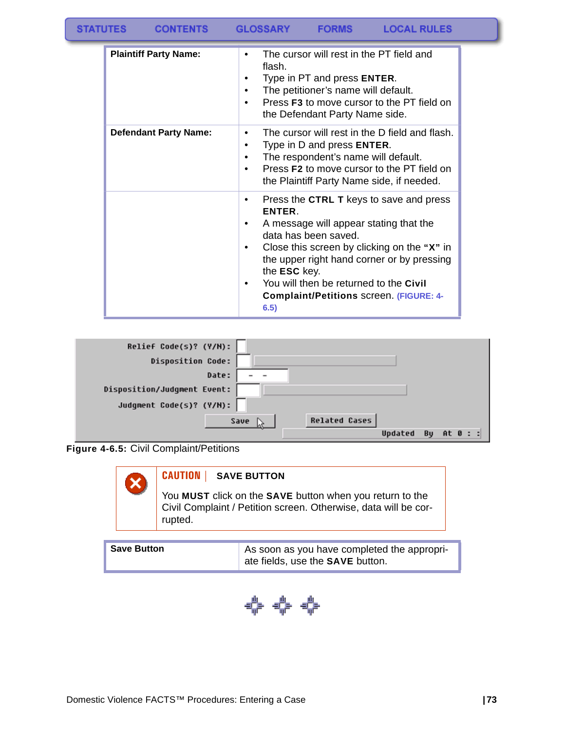| <b>STATUTES</b><br><b>GLOSSARY</b><br><b>CONTENTS</b> | <b>FORMS</b> | <b>LOCAL RULES</b> |  |
|-------------------------------------------------------|--------------|--------------------|--|
|-------------------------------------------------------|--------------|--------------------|--|

| <b>Plaintiff Party Name:</b> | The cursor will rest in the PT field and<br>flash.<br>Type in PT and press <b>ENTER</b> .<br>The petitioner's name will default.<br>٠<br>Press <b>F3</b> to move cursor to the PT field on<br>the Defendant Party Name side.                                                                                                                      |
|------------------------------|---------------------------------------------------------------------------------------------------------------------------------------------------------------------------------------------------------------------------------------------------------------------------------------------------------------------------------------------------|
| <b>Defendant Party Name:</b> | The cursor will rest in the D field and flash.<br>Type in D and press <b>ENTER</b> .<br>٠<br>The respondent's name will default.<br>Press <b>F2</b> to move cursor to the PT field on<br>the Plaintiff Party Name side, if needed.                                                                                                                |
|                              | Press the CTRL T keys to save and press<br><b>ENTER</b><br>A message will appear stating that the<br>data has been saved.<br>Close this screen by clicking on the "X" in<br>the upper right hand corner or by pressing<br>the <b>ESC</b> key.<br>You will then be returned to the Civil<br><b>Complaint/Petitions screen. (FIGURE: 4-</b><br>6.5) |



<span id="page-74-0"></span>**Figure 4-6.5:** Civil Complaint/Petitions



#### **CAUTION | SAVE BUTTON**

You **MUST** click on the **SAVE** button when you return to the Civil Complaint / Petition screen. Otherwise, data will be corrupted.

| <b>Save Button</b> | As soon as you have completed the appropri-<br>ate fields, use the <b>SAVE</b> button. |
|--------------------|----------------------------------------------------------------------------------------|
|                    |                                                                                        |

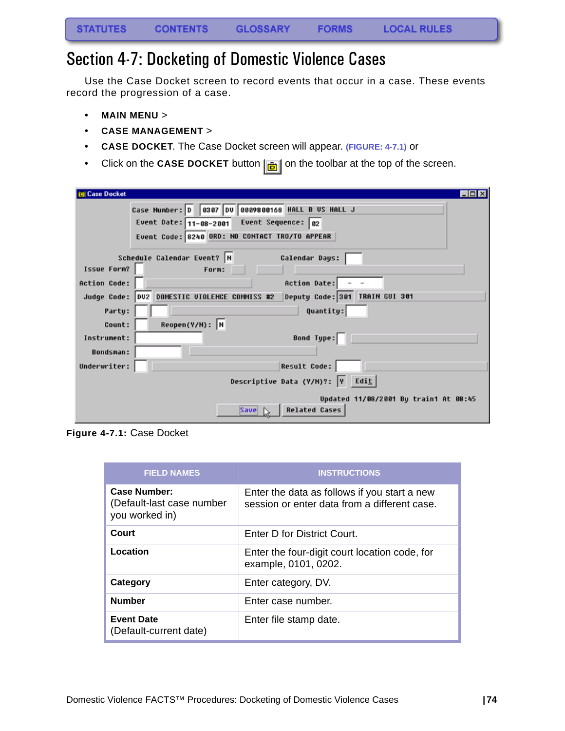# <span id="page-75-0"></span>Section 4-7: Docketing of Domestic Violence Cases

Use the Case Docket screen to record events that occur in a case. These events record the progression of a case.

- **MAIN MENU** >
- **CASE MANAGEMENT** >
- **CASE DOCKET**. The Case Docket screen will appear. **(FIGURE: 4-7.1)** or
- Click on the **CASE DOCKET** button  $\left| \frac{1}{\left| \frac{1}{n} \right|} \right|$  on the toolbar at the top of the screen.

| <b>Case Docket</b>  | LOIX                                                                           |
|---------------------|--------------------------------------------------------------------------------|
|                     | Case Number: 0 0307 00 0809800168 HALL B US HALL J                             |
|                     | Event Date: $11-08-2001$ Event Sequence: 02                                    |
|                     | Event Code: 8240 ORD: NO CONTACT TRO/TO APPEAR                                 |
|                     |                                                                                |
|                     | Schedule Calendar Event? N<br>Calendar Days:                                   |
| Issue Form?         | Form:                                                                          |
| <b>Action Code:</b> | Action Date:                                                                   |
|                     | Deputy Code: 301 TRAIN GUI 301<br>Judge Code: DV2 DOMESTIC VIOLENCE COMMISS #2 |
| Party:              | Quantity:                                                                      |
| Count:              | $Reopen(Y/N):$ N                                                               |
| Instrument:         | Bond Type: $\Box$                                                              |
| <b>Bondsman:</b>    |                                                                                |
| Underwriter:        | <b>Result Code:</b>                                                            |
|                     | Descriptive Data (Y/M)?: $\boxed{v}$ Edit                                      |
|                     | Updated 11/08/2001 By train1 At 08:45<br><b>Related Cases</b><br><b>Save</b>   |

**Figure 4-7.1:** Case Docket

| <b>FIELD NAMES</b>                                          | <b>INSTRUCTIONS</b>                                                                          |
|-------------------------------------------------------------|----------------------------------------------------------------------------------------------|
| Case Number:<br>(Default-last case number<br>you worked in) | Enter the data as follows if you start a new<br>session or enter data from a different case. |
| Court                                                       | Enter D for District Court.                                                                  |
| Location                                                    | Enter the four-digit court location code, for<br>example, 0101, 0202.                        |
| Category                                                    | Enter category, DV.                                                                          |
| <b>Number</b>                                               | Enter case number.                                                                           |
| <b>Event Date</b><br>(Default-current date)                 | Enter file stamp date.                                                                       |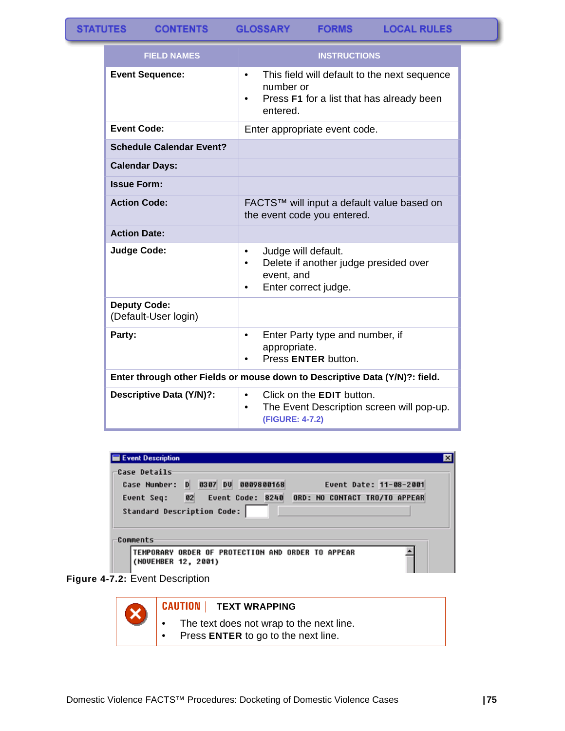**GLOSSARY FORMS** 

| <b>FIELD NAMES</b>                          | <b>INSTRUCTIONS</b>                                                                                                             |  |
|---------------------------------------------|---------------------------------------------------------------------------------------------------------------------------------|--|
| <b>Event Sequence:</b>                      | This field will default to the next sequence<br>$\bullet$<br>number or<br>Press F1 for a list that has already been<br>entered. |  |
| <b>Event Code:</b>                          | Enter appropriate event code.                                                                                                   |  |
| <b>Schedule Calendar Event?</b>             |                                                                                                                                 |  |
| <b>Calendar Days:</b>                       |                                                                                                                                 |  |
| <b>Issue Form:</b>                          |                                                                                                                                 |  |
| <b>Action Code:</b>                         | FACTS™ will input a default value based on<br>the event code you entered.                                                       |  |
| <b>Action Date:</b>                         |                                                                                                                                 |  |
| <b>Judge Code:</b>                          | Judge will default.<br>$\bullet$<br>Delete if another judge presided over<br>event, and<br>Enter correct judge.                 |  |
| <b>Deputy Code:</b><br>(Default-User login) |                                                                                                                                 |  |
| Party:                                      | Enter Party type and number, if<br>$\bullet$<br>appropriate.<br>Press ENTER button.                                             |  |
|                                             | Enter through other Fields or mouse down to Descriptive Data (Y/N)?: field.                                                     |  |
| Descriptive Data (Y/N)?:                    | Click on the <b>EDIT</b> button.<br>$\bullet$<br>The Event Description screen will pop-up.<br>$\bullet$<br>(FIGURE: 4-7.2)      |  |

| Event Description                           |                               |
|---------------------------------------------|-------------------------------|
| Case Details                                |                               |
| 0307 DU<br>0009800168<br>D.<br>Case Number: | Event Date: 11-08-2001        |
| 02<br><b>Event Code: 8240</b><br>Event Seq: | ORD: NO CONTACT TRO/TO APPEAR |
| Standard Description Code:                  |                               |
| Comments                                    |                               |
|                                             |                               |

#### **Figure 4-7.2:** Event Description



#### **CAUTION | TEXT WRAPPING**

- The text does not wrap to the next line.<br>• Press **ENTER** to go to the next line.
- Press **ENTER** to go to the next line.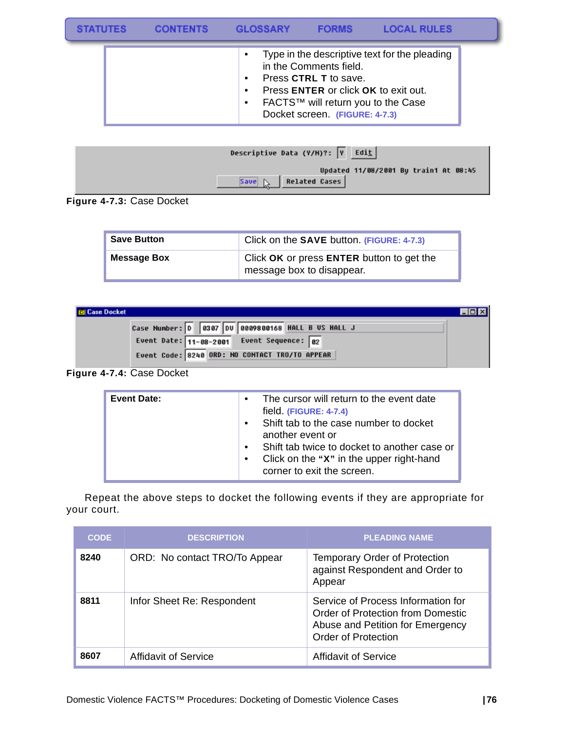| <b>STATUTES</b> | <b>CONTENTS</b> | <b>GLOSSARY</b> | <b>FORMS</b>                                                                                                                                                    | <b>LOCAL RULES</b>                            |  |
|-----------------|-----------------|-----------------|-----------------------------------------------------------------------------------------------------------------------------------------------------------------|-----------------------------------------------|--|
|                 |                 |                 | in the Comments field.<br>Press CTRL T to save.<br>Press ENTER or click OK to exit out.<br>FACTS™ will return you to the Case<br>Docket screen. (FIGURE: 4-7.3) | Type in the descriptive text for the pleading |  |

| Descriptive Data (Y/M)?: $ v $ Edit   |
|---------------------------------------|
| Updated 11/08/2001 By train1 At 08:45 |
| Save $\mathbb{N}$   Related Cases     |

**Figure 4-7.3:** Case Docket

| <b>Save Button</b> | Click on the SAVE button. (FIGURE: 4-7.3)                              |
|--------------------|------------------------------------------------------------------------|
| <b>Message Box</b> | Click OK or press ENTER button to get the<br>message box to disappear. |

| <b>Idl Case Docket</b>                             |  |
|----------------------------------------------------|--|
| Case Number: 0 0307 00 0009800168 HALL B US HALL J |  |
| Event Date: $11-88-2001$ Event Sequence: 02        |  |
| Event Code: 8240 ORD: NO CONTACT TRO/TO APPEAR     |  |

### **Figure 4-7.4:** Case Docket

| <b>Event Date:</b> | The cursor will return to the event date<br>$\bullet$<br>field (FIGURE: 4-7.4)<br>Shift tab to the case number to docket<br>$\bullet$<br>another event or<br>Shift tab twice to docket to another case or<br>Click on the "X" in the upper right-hand<br>$\bullet$ |
|--------------------|--------------------------------------------------------------------------------------------------------------------------------------------------------------------------------------------------------------------------------------------------------------------|
|                    | corner to exit the screen.                                                                                                                                                                                                                                         |

Repeat the above steps to docket the following events if they are appropriate for your court.

| <b>CODE</b> | <b>DESCRIPTION</b>            | <b>PLEADING NAME</b>                                                                                                               |
|-------------|-------------------------------|------------------------------------------------------------------------------------------------------------------------------------|
| 8240        | ORD: No contact TRO/To Appear | <b>Temporary Order of Protection</b><br>against Respondent and Order to<br>Appear                                                  |
| 8811        | Infor Sheet Re: Respondent    | Service of Process Information for<br>Order of Protection from Domestic<br>Abuse and Petition for Emergency<br>Order of Protection |
| 8607        | Affidavit of Service          | <b>Affidavit of Service</b>                                                                                                        |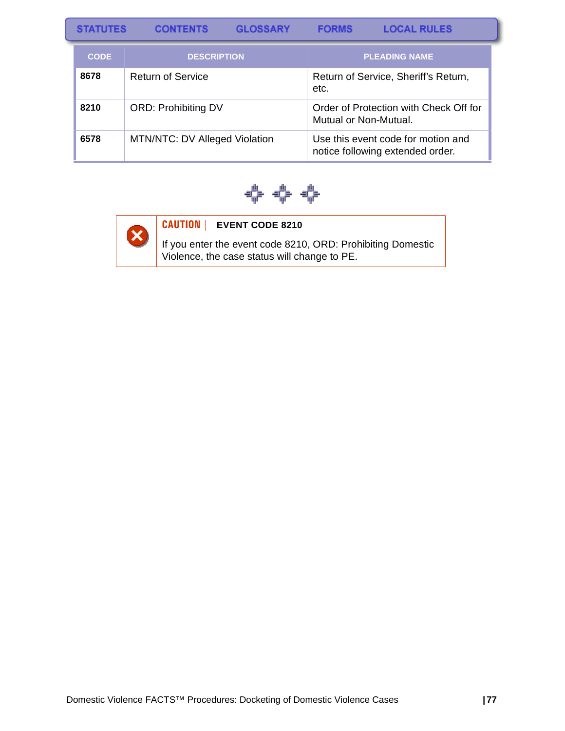| <b>STATUTES</b>                   | <b>CONTENTS</b>               | <b>GLOSSARY</b>      | <b>FORMS</b>          | <b>LOCAL RULES</b>                                                     |
|-----------------------------------|-------------------------------|----------------------|-----------------------|------------------------------------------------------------------------|
| <b>DESCRIPTION</b><br><b>CODE</b> |                               | <b>PLEADING NAME</b> |                       |                                                                        |
| 8678                              | <b>Return of Service</b>      |                      | etc.                  | Return of Service, Sheriff's Return,                                   |
| 8210                              | <b>ORD: Prohibiting DV</b>    |                      | Mutual or Non-Mutual. | Order of Protection with Check Off for                                 |
| 6578                              | MTN/NTC: DV Alleged Violation |                      |                       | Use this event code for motion and<br>notice following extended order. |





### **CAUTION | EVENT CODE 8210**

If you enter the event code 8210, ORD: Prohibiting Domestic Violence, the case status will change to PE.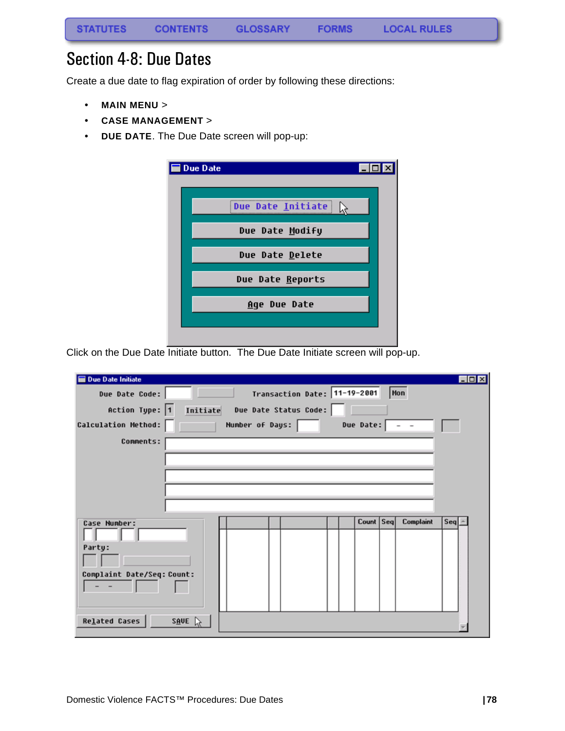## Section 4-8: Due Dates

Create a due date to flag expiration of order by following these directions:

- **MAIN MENU** >
- **CASE MANAGEMENT** >
- **DUE DATE**. The Due Date screen will pop-up:

| <b>Due Date</b> |                   |  |
|-----------------|-------------------|--|
|                 | Due Date Initiate |  |
|                 | Due Date Modify   |  |
|                 | Due Date Delete   |  |
|                 | Due Date Reports  |  |
|                 | Age Due Date      |  |
|                 |                   |  |

Click on the Due Date Initiate button. The Due Date Initiate screen will pop-up.

| <b>Due Date Initiate</b>                                   |                              |                               | $-$ 0 $\times$ |
|------------------------------------------------------------|------------------------------|-------------------------------|----------------|
| Due Date Code:                                             | Transaction Date: 11-19-2001 | Mon                           |                |
| Action Type: $\boxed{1}$<br>Initiate                       | Due Date Status Code:        |                               |                |
| Calculation Method:                                        | Number of Days:              | Due Date:                     |                |
| Comments:                                                  |                              |                               |                |
|                                                            |                              |                               |                |
| Case Number:<br>Party:<br>Complaint Date/Seq: Count:       |                              | Count Seq<br><b>Complaint</b> | Seq            |
| <b>Related Cases</b><br>$S \overline{A}$ UE $\overline{A}$ |                              |                               |                |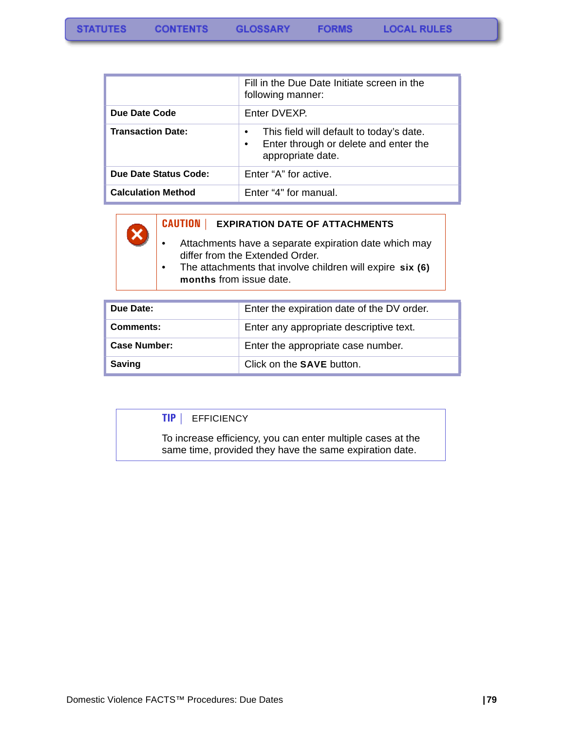|                           | Fill in the Due Date Initiate screen in the<br>following manner:                                                                 |
|---------------------------|----------------------------------------------------------------------------------------------------------------------------------|
| Due Date Code             | Enter DVEXP.                                                                                                                     |
| <b>Transaction Date:</b>  | This field will default to today's date.<br>$\bullet$<br>Enter through or delete and enter the<br>$\bullet$<br>appropriate date. |
| Due Date Status Code:     | Enter "A" for active.                                                                                                            |
| <b>Calculation Method</b> | Enter "4" for manual.                                                                                                            |



- Attachments have a separate expiration date which may differ from the Extended Order.
- The attachments that involve children will expire **six (6) months** from issue date.

| Due Date:           | Enter the expiration date of the DV order. |
|---------------------|--------------------------------------------|
| Comments:           | Enter any appropriate descriptive text.    |
| <b>Case Number:</b> | Enter the appropriate case number.         |
| <b>Saving</b>       | Click on the <b>SAVE</b> button.           |

#### **TIP |** EFFICIENCY

To increase efficiency, you can enter multiple cases at the same time, provided they have the same expiration date.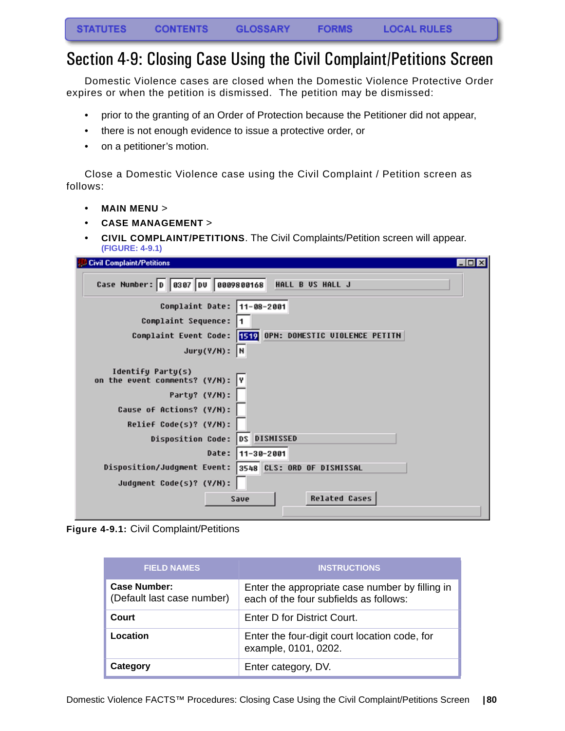### Section 4-9: Closing Case Using the Civil Complaint/Petitions Screen

Domestic Violence cases are closed when the Domestic Violence Protective Order expires or when the petition is dismissed. The petition may be dismissed:

- prior to the granting of an Order of Protection because the Petitioner did not appear,
- there is not enough evidence to issue a protective order, or
- on a petitioner's motion.

Close a Domestic Violence case using the Civil Complaint / Petition screen as follows:

- **MAIN MENU** >
- **CASE MANAGEMENT** >
- **CIVIL COMPLAINT/PETITIONS**. The Civil Complaints/Petition screen will appear. **(FIGURE: 4-9.1)**

| <b>Civil Complaint/Petitions</b><br>$ \Box$ $\times$ $\Box$ |
|-------------------------------------------------------------|
| Case Number: 0 0307 00 0009800168<br>HALL B US HALL J       |
| Complaint Date: 11-08-2001                                  |
| Complaint Sequence:                                         |
| Complaint Event Code: 1519 OPN: DOMESTIC UIOLENCE PETITN    |
| $Jury(Y/N):$ N                                              |
| Identify Party(s)<br>on the event comments? (Y/N): Y        |
| Party? (Y/N):                                               |
| Cause of Actions? (Y/N):                                    |
| Relief Code(s)? (Y/N):                                      |
| <b>DISMISSED</b><br>Disposition Code: DS                    |
| Date:<br>$11 - 30 - 2001$                                   |
| 3548 CLS: ORD OF DISMISSAL<br>Disposition/Judgment Event:   |
| Judgment Code(s)? (Y/N):                                    |
| <b>Related Cases</b><br>Save                                |

**Figure 4-9.1:** Civil Complaint/Petitions

| <b>FIELD NAMES</b>                                | <b>INSTRUCTIONS</b>                                                                       |
|---------------------------------------------------|-------------------------------------------------------------------------------------------|
| <b>Case Number:</b><br>(Default last case number) | Enter the appropriate case number by filling in<br>each of the four subfields as follows: |
| Court                                             | Enter D for District Court.                                                               |
| Location                                          | Enter the four-digit court location code, for<br>example, 0101, 0202.                     |
| Category                                          | Enter category, DV.                                                                       |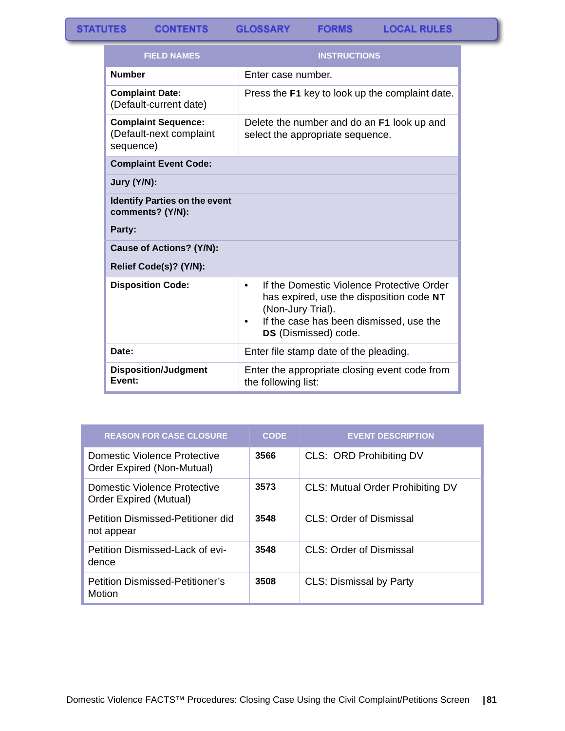|  | <b>LOCAL RULES</b> |  |
|--|--------------------|--|
|  |                    |  |

| <b>FIELD NAMES</b>                                                 | <b>INSTRUCTIONS</b>                                                                                                                                                                             |
|--------------------------------------------------------------------|-------------------------------------------------------------------------------------------------------------------------------------------------------------------------------------------------|
| <b>Number</b>                                                      | Enter case number.                                                                                                                                                                              |
| <b>Complaint Date:</b><br>(Default-current date)                   | Press the F1 key to look up the complaint date.                                                                                                                                                 |
| <b>Complaint Sequence:</b><br>(Default-next complaint<br>sequence) | Delete the number and do an F1 look up and<br>select the appropriate sequence.                                                                                                                  |
| <b>Complaint Event Code:</b>                                       |                                                                                                                                                                                                 |
| Jury (Y/N):                                                        |                                                                                                                                                                                                 |
| <b>Identify Parties on the event</b><br>comments? (Y/N):           |                                                                                                                                                                                                 |
| Party:                                                             |                                                                                                                                                                                                 |
| <b>Cause of Actions? (Y/N):</b>                                    |                                                                                                                                                                                                 |
| Relief Code(s)? (Y/N):                                             |                                                                                                                                                                                                 |
| <b>Disposition Code:</b>                                           | If the Domestic Violence Protective Order<br>$\bullet$<br>has expired, use the disposition code NT<br>(Non-Jury Trial).<br>If the case has been dismissed, use the<br>٠<br>DS (Dismissed) code. |
| Date:                                                              | Enter file stamp date of the pleading.                                                                                                                                                          |
| <b>Disposition/Judgment</b><br>Event:                              | Enter the appropriate closing event code from<br>the following list:                                                                                                                            |

| <b>REASON FOR CASE CLOSURE</b>                             | <b>CODE</b> | <b>EVENT DESCRIPTION</b>                |
|------------------------------------------------------------|-------------|-----------------------------------------|
| Domestic Violence Protective<br>Order Expired (Non-Mutual) | 3566        | CLS: ORD Prohibiting DV                 |
| Domestic Violence Protective<br>Order Expired (Mutual)     | 3573        | <b>CLS: Mutual Order Prohibiting DV</b> |
| Petition Dismissed-Petitioner did<br>not appear            | 3548        | CLS: Order of Dismissal                 |
| Petition Dismissed-Lack of evi-<br>dence                   | 3548        | CLS: Order of Dismissal                 |
| <b>Petition Dismissed-Petitioner's</b><br>Motion           | 3508        | <b>CLS: Dismissal by Party</b>          |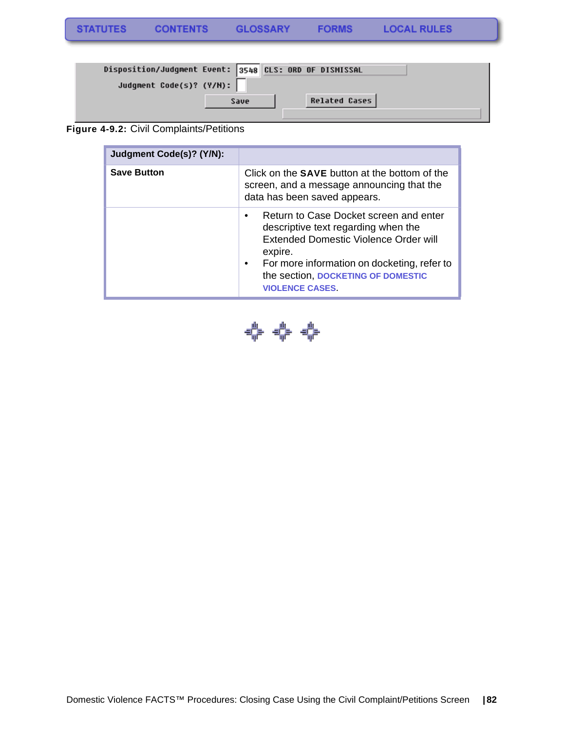| Disposition/Judgment Event: 3548 CLS: ORD OF DISMISSAL |      |  |               |  |
|--------------------------------------------------------|------|--|---------------|--|
| Judgment Code(s)? (Y/M):                               |      |  |               |  |
|                                                        | Save |  | Related Cases |  |
|                                                        |      |  |               |  |

### **Figure 4-9.2:** Civil Complaints/Petitions

| Judgment Code(s)? (Y/N): |                                                                                                                                                                                                                                                                           |
|--------------------------|---------------------------------------------------------------------------------------------------------------------------------------------------------------------------------------------------------------------------------------------------------------------------|
| <b>Save Button</b>       | Click on the <b>SAVE</b> button at the bottom of the<br>screen, and a message announcing that the<br>data has been saved appears.                                                                                                                                         |
|                          | Return to Case Docket screen and enter<br>$\bullet$<br>descriptive text regarding when the<br>Extended Domestic Violence Order will<br>expire.<br>For more information on docketing, refer to<br>$\bullet$<br>the section, DOCKETING OF DOMESTIC<br><b>VIOLENCE CASES</b> |